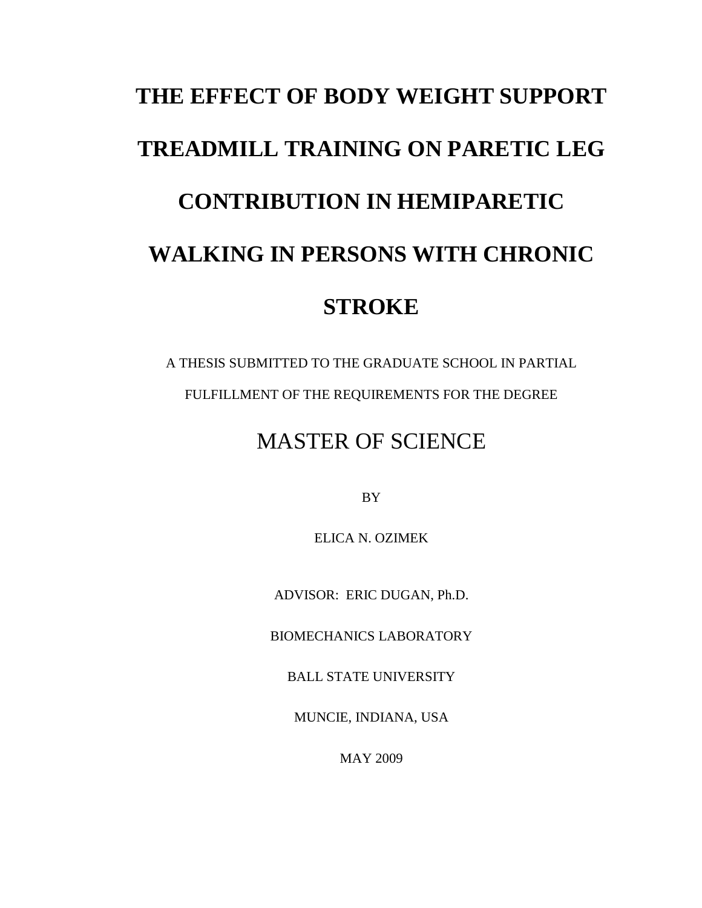# **THE EFFECT OF BODY WEIGHT SUPPORT TREADMILL TRAINING ON PARETIC LEG CONTRIBUTION IN HEMIPARETIC WALKING IN PERSONS WITH CHRONIC STROKE**

A THESIS SUBMITTED TO THE GRADUATE SCHOOL IN PARTIAL FULFILLMENT OF THE REQUIREMENTS FOR THE DEGREE

### MASTER OF SCIENCE

BY

ELICA N. OZIMEK

ADVISOR: ERIC DUGAN, Ph.D.

BIOMECHANICS LABORATORY

BALL STATE UNIVERSITY

MUNCIE, INDIANA, USA

MAY 2009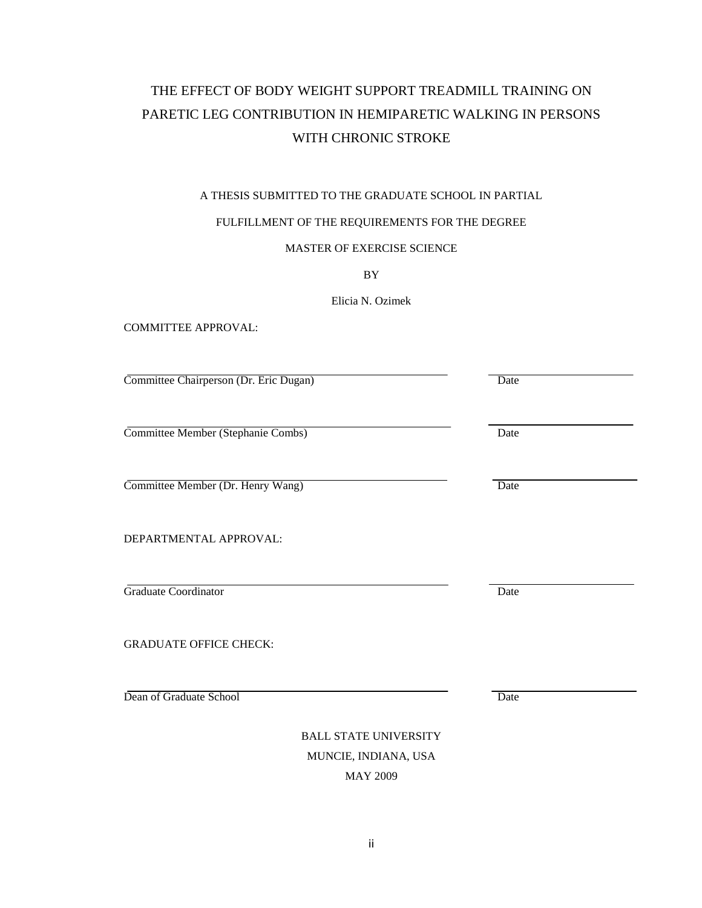### THE EFFECT OF BODY WEIGHT SUPPORT TREADMILL TRAINING ON PARETIC LEG CONTRIBUTION IN HEMIPARETIC WALKING IN PERSONS WITH CHRONIC STROKE

#### A THESIS SUBMITTED TO THE GRADUATE SCHOOL IN PARTIAL

#### FULFILLMENT OF THE REQUIREMENTS FOR THE DEGREE

#### MASTER OF EXERCISE SCIENCE

BY

Elicia N. Ozimek

COMMITTEE APPROVAL:

Committee Chairperson (Dr. Eric Dugan) Date

Committee Member (Stephanie Combs) Date

Committee Member (Dr. Henry Wang) Date

DEPARTMENTAL APPROVAL:

Graduate Coordinator Date **Date** 

GRADUATE OFFICE CHECK:

Dean of Graduate School Date

BALL STATE UNIVERSITY MUNCIE, INDIANA, USA MAY 2009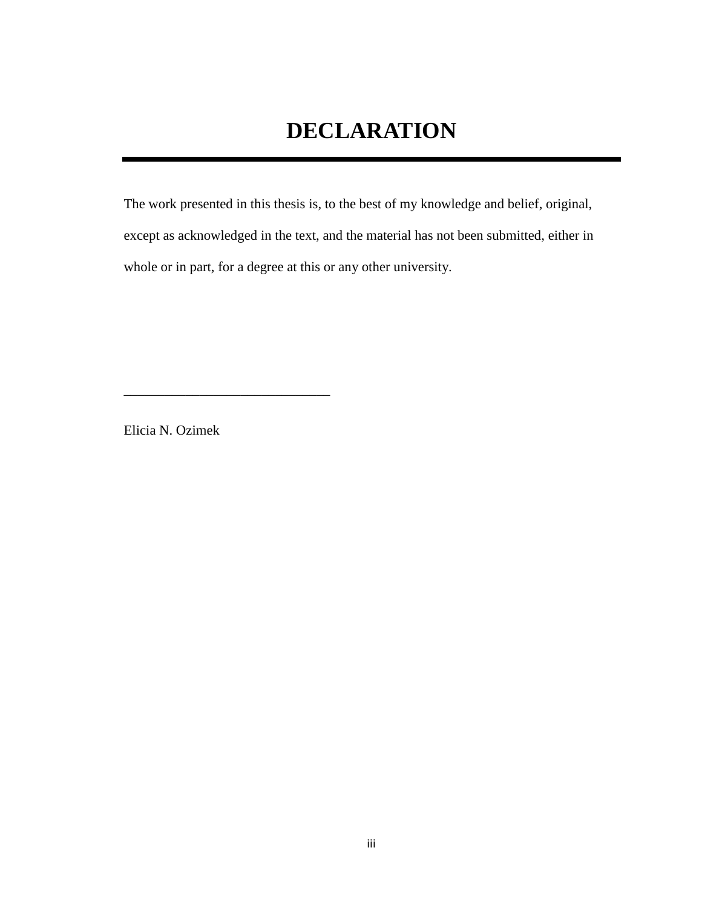The work presented in this thesis is, to the best of my knowledge and belief, original, except as acknowledged in the text, and the material has not been submitted, either in whole or in part, for a degree at this or any other university.

Elicia N. Ozimek

\_\_\_\_\_\_\_\_\_\_\_\_\_\_\_\_\_\_\_\_\_\_\_\_\_\_\_\_\_\_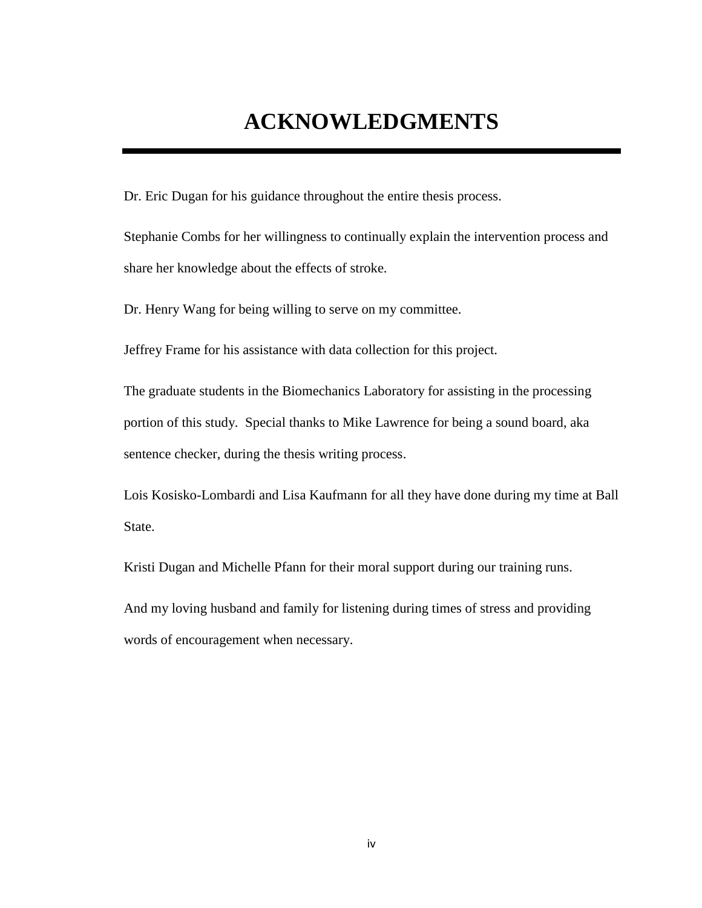### **ACKNOWLEDGMENTS**

Dr. Eric Dugan for his guidance throughout the entire thesis process.

Stephanie Combs for her willingness to continually explain the intervention process and share her knowledge about the effects of stroke.

Dr. Henry Wang for being willing to serve on my committee.

Jeffrey Frame for his assistance with data collection for this project.

The graduate students in the Biomechanics Laboratory for assisting in the processing portion of this study. Special thanks to Mike Lawrence for being a sound board, aka sentence checker, during the thesis writing process.

Lois Kosisko-Lombardi and Lisa Kaufmann for all they have done during my time at Ball State.

Kristi Dugan and Michelle Pfann for their moral support during our training runs.

And my loving husband and family for listening during times of stress and providing words of encouragement when necessary.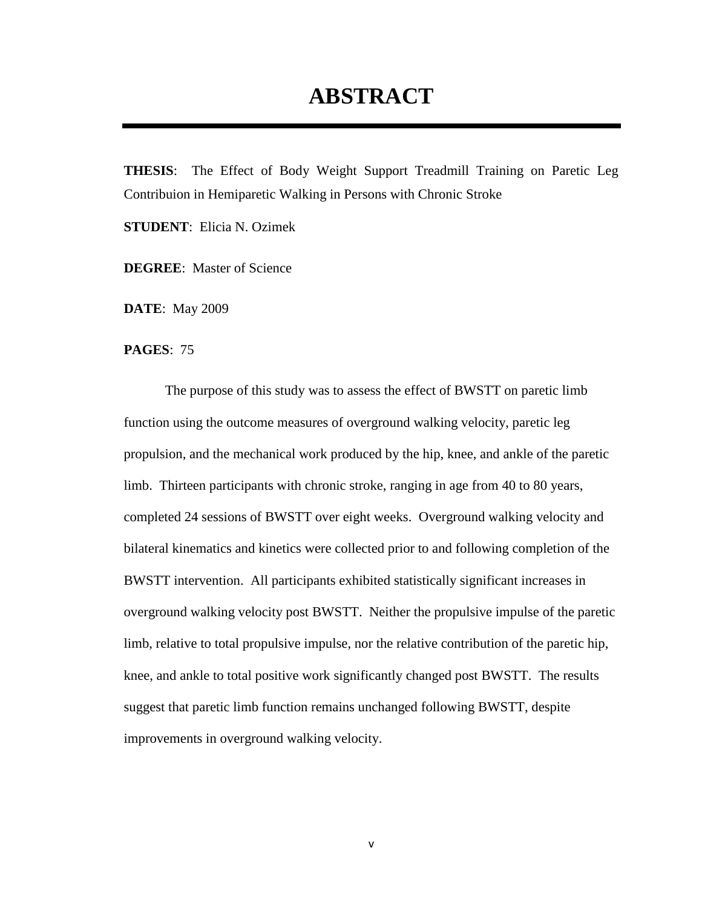### **ABSTRACT**

**THESIS**: The Effect of Body Weight Support Treadmill Training on Paretic Leg Contribuion in Hemiparetic Walking in Persons with Chronic Stroke

**STUDENT**: Elicia N. Ozimek

**DEGREE**: Master of Science

**DATE**: May 2009

**PAGES**: 75

The purpose of this study was to assess the effect of BWSTT on paretic limb function using the outcome measures of overground walking velocity, paretic leg propulsion, and the mechanical work produced by the hip, knee, and ankle of the paretic limb. Thirteen participants with chronic stroke, ranging in age from 40 to 80 years, completed 24 sessions of BWSTT over eight weeks. Overground walking velocity and bilateral kinematics and kinetics were collected prior to and following completion of the BWSTT intervention. All participants exhibited statistically significant increases in overground walking velocity post BWSTT. Neither the propulsive impulse of the paretic limb, relative to total propulsive impulse, nor the relative contribution of the paretic hip, knee, and ankle to total positive work significantly changed post BWSTT. The results suggest that paretic limb function remains unchanged following BWSTT, despite improvements in overground walking velocity.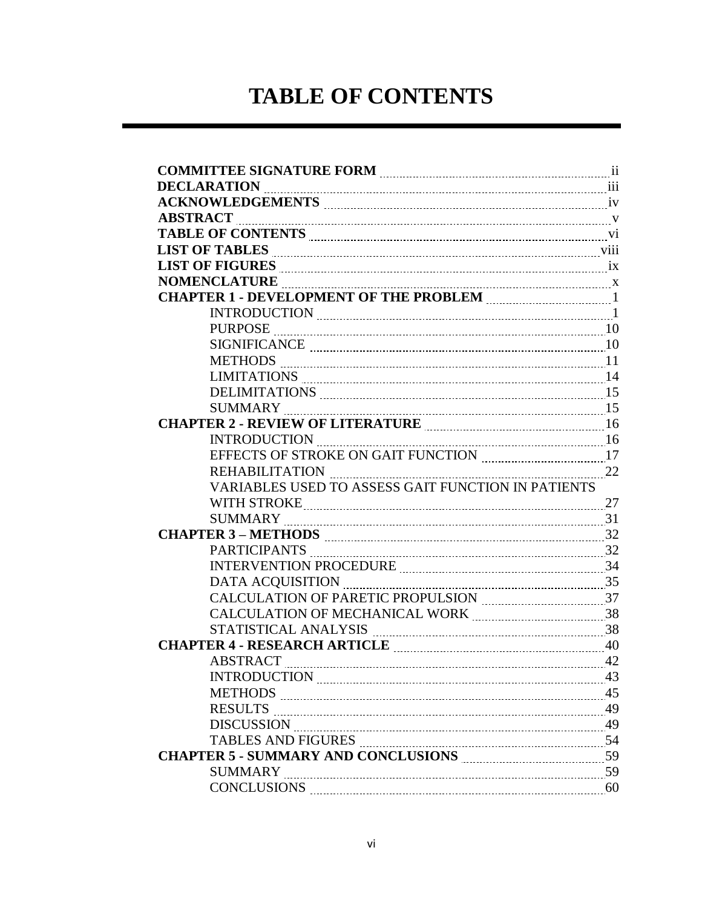### **TABLE OF CONTENTS**

| <b>ABSTRACT</b>                                                                                                                                   |    |
|---------------------------------------------------------------------------------------------------------------------------------------------------|----|
| TABLE OF CONTENTS <b>CONTENTS</b> (2) Vi                                                                                                          |    |
| LIST OF TABLES MARKER AND THE VIII                                                                                                                |    |
| LIST OF FIGURES THE CONSTRUCTED IN THE CONSTRUCTION OF FIGURES                                                                                    |    |
|                                                                                                                                                   |    |
| CHAPTER 1 - DEVELOPMENT OF THE PROBLEM <b>MALE AND THE PROBLEM</b>                                                                                |    |
|                                                                                                                                                   |    |
|                                                                                                                                                   |    |
|                                                                                                                                                   |    |
|                                                                                                                                                   |    |
|                                                                                                                                                   |    |
|                                                                                                                                                   |    |
|                                                                                                                                                   |    |
| CHAPTER 2 - REVIEW OF LITERATURE <b>MARKE AND THE REVIEW</b> 16                                                                                   |    |
|                                                                                                                                                   |    |
|                                                                                                                                                   |    |
|                                                                                                                                                   |    |
| VARIABLES USED TO ASSESS GAIT FUNCTION IN PATIENTS                                                                                                |    |
| WITH STROKE 27                                                                                                                                    |    |
|                                                                                                                                                   |    |
|                                                                                                                                                   |    |
|                                                                                                                                                   |    |
| INTERVENTION PROCEDURE MARIE MARIE 24                                                                                                             |    |
|                                                                                                                                                   |    |
|                                                                                                                                                   |    |
| CALCULATION OF MECHANICAL WORK MARIE 1888                                                                                                         |    |
| $\label{eq:STATISTICAL} \text{STATISTICAL ANALYSIS} \underset{ \text{num} \text{num} \text{num} }{ \text{num} \text{num} \text{num} } \text{138}$ |    |
| CHAPTER 4 - RESEARCH ARTICLE <b>MACHIFICHER 1998</b> 40                                                                                           |    |
|                                                                                                                                                   |    |
| INTRODUCTION 23                                                                                                                                   |    |
|                                                                                                                                                   |    |
|                                                                                                                                                   |    |
| DISCUSSION 29                                                                                                                                     |    |
|                                                                                                                                                   |    |
| <b>TABLES AND FIGURES</b><br>54                                                                                                                   |    |
| CHAPTER 5 - SUMMARY AND CONCLUSIONS <b>MARIOLE 1998</b> 59                                                                                        |    |
| SUMMARY                                                                                                                                           | 60 |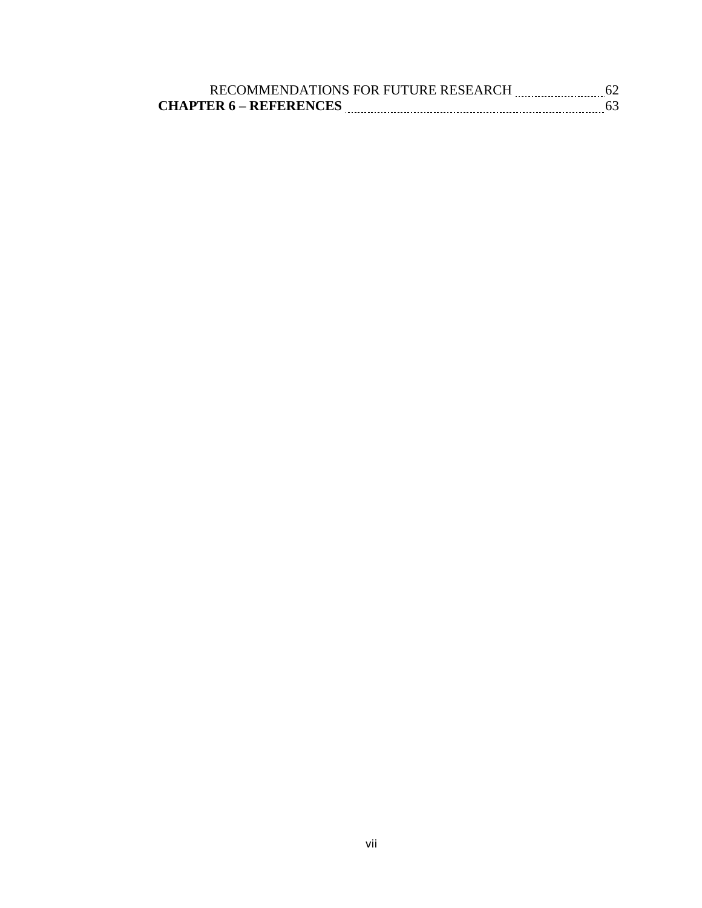| RECOMMENDATIONS FOR FUTURE RESEARCH |  |
|-------------------------------------|--|
| <b>CHAPTER 6 – REFERENCES</b>       |  |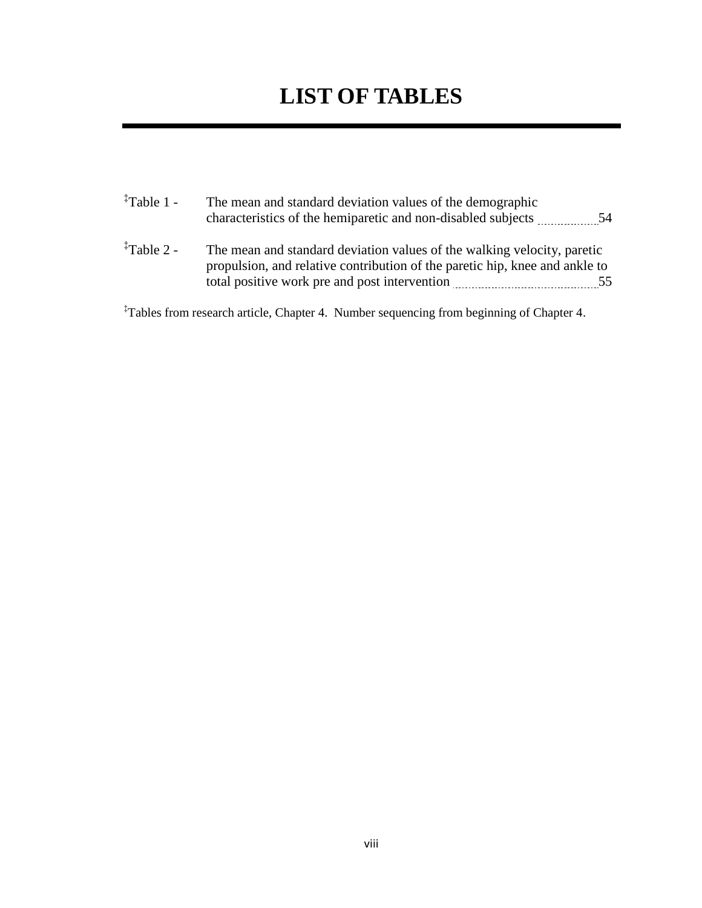### **LIST OF TABLES**

| <sup>‡</sup> Table 1 - | The mean and standard deviation values of the demographic<br>characteristics of the hemiparetic and non-disabled subjects 54                                                                            |  |
|------------------------|---------------------------------------------------------------------------------------------------------------------------------------------------------------------------------------------------------|--|
| <sup>‡</sup> Table 2 - | The mean and standard deviation values of the walking velocity, paretic<br>propulsion, and relative contribution of the paretic hip, knee and ankle to<br>total positive work pre and post intervention |  |

‡Tables from research article, Chapter 4. Number sequencing from beginning of Chapter 4.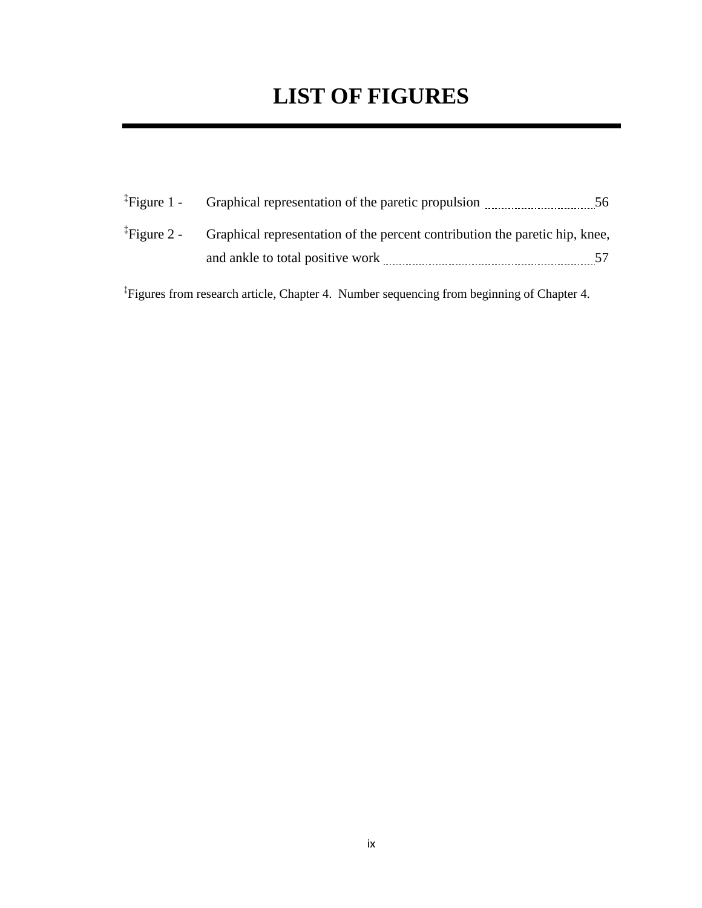### **LIST OF FIGURES**

| ${}^{4}$ Figure 1 - Graphical representation of the paretic propulsion                              | 56  |
|-----------------------------------------------------------------------------------------------------|-----|
| <sup>‡</sup> Figure 2 - Graphical representation of the percent contribution the paretic hip, knee, |     |
| and ankle to total positive work                                                                    | 57. |

‡ Figures from research article, Chapter 4. Number sequencing from beginning of Chapter 4.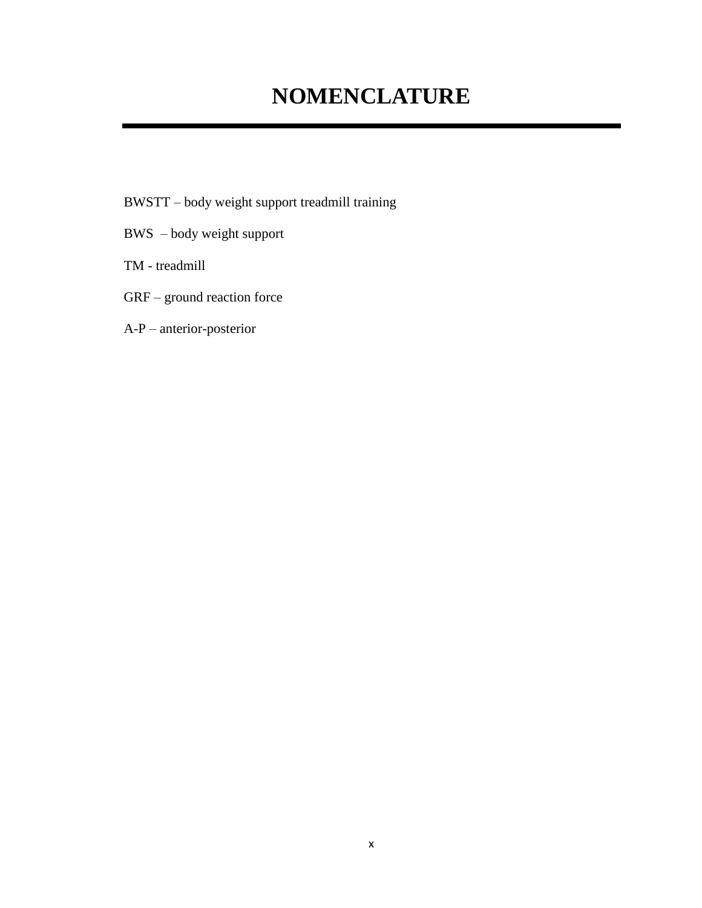### **NOMENCLATURE**

- BWSTT body weight support treadmill training
- BWS body weight support
- TM treadmill
- GRF ground reaction force
- A-P anterior-posterior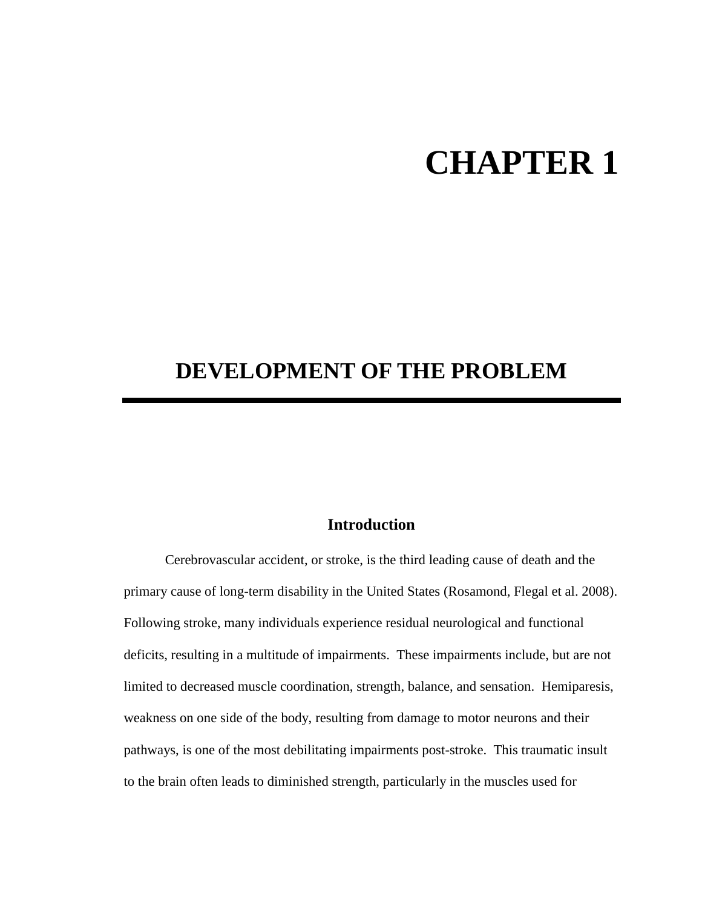# **CHAPTER 1**

### **DEVELOPMENT OF THE PROBLEM**

#### **Introduction**

Cerebrovascular accident, or stroke, is the third leading cause of death and the primary cause of long-term disability in the United States (Rosamond, Flegal et al. 2008). Following stroke, many individuals experience residual neurological and functional deficits, resulting in a multitude of impairments. These impairments include, but are not limited to decreased muscle coordination, strength, balance, and sensation. Hemiparesis, weakness on one side of the body, resulting from damage to motor neurons and their pathways, is one of the most debilitating impairments post-stroke. This traumatic insult to the brain often leads to diminished strength, particularly in the muscles used for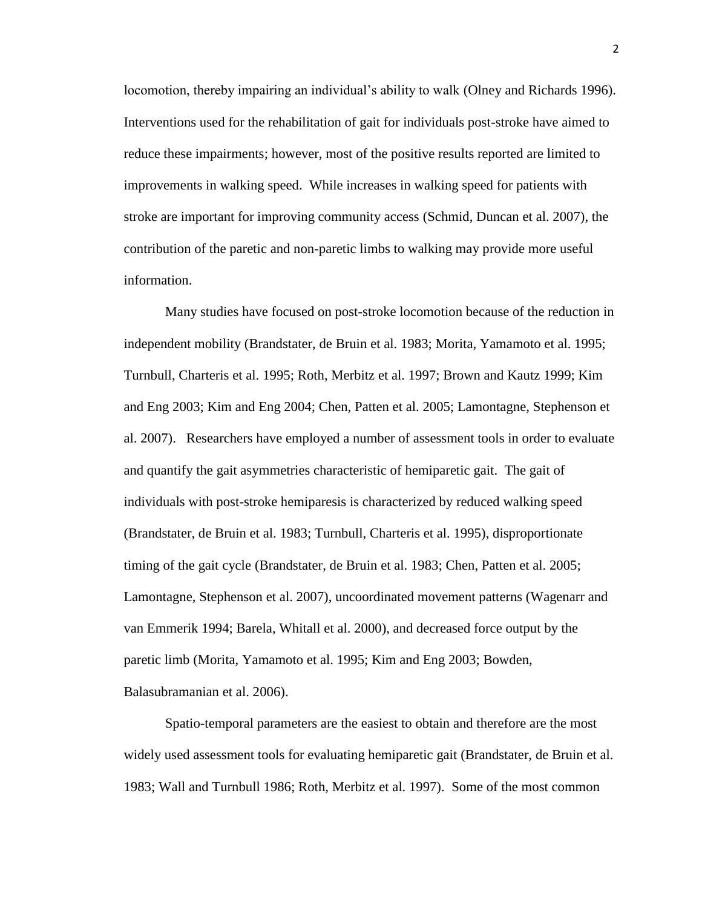locomotion, thereby impairing an individual"s ability to walk (Olney and Richards 1996). Interventions used for the rehabilitation of gait for individuals post-stroke have aimed to reduce these impairments; however, most of the positive results reported are limited to improvements in walking speed. While increases in walking speed for patients with stroke are important for improving community access (Schmid, Duncan et al. 2007), the contribution of the paretic and non-paretic limbs to walking may provide more useful information.

Many studies have focused on post-stroke locomotion because of the reduction in independent mobility (Brandstater, de Bruin et al. 1983; Morita, Yamamoto et al. 1995; Turnbull, Charteris et al. 1995; Roth, Merbitz et al. 1997; Brown and Kautz 1999; Kim and Eng 2003; Kim and Eng 2004; Chen, Patten et al. 2005; Lamontagne, Stephenson et al. 2007). Researchers have employed a number of assessment tools in order to evaluate and quantify the gait asymmetries characteristic of hemiparetic gait. The gait of individuals with post-stroke hemiparesis is characterized by reduced walking speed (Brandstater, de Bruin et al. 1983; Turnbull, Charteris et al. 1995), disproportionate timing of the gait cycle (Brandstater, de Bruin et al. 1983; Chen, Patten et al. 2005; Lamontagne, Stephenson et al. 2007), uncoordinated movement patterns (Wagenarr and van Emmerik 1994; Barela, Whitall et al. 2000), and decreased force output by the paretic limb (Morita, Yamamoto et al. 1995; Kim and Eng 2003; Bowden, Balasubramanian et al. 2006).

Spatio-temporal parameters are the easiest to obtain and therefore are the most widely used assessment tools for evaluating hemiparetic gait (Brandstater, de Bruin et al. 1983; Wall and Turnbull 1986; Roth, Merbitz et al. 1997). Some of the most common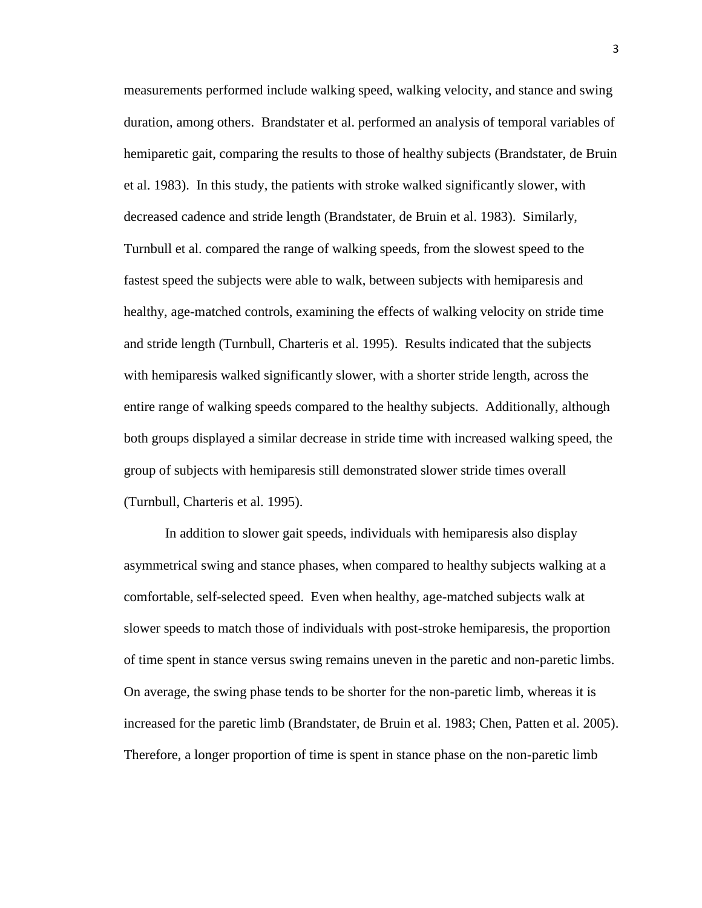measurements performed include walking speed, walking velocity, and stance and swing duration, among others. Brandstater et al. performed an analysis of temporal variables of hemiparetic gait, comparing the results to those of healthy subjects (Brandstater, de Bruin et al. 1983). In this study, the patients with stroke walked significantly slower, with decreased cadence and stride length (Brandstater, de Bruin et al. 1983). Similarly, Turnbull et al. compared the range of walking speeds, from the slowest speed to the fastest speed the subjects were able to walk, between subjects with hemiparesis and healthy, age-matched controls, examining the effects of walking velocity on stride time and stride length (Turnbull, Charteris et al. 1995). Results indicated that the subjects with hemiparesis walked significantly slower, with a shorter stride length, across the entire range of walking speeds compared to the healthy subjects. Additionally, although both groups displayed a similar decrease in stride time with increased walking speed, the group of subjects with hemiparesis still demonstrated slower stride times overall (Turnbull, Charteris et al. 1995).

In addition to slower gait speeds, individuals with hemiparesis also display asymmetrical swing and stance phases, when compared to healthy subjects walking at a comfortable, self-selected speed. Even when healthy, age-matched subjects walk at slower speeds to match those of individuals with post-stroke hemiparesis, the proportion of time spent in stance versus swing remains uneven in the paretic and non-paretic limbs. On average, the swing phase tends to be shorter for the non-paretic limb, whereas it is increased for the paretic limb (Brandstater, de Bruin et al. 1983; Chen, Patten et al. 2005). Therefore, a longer proportion of time is spent in stance phase on the non-paretic limb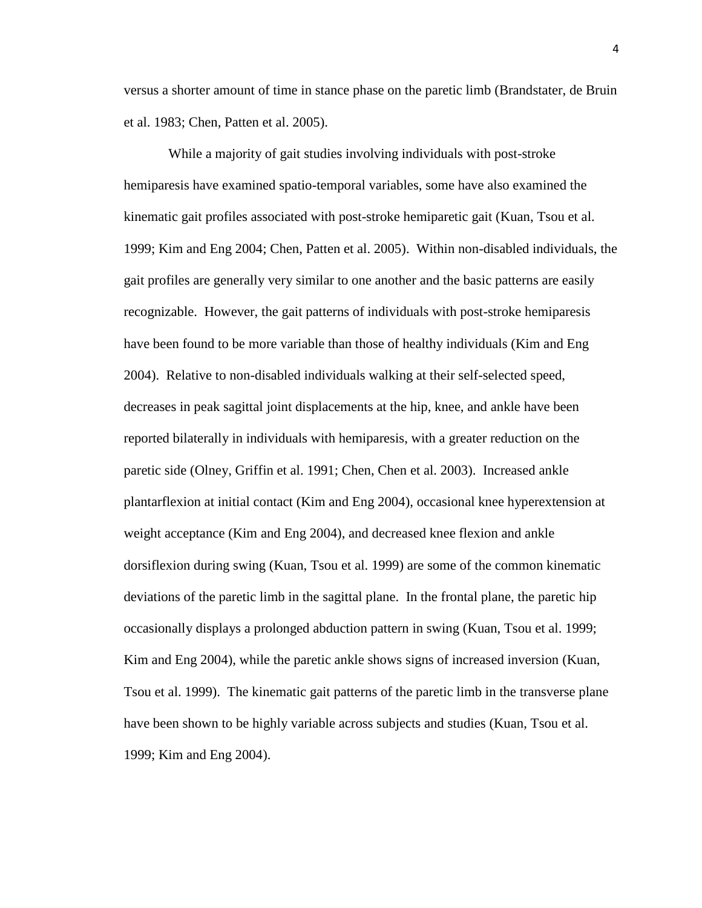versus a shorter amount of time in stance phase on the paretic limb (Brandstater, de Bruin et al. 1983; Chen, Patten et al. 2005).

While a majority of gait studies involving individuals with post-stroke hemiparesis have examined spatio-temporal variables, some have also examined the kinematic gait profiles associated with post-stroke hemiparetic gait (Kuan, Tsou et al. 1999; Kim and Eng 2004; Chen, Patten et al. 2005). Within non-disabled individuals, the gait profiles are generally very similar to one another and the basic patterns are easily recognizable. However, the gait patterns of individuals with post-stroke hemiparesis have been found to be more variable than those of healthy individuals (Kim and Eng 2004). Relative to non-disabled individuals walking at their self-selected speed, decreases in peak sagittal joint displacements at the hip, knee, and ankle have been reported bilaterally in individuals with hemiparesis, with a greater reduction on the paretic side (Olney, Griffin et al. 1991; Chen, Chen et al. 2003). Increased ankle plantarflexion at initial contact (Kim and Eng 2004), occasional knee hyperextension at weight acceptance (Kim and Eng 2004), and decreased knee flexion and ankle dorsiflexion during swing (Kuan, Tsou et al. 1999) are some of the common kinematic deviations of the paretic limb in the sagittal plane. In the frontal plane, the paretic hip occasionally displays a prolonged abduction pattern in swing (Kuan, Tsou et al. 1999; Kim and Eng 2004), while the paretic ankle shows signs of increased inversion (Kuan, Tsou et al. 1999). The kinematic gait patterns of the paretic limb in the transverse plane have been shown to be highly variable across subjects and studies (Kuan, Tsou et al. 1999; Kim and Eng 2004).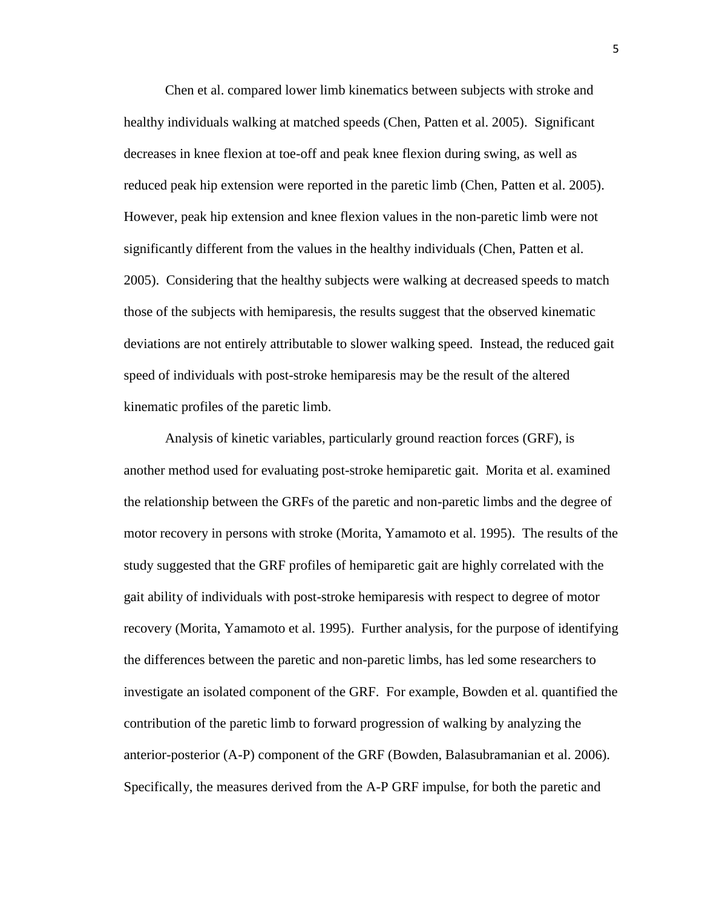Chen et al. compared lower limb kinematics between subjects with stroke and healthy individuals walking at matched speeds (Chen, Patten et al. 2005). Significant decreases in knee flexion at toe-off and peak knee flexion during swing, as well as reduced peak hip extension were reported in the paretic limb (Chen, Patten et al. 2005). However, peak hip extension and knee flexion values in the non-paretic limb were not significantly different from the values in the healthy individuals (Chen, Patten et al. 2005). Considering that the healthy subjects were walking at decreased speeds to match those of the subjects with hemiparesis, the results suggest that the observed kinematic deviations are not entirely attributable to slower walking speed. Instead, the reduced gait speed of individuals with post-stroke hemiparesis may be the result of the altered kinematic profiles of the paretic limb.

Analysis of kinetic variables, particularly ground reaction forces (GRF), is another method used for evaluating post-stroke hemiparetic gait. Morita et al. examined the relationship between the GRFs of the paretic and non-paretic limbs and the degree of motor recovery in persons with stroke (Morita, Yamamoto et al. 1995). The results of the study suggested that the GRF profiles of hemiparetic gait are highly correlated with the gait ability of individuals with post-stroke hemiparesis with respect to degree of motor recovery (Morita, Yamamoto et al. 1995). Further analysis, for the purpose of identifying the differences between the paretic and non-paretic limbs, has led some researchers to investigate an isolated component of the GRF. For example, Bowden et al. quantified the contribution of the paretic limb to forward progression of walking by analyzing the anterior-posterior (A-P) component of the GRF (Bowden, Balasubramanian et al. 2006). Specifically, the measures derived from the A-P GRF impulse, for both the paretic and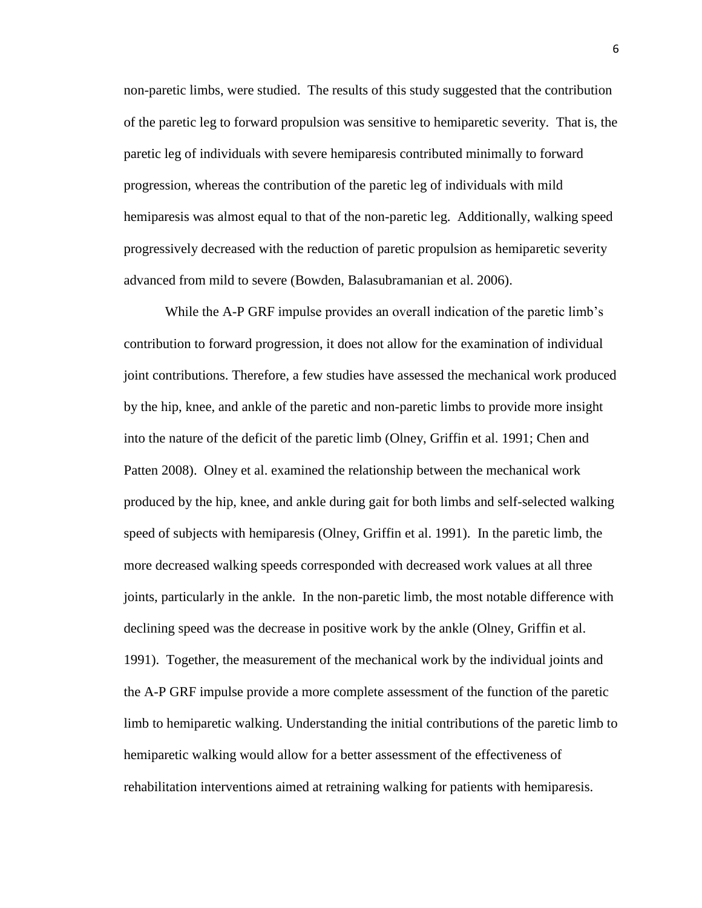non-paretic limbs, were studied. The results of this study suggested that the contribution of the paretic leg to forward propulsion was sensitive to hemiparetic severity. That is, the paretic leg of individuals with severe hemiparesis contributed minimally to forward progression, whereas the contribution of the paretic leg of individuals with mild hemiparesis was almost equal to that of the non-paretic leg. Additionally, walking speed progressively decreased with the reduction of paretic propulsion as hemiparetic severity advanced from mild to severe (Bowden, Balasubramanian et al. 2006).

While the A-P GRF impulse provides an overall indication of the paretic limb's contribution to forward progression, it does not allow for the examination of individual joint contributions. Therefore, a few studies have assessed the mechanical work produced by the hip, knee, and ankle of the paretic and non-paretic limbs to provide more insight into the nature of the deficit of the paretic limb (Olney, Griffin et al. 1991; Chen and Patten 2008). Olney et al. examined the relationship between the mechanical work produced by the hip, knee, and ankle during gait for both limbs and self-selected walking speed of subjects with hemiparesis (Olney, Griffin et al. 1991). In the paretic limb, the more decreased walking speeds corresponded with decreased work values at all three joints, particularly in the ankle. In the non-paretic limb, the most notable difference with declining speed was the decrease in positive work by the ankle (Olney, Griffin et al. 1991). Together, the measurement of the mechanical work by the individual joints and the A-P GRF impulse provide a more complete assessment of the function of the paretic limb to hemiparetic walking. Understanding the initial contributions of the paretic limb to hemiparetic walking would allow for a better assessment of the effectiveness of rehabilitation interventions aimed at retraining walking for patients with hemiparesis.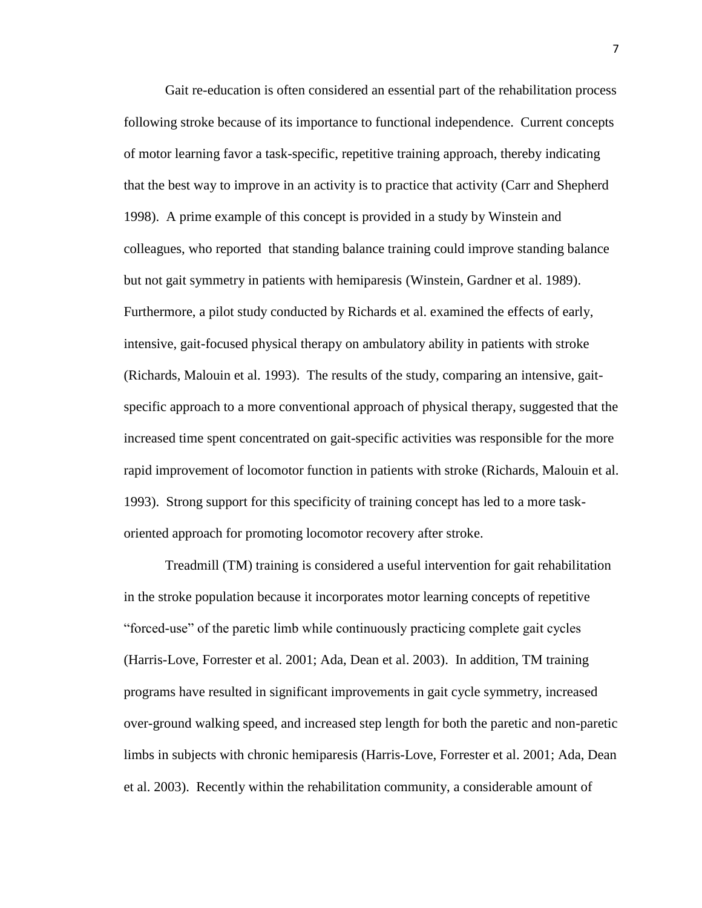Gait re-education is often considered an essential part of the rehabilitation process following stroke because of its importance to functional independence. Current concepts of motor learning favor a task-specific, repetitive training approach, thereby indicating that the best way to improve in an activity is to practice that activity (Carr and Shepherd 1998). A prime example of this concept is provided in a study by Winstein and colleagues, who reported that standing balance training could improve standing balance but not gait symmetry in patients with hemiparesis (Winstein, Gardner et al. 1989). Furthermore, a pilot study conducted by Richards et al. examined the effects of early, intensive, gait-focused physical therapy on ambulatory ability in patients with stroke (Richards, Malouin et al. 1993). The results of the study, comparing an intensive, gaitspecific approach to a more conventional approach of physical therapy, suggested that the increased time spent concentrated on gait-specific activities was responsible for the more rapid improvement of locomotor function in patients with stroke (Richards, Malouin et al. 1993). Strong support for this specificity of training concept has led to a more taskoriented approach for promoting locomotor recovery after stroke.

Treadmill (TM) training is considered a useful intervention for gait rehabilitation in the stroke population because it incorporates motor learning concepts of repetitive "forced-use" of the paretic limb while continuously practicing complete gait cycles (Harris-Love, Forrester et al. 2001; Ada, Dean et al. 2003). In addition, TM training programs have resulted in significant improvements in gait cycle symmetry, increased over-ground walking speed, and increased step length for both the paretic and non-paretic limbs in subjects with chronic hemiparesis (Harris-Love, Forrester et al. 2001; Ada, Dean et al. 2003). Recently within the rehabilitation community, a considerable amount of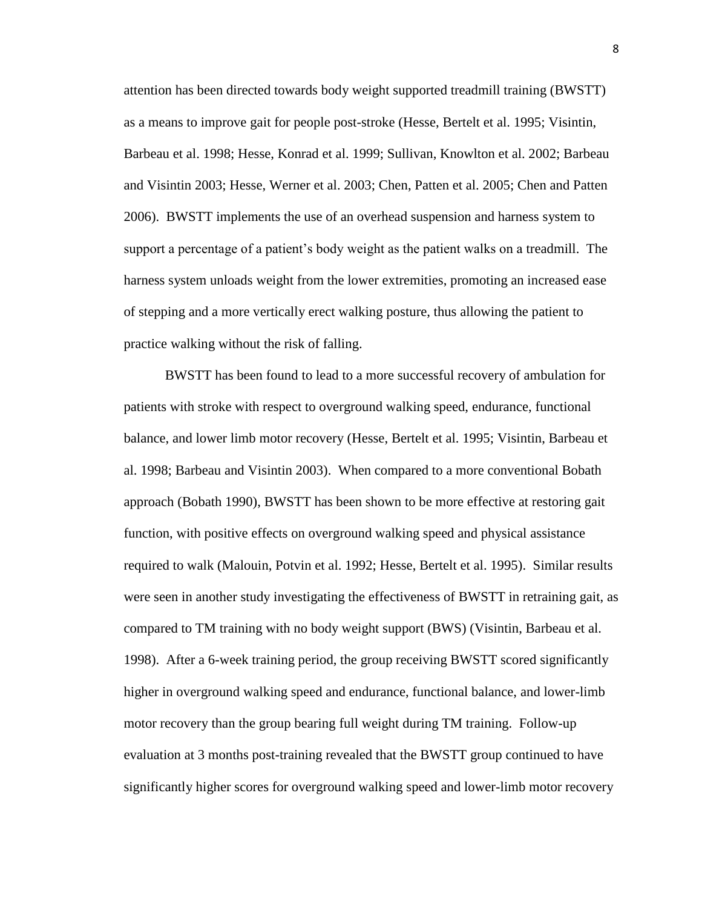attention has been directed towards body weight supported treadmill training (BWSTT) as a means to improve gait for people post-stroke (Hesse, Bertelt et al. 1995; Visintin, Barbeau et al. 1998; Hesse, Konrad et al. 1999; Sullivan, Knowlton et al. 2002; Barbeau and Visintin 2003; Hesse, Werner et al. 2003; Chen, Patten et al. 2005; Chen and Patten 2006). BWSTT implements the use of an overhead suspension and harness system to support a percentage of a patient"s body weight as the patient walks on a treadmill. The harness system unloads weight from the lower extremities, promoting an increased ease of stepping and a more vertically erect walking posture, thus allowing the patient to practice walking without the risk of falling.

BWSTT has been found to lead to a more successful recovery of ambulation for patients with stroke with respect to overground walking speed, endurance, functional balance, and lower limb motor recovery (Hesse, Bertelt et al. 1995; Visintin, Barbeau et al. 1998; Barbeau and Visintin 2003). When compared to a more conventional Bobath approach (Bobath 1990), BWSTT has been shown to be more effective at restoring gait function, with positive effects on overground walking speed and physical assistance required to walk (Malouin, Potvin et al. 1992; Hesse, Bertelt et al. 1995). Similar results were seen in another study investigating the effectiveness of BWSTT in retraining gait, as compared to TM training with no body weight support (BWS) (Visintin, Barbeau et al. 1998). After a 6-week training period, the group receiving BWSTT scored significantly higher in overground walking speed and endurance, functional balance, and lower-limb motor recovery than the group bearing full weight during TM training. Follow-up evaluation at 3 months post-training revealed that the BWSTT group continued to have significantly higher scores for overground walking speed and lower-limb motor recovery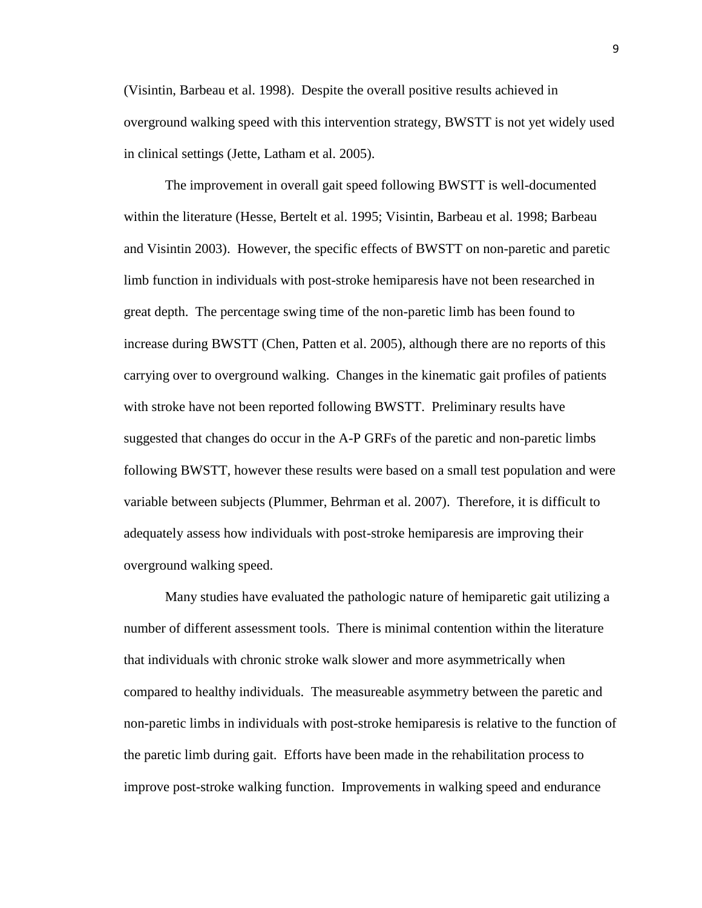(Visintin, Barbeau et al. 1998). Despite the overall positive results achieved in overground walking speed with this intervention strategy, BWSTT is not yet widely used in clinical settings (Jette, Latham et al. 2005).

The improvement in overall gait speed following BWSTT is well-documented within the literature (Hesse, Bertelt et al. 1995; Visintin, Barbeau et al. 1998; Barbeau and Visintin 2003). However, the specific effects of BWSTT on non-paretic and paretic limb function in individuals with post-stroke hemiparesis have not been researched in great depth. The percentage swing time of the non-paretic limb has been found to increase during BWSTT (Chen, Patten et al. 2005), although there are no reports of this carrying over to overground walking. Changes in the kinematic gait profiles of patients with stroke have not been reported following BWSTT. Preliminary results have suggested that changes do occur in the A-P GRFs of the paretic and non-paretic limbs following BWSTT, however these results were based on a small test population and were variable between subjects (Plummer, Behrman et al. 2007). Therefore, it is difficult to adequately assess how individuals with post-stroke hemiparesis are improving their overground walking speed.

Many studies have evaluated the pathologic nature of hemiparetic gait utilizing a number of different assessment tools. There is minimal contention within the literature that individuals with chronic stroke walk slower and more asymmetrically when compared to healthy individuals. The measureable asymmetry between the paretic and non-paretic limbs in individuals with post-stroke hemiparesis is relative to the function of the paretic limb during gait. Efforts have been made in the rehabilitation process to improve post-stroke walking function. Improvements in walking speed and endurance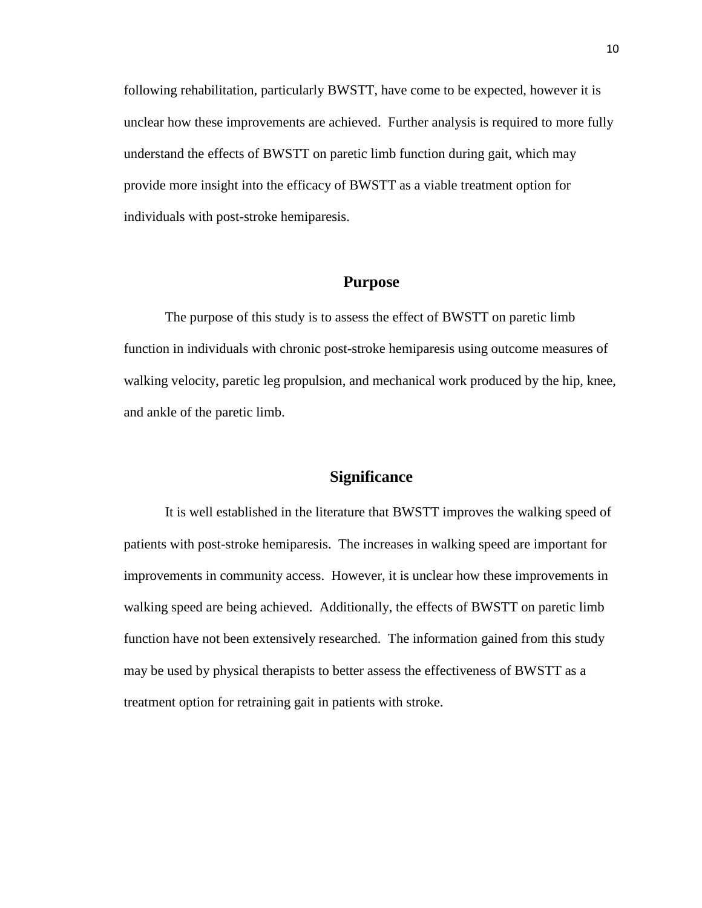following rehabilitation, particularly BWSTT, have come to be expected, however it is unclear how these improvements are achieved. Further analysis is required to more fully understand the effects of BWSTT on paretic limb function during gait, which may provide more insight into the efficacy of BWSTT as a viable treatment option for individuals with post-stroke hemiparesis.

#### **Purpose**

The purpose of this study is to assess the effect of BWSTT on paretic limb function in individuals with chronic post-stroke hemiparesis using outcome measures of walking velocity, paretic leg propulsion, and mechanical work produced by the hip, knee, and ankle of the paretic limb.

#### **Significance**

It is well established in the literature that BWSTT improves the walking speed of patients with post-stroke hemiparesis. The increases in walking speed are important for improvements in community access. However, it is unclear how these improvements in walking speed are being achieved. Additionally, the effects of BWSTT on paretic limb function have not been extensively researched. The information gained from this study may be used by physical therapists to better assess the effectiveness of BWSTT as a treatment option for retraining gait in patients with stroke.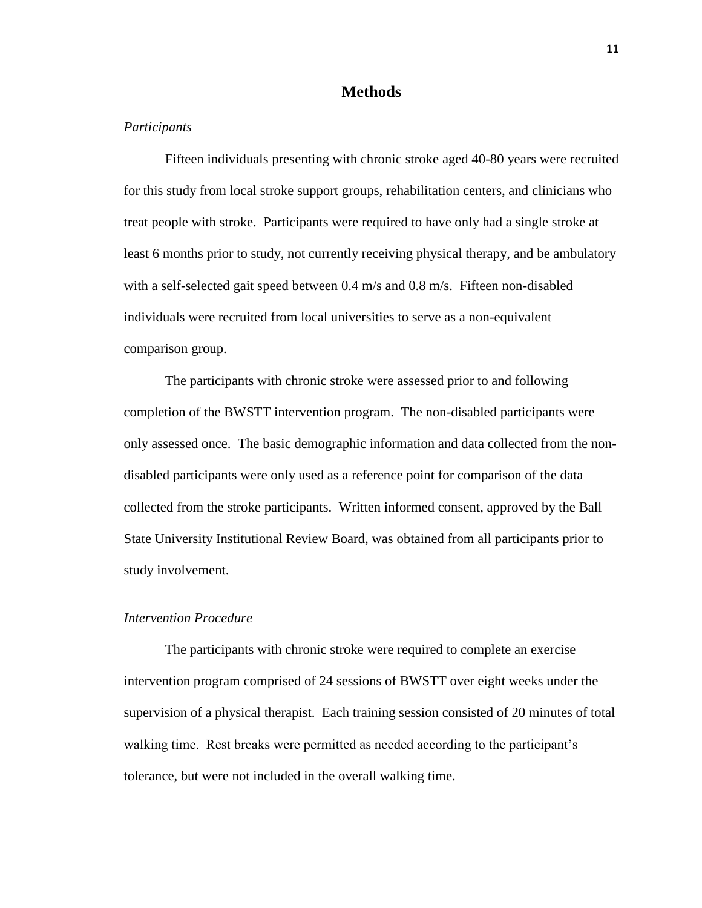#### **Methods**

#### *Participants*

Fifteen individuals presenting with chronic stroke aged 40-80 years were recruited for this study from local stroke support groups, rehabilitation centers, and clinicians who treat people with stroke. Participants were required to have only had a single stroke at least 6 months prior to study, not currently receiving physical therapy, and be ambulatory with a self-selected gait speed between 0.4 m/s and 0.8 m/s. Fifteen non-disabled individuals were recruited from local universities to serve as a non-equivalent comparison group.

The participants with chronic stroke were assessed prior to and following completion of the BWSTT intervention program. The non-disabled participants were only assessed once. The basic demographic information and data collected from the nondisabled participants were only used as a reference point for comparison of the data collected from the stroke participants. Written informed consent, approved by the Ball State University Institutional Review Board, was obtained from all participants prior to study involvement.

#### *Intervention Procedure*

The participants with chronic stroke were required to complete an exercise intervention program comprised of 24 sessions of BWSTT over eight weeks under the supervision of a physical therapist. Each training session consisted of 20 minutes of total walking time. Rest breaks were permitted as needed according to the participant's tolerance, but were not included in the overall walking time.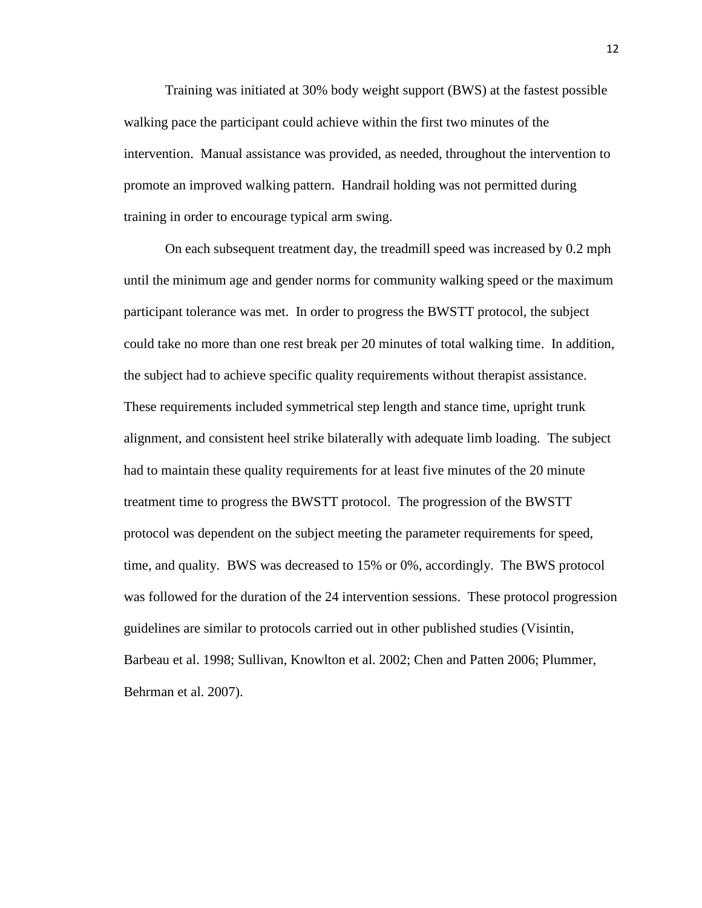Training was initiated at 30% body weight support (BWS) at the fastest possible walking pace the participant could achieve within the first two minutes of the intervention. Manual assistance was provided, as needed, throughout the intervention to promote an improved walking pattern. Handrail holding was not permitted during training in order to encourage typical arm swing.

On each subsequent treatment day, the treadmill speed was increased by 0.2 mph until the minimum age and gender norms for community walking speed or the maximum participant tolerance was met. In order to progress the BWSTT protocol, the subject could take no more than one rest break per 20 minutes of total walking time. In addition, the subject had to achieve specific quality requirements without therapist assistance. These requirements included symmetrical step length and stance time, upright trunk alignment, and consistent heel strike bilaterally with adequate limb loading. The subject had to maintain these quality requirements for at least five minutes of the 20 minute treatment time to progress the BWSTT protocol. The progression of the BWSTT protocol was dependent on the subject meeting the parameter requirements for speed, time, and quality. BWS was decreased to 15% or 0%, accordingly. The BWS protocol was followed for the duration of the 24 intervention sessions. These protocol progression guidelines are similar to protocols carried out in other published studies (Visintin, Barbeau et al. 1998; Sullivan, Knowlton et al. 2002; Chen and Patten 2006; Plummer, Behrman et al. 2007).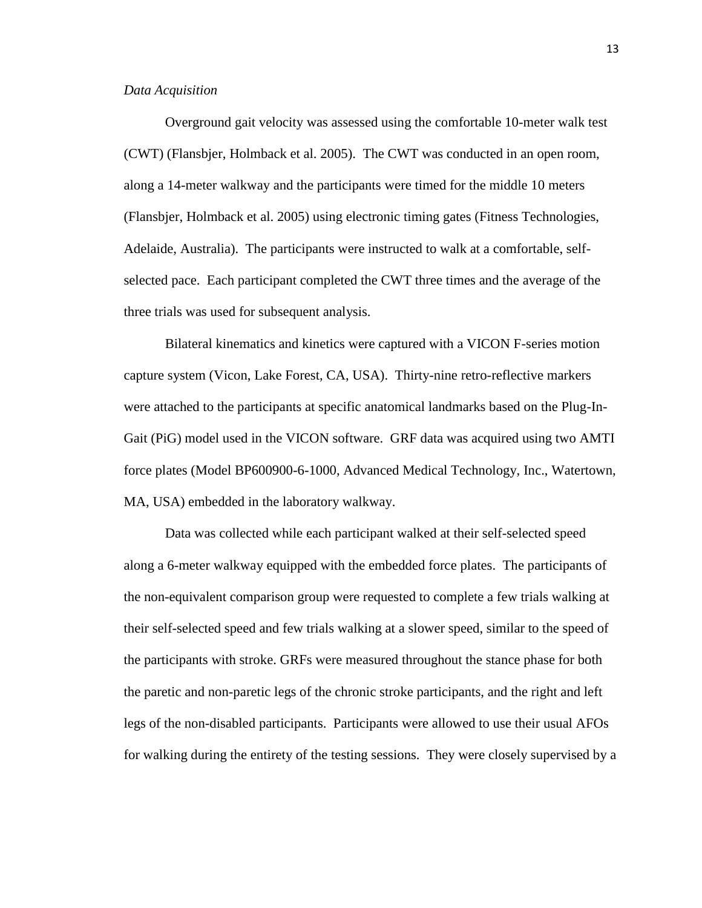#### *Data Acquisition*

Overground gait velocity was assessed using the comfortable 10-meter walk test (CWT) (Flansbjer, Holmback et al. 2005). The CWT was conducted in an open room, along a 14-meter walkway and the participants were timed for the middle 10 meters (Flansbjer, Holmback et al. 2005) using electronic timing gates (Fitness Technologies, Adelaide, Australia). The participants were instructed to walk at a comfortable, selfselected pace. Each participant completed the CWT three times and the average of the three trials was used for subsequent analysis.

Bilateral kinematics and kinetics were captured with a VICON F-series motion capture system (Vicon, Lake Forest, CA, USA). Thirty-nine retro-reflective markers were attached to the participants at specific anatomical landmarks based on the Plug-In-Gait (PiG) model used in the VICON software. GRF data was acquired using two AMTI force plates (Model BP600900-6-1000, Advanced Medical Technology, Inc., Watertown, MA, USA) embedded in the laboratory walkway.

Data was collected while each participant walked at their self-selected speed along a 6-meter walkway equipped with the embedded force plates. The participants of the non-equivalent comparison group were requested to complete a few trials walking at their self-selected speed and few trials walking at a slower speed, similar to the speed of the participants with stroke. GRFs were measured throughout the stance phase for both the paretic and non-paretic legs of the chronic stroke participants, and the right and left legs of the non-disabled participants. Participants were allowed to use their usual AFOs for walking during the entirety of the testing sessions. They were closely supervised by a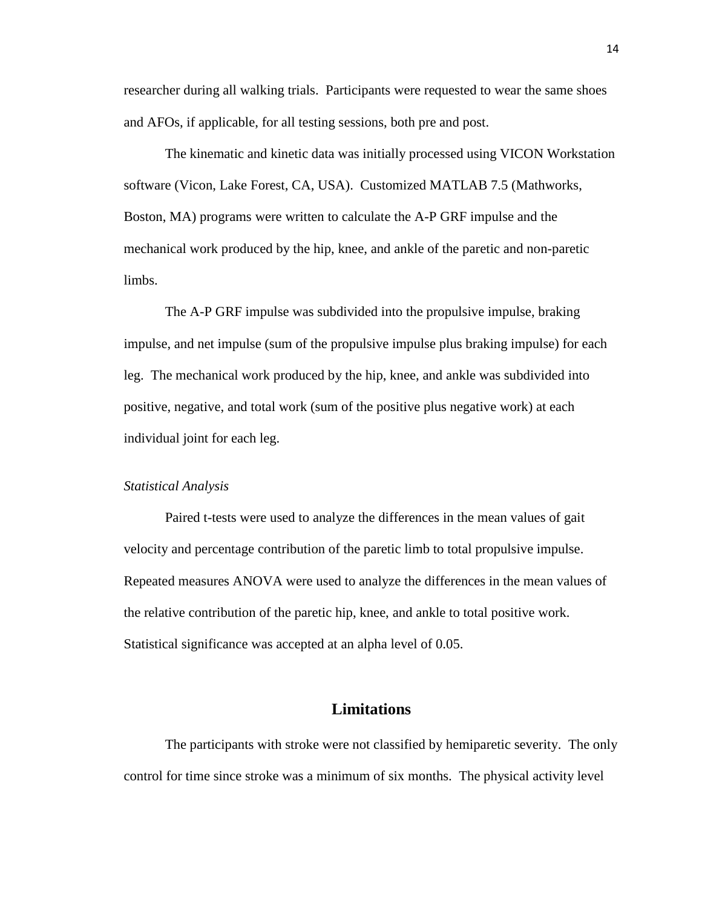researcher during all walking trials. Participants were requested to wear the same shoes and AFOs, if applicable, for all testing sessions, both pre and post.

The kinematic and kinetic data was initially processed using VICON Workstation software (Vicon, Lake Forest, CA, USA). Customized MATLAB 7.5 (Mathworks, Boston, MA) programs were written to calculate the A-P GRF impulse and the mechanical work produced by the hip, knee, and ankle of the paretic and non-paretic limbs.

The A-P GRF impulse was subdivided into the propulsive impulse, braking impulse, and net impulse (sum of the propulsive impulse plus braking impulse) for each leg. The mechanical work produced by the hip, knee, and ankle was subdivided into positive, negative, and total work (sum of the positive plus negative work) at each individual joint for each leg.

#### *Statistical Analysis*

Paired t-tests were used to analyze the differences in the mean values of gait velocity and percentage contribution of the paretic limb to total propulsive impulse. Repeated measures ANOVA were used to analyze the differences in the mean values of the relative contribution of the paretic hip, knee, and ankle to total positive work. Statistical significance was accepted at an alpha level of 0.05.

#### **Limitations**

The participants with stroke were not classified by hemiparetic severity. The only control for time since stroke was a minimum of six months. The physical activity level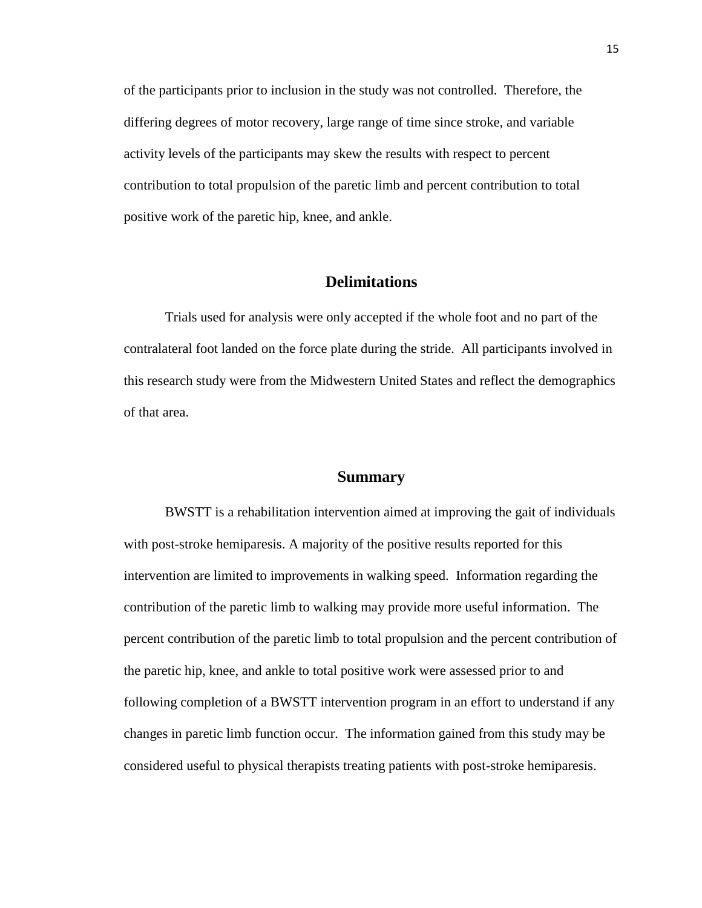of the participants prior to inclusion in the study was not controlled. Therefore, the differing degrees of motor recovery, large range of time since stroke, and variable activity levels of the participants may skew the results with respect to percent contribution to total propulsion of the paretic limb and percent contribution to total positive work of the paretic hip, knee, and ankle.

#### **Delimitations**

Trials used for analysis were only accepted if the whole foot and no part of the contralateral foot landed on the force plate during the stride. All participants involved in this research study were from the Midwestern United States and reflect the demographics of that area.

#### **Summary**

BWSTT is a rehabilitation intervention aimed at improving the gait of individuals with post-stroke hemiparesis. A majority of the positive results reported for this intervention are limited to improvements in walking speed. Information regarding the contribution of the paretic limb to walking may provide more useful information. The percent contribution of the paretic limb to total propulsion and the percent contribution of the paretic hip, knee, and ankle to total positive work were assessed prior to and following completion of a BWSTT intervention program in an effort to understand if any changes in paretic limb function occur. The information gained from this study may be considered useful to physical therapists treating patients with post-stroke hemiparesis.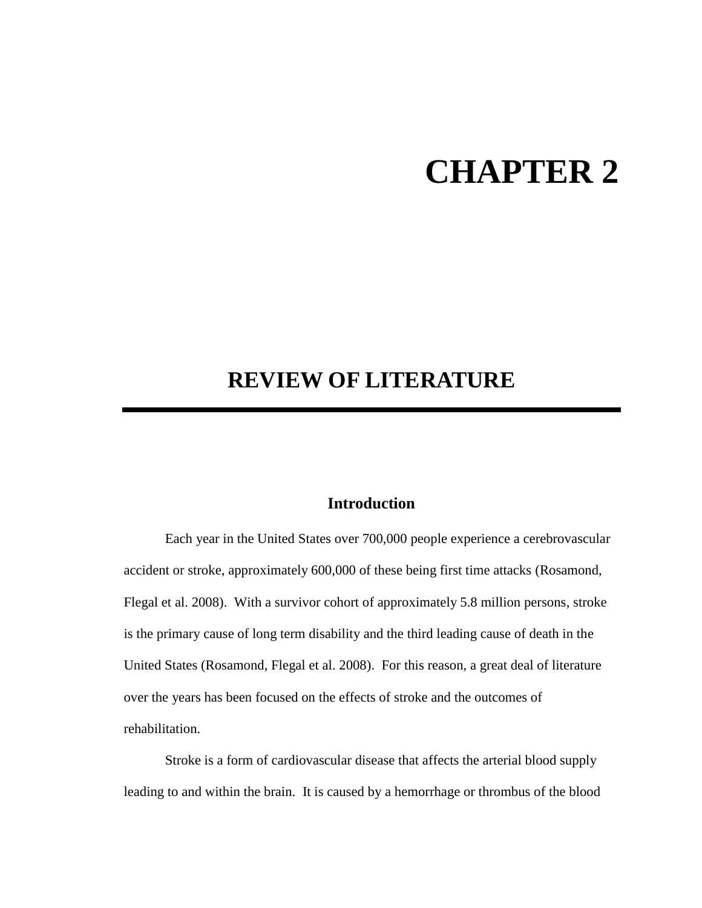## **CHAPTER 2**

### **REVIEW OF LITERATURE**

#### **Introduction**

Each year in the United States over 700,000 people experience a cerebrovascular accident or stroke, approximately 600,000 of these being first time attacks (Rosamond, Flegal et al. 2008). With a survivor cohort of approximately 5.8 million persons, stroke is the primary cause of long term disability and the third leading cause of death in the United States (Rosamond, Flegal et al. 2008). For this reason, a great deal of literature over the years has been focused on the effects of stroke and the outcomes of rehabilitation.

Stroke is a form of cardiovascular disease that affects the arterial blood supply leading to and within the brain. It is caused by a hemorrhage or thrombus of the blood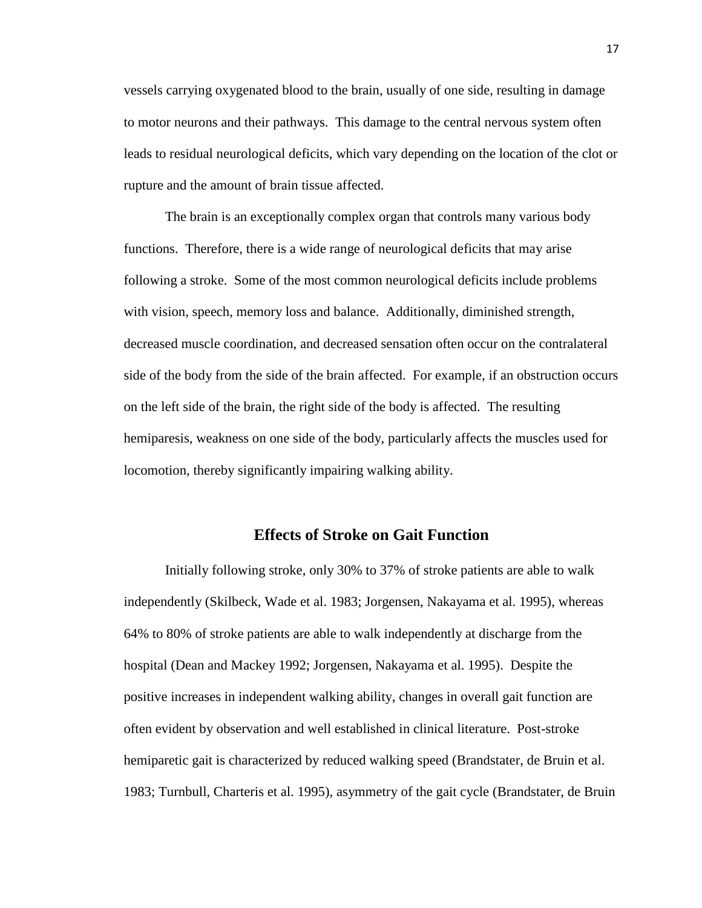vessels carrying oxygenated blood to the brain, usually of one side, resulting in damage to motor neurons and their pathways. This damage to the central nervous system often leads to residual neurological deficits, which vary depending on the location of the clot or rupture and the amount of brain tissue affected.

The brain is an exceptionally complex organ that controls many various body functions. Therefore, there is a wide range of neurological deficits that may arise following a stroke. Some of the most common neurological deficits include problems with vision, speech, memory loss and balance. Additionally, diminished strength, decreased muscle coordination, and decreased sensation often occur on the contralateral side of the body from the side of the brain affected. For example, if an obstruction occurs on the left side of the brain, the right side of the body is affected. The resulting hemiparesis, weakness on one side of the body, particularly affects the muscles used for locomotion, thereby significantly impairing walking ability.

#### **Effects of Stroke on Gait Function**

Initially following stroke, only 30% to 37% of stroke patients are able to walk independently (Skilbeck, Wade et al. 1983; Jorgensen, Nakayama et al. 1995), whereas 64% to 80% of stroke patients are able to walk independently at discharge from the hospital (Dean and Mackey 1992; Jorgensen, Nakayama et al. 1995). Despite the positive increases in independent walking ability, changes in overall gait function are often evident by observation and well established in clinical literature. Post-stroke hemiparetic gait is characterized by reduced walking speed (Brandstater, de Bruin et al. 1983; Turnbull, Charteris et al. 1995), asymmetry of the gait cycle (Brandstater, de Bruin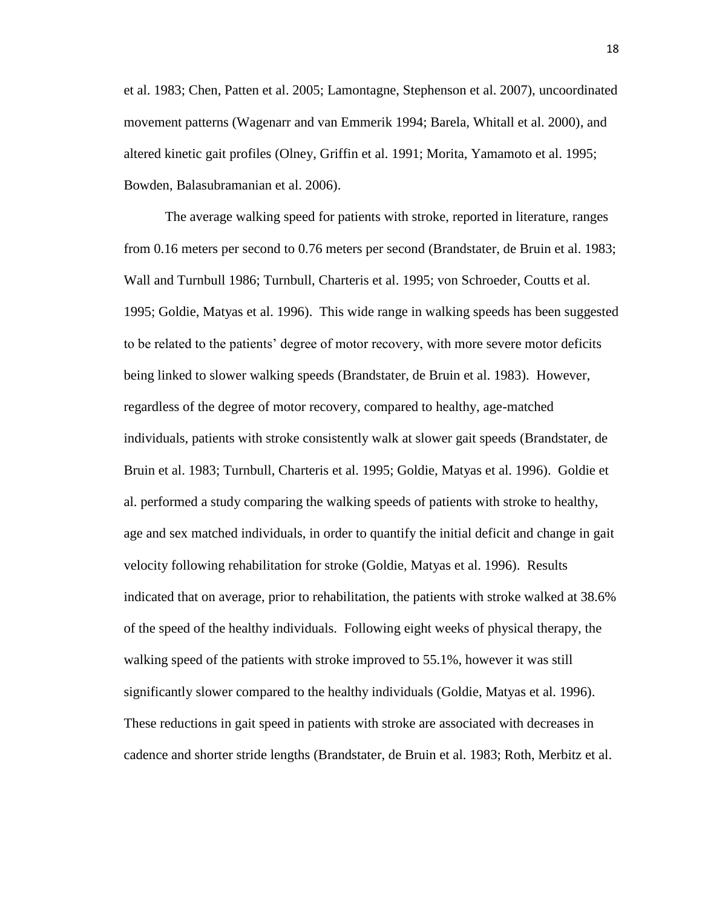et al. 1983; Chen, Patten et al. 2005; Lamontagne, Stephenson et al. 2007), uncoordinated movement patterns (Wagenarr and van Emmerik 1994; Barela, Whitall et al. 2000), and altered kinetic gait profiles (Olney, Griffin et al. 1991; Morita, Yamamoto et al. 1995; Bowden, Balasubramanian et al. 2006).

The average walking speed for patients with stroke, reported in literature, ranges from 0.16 meters per second to 0.76 meters per second (Brandstater, de Bruin et al. 1983; Wall and Turnbull 1986; Turnbull, Charteris et al. 1995; von Schroeder, Coutts et al. 1995; Goldie, Matyas et al. 1996). This wide range in walking speeds has been suggested to be related to the patients" degree of motor recovery, with more severe motor deficits being linked to slower walking speeds (Brandstater, de Bruin et al. 1983). However, regardless of the degree of motor recovery, compared to healthy, age-matched individuals, patients with stroke consistently walk at slower gait speeds (Brandstater, de Bruin et al. 1983; Turnbull, Charteris et al. 1995; Goldie, Matyas et al. 1996). Goldie et al. performed a study comparing the walking speeds of patients with stroke to healthy, age and sex matched individuals, in order to quantify the initial deficit and change in gait velocity following rehabilitation for stroke (Goldie, Matyas et al. 1996). Results indicated that on average, prior to rehabilitation, the patients with stroke walked at 38.6% of the speed of the healthy individuals. Following eight weeks of physical therapy, the walking speed of the patients with stroke improved to 55.1%, however it was still significantly slower compared to the healthy individuals (Goldie, Matyas et al. 1996). These reductions in gait speed in patients with stroke are associated with decreases in cadence and shorter stride lengths (Brandstater, de Bruin et al. 1983; Roth, Merbitz et al.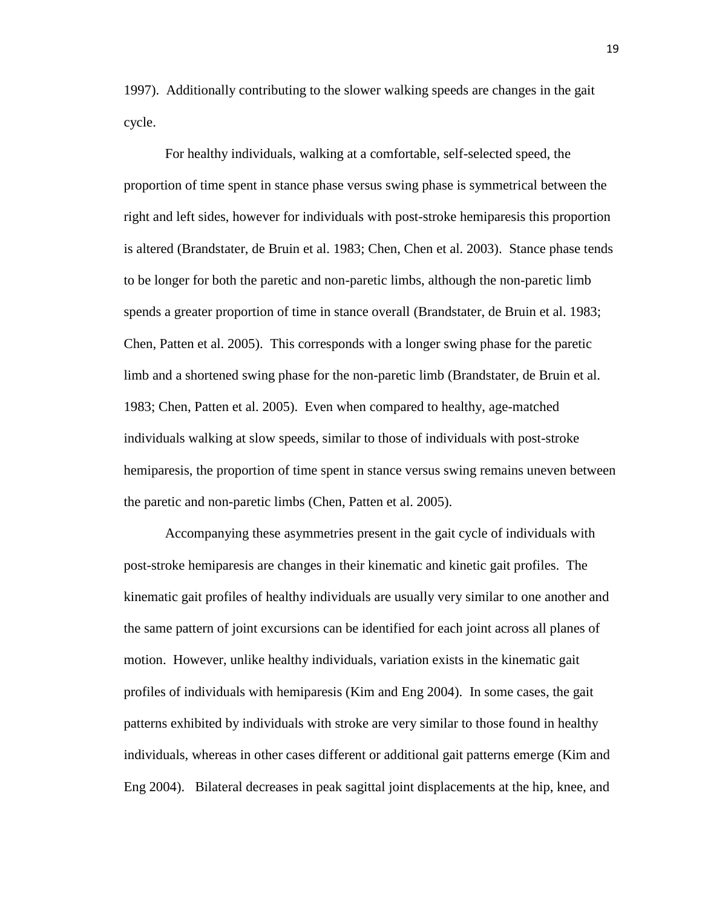1997). Additionally contributing to the slower walking speeds are changes in the gait cycle.

For healthy individuals, walking at a comfortable, self-selected speed, the proportion of time spent in stance phase versus swing phase is symmetrical between the right and left sides, however for individuals with post-stroke hemiparesis this proportion is altered (Brandstater, de Bruin et al. 1983; Chen, Chen et al. 2003). Stance phase tends to be longer for both the paretic and non-paretic limbs, although the non-paretic limb spends a greater proportion of time in stance overall (Brandstater, de Bruin et al. 1983; Chen, Patten et al. 2005). This corresponds with a longer swing phase for the paretic limb and a shortened swing phase for the non-paretic limb (Brandstater, de Bruin et al. 1983; Chen, Patten et al. 2005). Even when compared to healthy, age-matched individuals walking at slow speeds, similar to those of individuals with post-stroke hemiparesis, the proportion of time spent in stance versus swing remains uneven between the paretic and non-paretic limbs (Chen, Patten et al. 2005).

Accompanying these asymmetries present in the gait cycle of individuals with post-stroke hemiparesis are changes in their kinematic and kinetic gait profiles. The kinematic gait profiles of healthy individuals are usually very similar to one another and the same pattern of joint excursions can be identified for each joint across all planes of motion. However, unlike healthy individuals, variation exists in the kinematic gait profiles of individuals with hemiparesis (Kim and Eng 2004). In some cases, the gait patterns exhibited by individuals with stroke are very similar to those found in healthy individuals, whereas in other cases different or additional gait patterns emerge (Kim and Eng 2004). Bilateral decreases in peak sagittal joint displacements at the hip, knee, and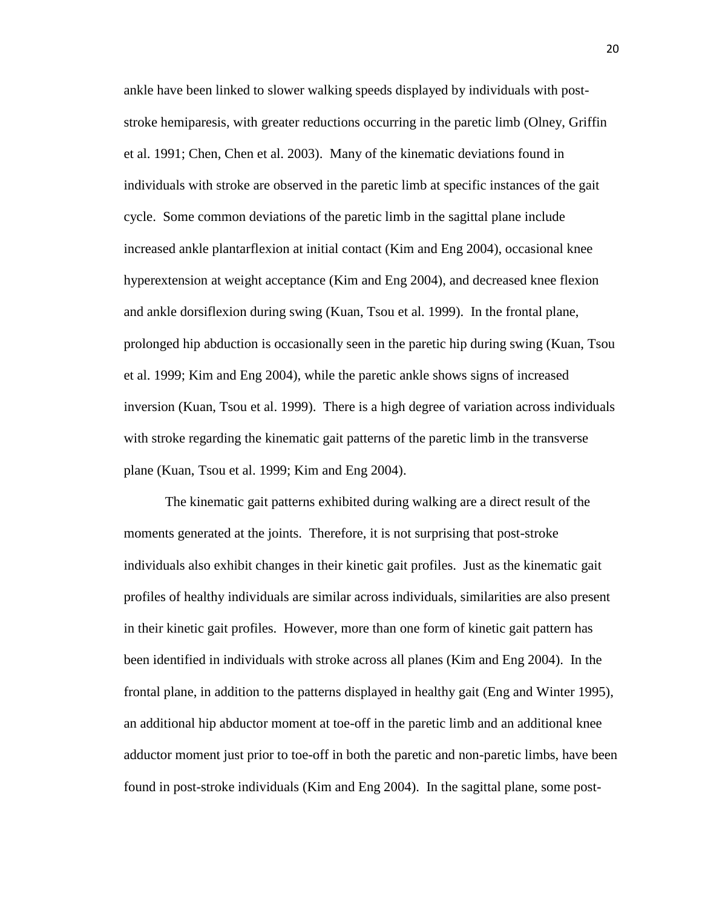ankle have been linked to slower walking speeds displayed by individuals with poststroke hemiparesis, with greater reductions occurring in the paretic limb (Olney, Griffin et al. 1991; Chen, Chen et al. 2003). Many of the kinematic deviations found in individuals with stroke are observed in the paretic limb at specific instances of the gait cycle. Some common deviations of the paretic limb in the sagittal plane include increased ankle plantarflexion at initial contact (Kim and Eng 2004), occasional knee hyperextension at weight acceptance (Kim and Eng 2004), and decreased knee flexion and ankle dorsiflexion during swing (Kuan, Tsou et al. 1999). In the frontal plane, prolonged hip abduction is occasionally seen in the paretic hip during swing (Kuan, Tsou et al. 1999; Kim and Eng 2004), while the paretic ankle shows signs of increased inversion (Kuan, Tsou et al. 1999). There is a high degree of variation across individuals with stroke regarding the kinematic gait patterns of the paretic limb in the transverse plane (Kuan, Tsou et al. 1999; Kim and Eng 2004).

The kinematic gait patterns exhibited during walking are a direct result of the moments generated at the joints. Therefore, it is not surprising that post-stroke individuals also exhibit changes in their kinetic gait profiles. Just as the kinematic gait profiles of healthy individuals are similar across individuals, similarities are also present in their kinetic gait profiles. However, more than one form of kinetic gait pattern has been identified in individuals with stroke across all planes (Kim and Eng 2004). In the frontal plane, in addition to the patterns displayed in healthy gait (Eng and Winter 1995), an additional hip abductor moment at toe-off in the paretic limb and an additional knee adductor moment just prior to toe-off in both the paretic and non-paretic limbs, have been found in post-stroke individuals (Kim and Eng 2004). In the sagittal plane, some post-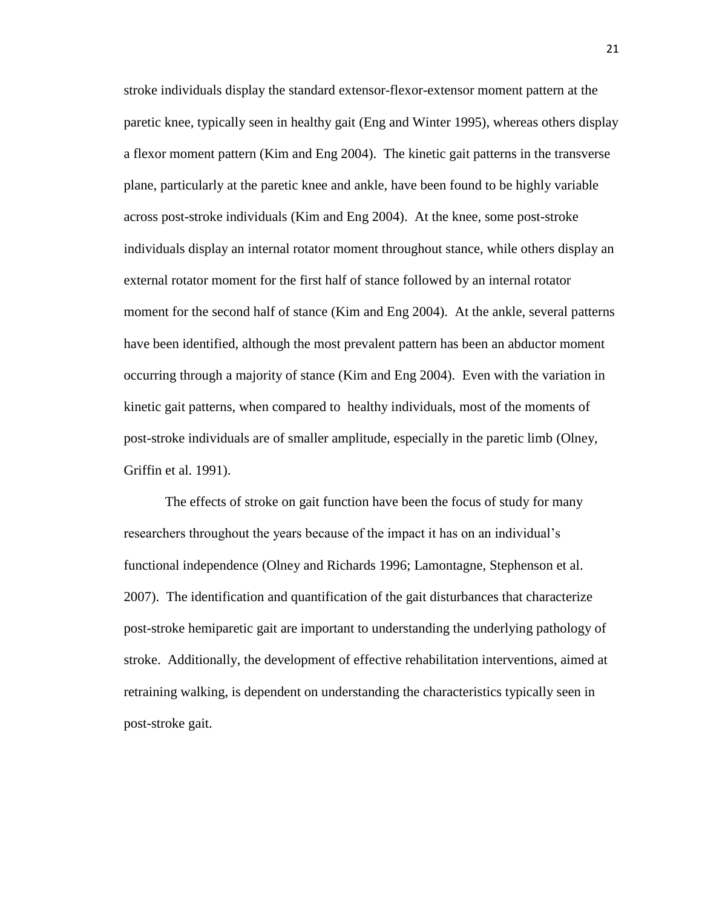stroke individuals display the standard extensor-flexor-extensor moment pattern at the paretic knee, typically seen in healthy gait (Eng and Winter 1995), whereas others display a flexor moment pattern (Kim and Eng 2004). The kinetic gait patterns in the transverse plane, particularly at the paretic knee and ankle, have been found to be highly variable across post-stroke individuals (Kim and Eng 2004). At the knee, some post-stroke individuals display an internal rotator moment throughout stance, while others display an external rotator moment for the first half of stance followed by an internal rotator moment for the second half of stance (Kim and Eng 2004). At the ankle, several patterns have been identified, although the most prevalent pattern has been an abductor moment occurring through a majority of stance (Kim and Eng 2004). Even with the variation in kinetic gait patterns, when compared to healthy individuals, most of the moments of post-stroke individuals are of smaller amplitude, especially in the paretic limb (Olney, Griffin et al. 1991).

The effects of stroke on gait function have been the focus of study for many researchers throughout the years because of the impact it has on an individual"s functional independence (Olney and Richards 1996; Lamontagne, Stephenson et al. 2007). The identification and quantification of the gait disturbances that characterize post-stroke hemiparetic gait are important to understanding the underlying pathology of stroke. Additionally, the development of effective rehabilitation interventions, aimed at retraining walking, is dependent on understanding the characteristics typically seen in post-stroke gait.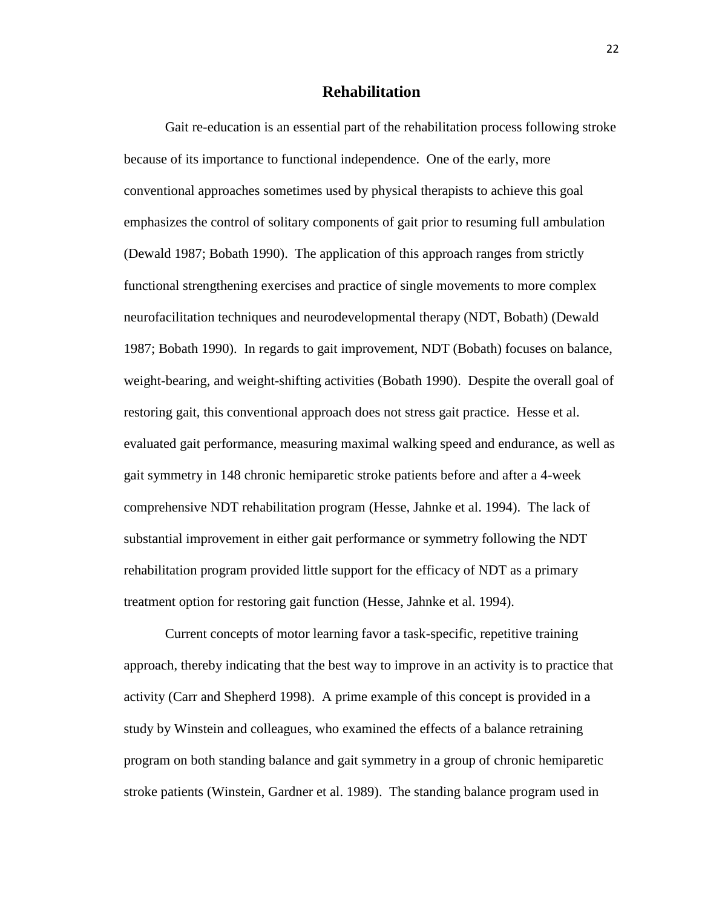#### **Rehabilitation**

Gait re-education is an essential part of the rehabilitation process following stroke because of its importance to functional independence. One of the early, more conventional approaches sometimes used by physical therapists to achieve this goal emphasizes the control of solitary components of gait prior to resuming full ambulation (Dewald 1987; Bobath 1990). The application of this approach ranges from strictly functional strengthening exercises and practice of single movements to more complex neurofacilitation techniques and neurodevelopmental therapy (NDT, Bobath) (Dewald 1987; Bobath 1990). In regards to gait improvement, NDT (Bobath) focuses on balance, weight-bearing, and weight-shifting activities (Bobath 1990). Despite the overall goal of restoring gait, this conventional approach does not stress gait practice. Hesse et al. evaluated gait performance, measuring maximal walking speed and endurance, as well as gait symmetry in 148 chronic hemiparetic stroke patients before and after a 4-week comprehensive NDT rehabilitation program (Hesse, Jahnke et al. 1994). The lack of substantial improvement in either gait performance or symmetry following the NDT rehabilitation program provided little support for the efficacy of NDT as a primary treatment option for restoring gait function (Hesse, Jahnke et al. 1994).

Current concepts of motor learning favor a task-specific, repetitive training approach, thereby indicating that the best way to improve in an activity is to practice that activity (Carr and Shepherd 1998). A prime example of this concept is provided in a study by Winstein and colleagues, who examined the effects of a balance retraining program on both standing balance and gait symmetry in a group of chronic hemiparetic stroke patients (Winstein, Gardner et al. 1989). The standing balance program used in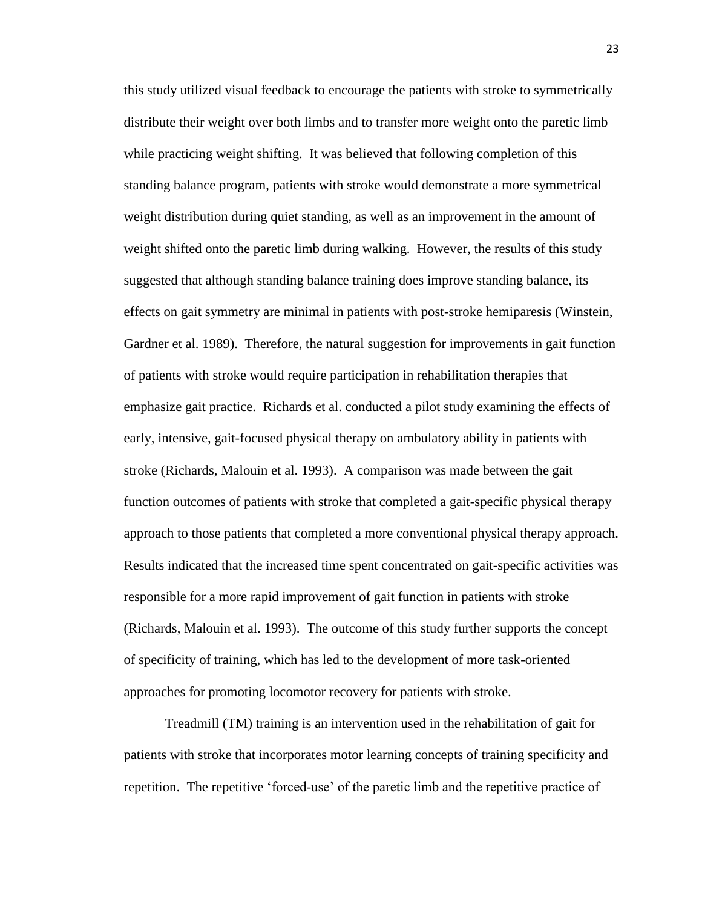this study utilized visual feedback to encourage the patients with stroke to symmetrically distribute their weight over both limbs and to transfer more weight onto the paretic limb while practicing weight shifting. It was believed that following completion of this standing balance program, patients with stroke would demonstrate a more symmetrical weight distribution during quiet standing, as well as an improvement in the amount of weight shifted onto the paretic limb during walking. However, the results of this study suggested that although standing balance training does improve standing balance, its effects on gait symmetry are minimal in patients with post-stroke hemiparesis (Winstein, Gardner et al. 1989). Therefore, the natural suggestion for improvements in gait function of patients with stroke would require participation in rehabilitation therapies that emphasize gait practice. Richards et al. conducted a pilot study examining the effects of early, intensive, gait-focused physical therapy on ambulatory ability in patients with stroke (Richards, Malouin et al. 1993). A comparison was made between the gait function outcomes of patients with stroke that completed a gait-specific physical therapy approach to those patients that completed a more conventional physical therapy approach. Results indicated that the increased time spent concentrated on gait-specific activities was responsible for a more rapid improvement of gait function in patients with stroke (Richards, Malouin et al. 1993). The outcome of this study further supports the concept of specificity of training, which has led to the development of more task-oriented approaches for promoting locomotor recovery for patients with stroke.

Treadmill (TM) training is an intervention used in the rehabilitation of gait for patients with stroke that incorporates motor learning concepts of training specificity and repetition. The repetitive "forced-use" of the paretic limb and the repetitive practice of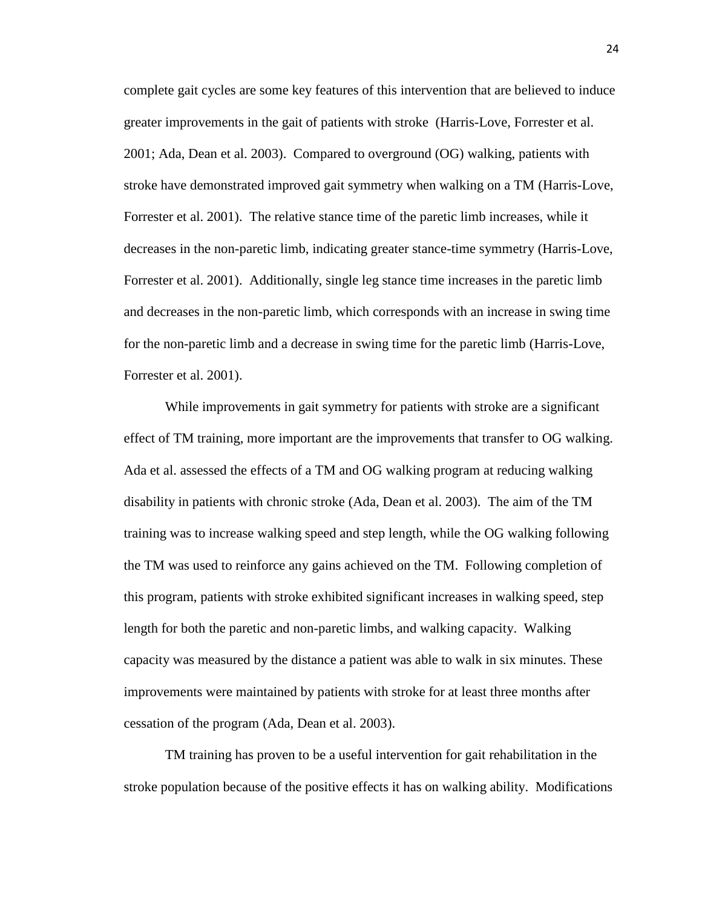complete gait cycles are some key features of this intervention that are believed to induce greater improvements in the gait of patients with stroke (Harris-Love, Forrester et al. 2001; Ada, Dean et al. 2003). Compared to overground (OG) walking, patients with stroke have demonstrated improved gait symmetry when walking on a TM (Harris-Love, Forrester et al. 2001). The relative stance time of the paretic limb increases, while it decreases in the non-paretic limb, indicating greater stance-time symmetry (Harris-Love, Forrester et al. 2001). Additionally, single leg stance time increases in the paretic limb and decreases in the non-paretic limb, which corresponds with an increase in swing time for the non-paretic limb and a decrease in swing time for the paretic limb (Harris-Love, Forrester et al. 2001).

While improvements in gait symmetry for patients with stroke are a significant effect of TM training, more important are the improvements that transfer to OG walking. Ada et al. assessed the effects of a TM and OG walking program at reducing walking disability in patients with chronic stroke (Ada, Dean et al. 2003). The aim of the TM training was to increase walking speed and step length, while the OG walking following the TM was used to reinforce any gains achieved on the TM. Following completion of this program, patients with stroke exhibited significant increases in walking speed, step length for both the paretic and non-paretic limbs, and walking capacity. Walking capacity was measured by the distance a patient was able to walk in six minutes. These improvements were maintained by patients with stroke for at least three months after cessation of the program (Ada, Dean et al. 2003).

TM training has proven to be a useful intervention for gait rehabilitation in the stroke population because of the positive effects it has on walking ability. Modifications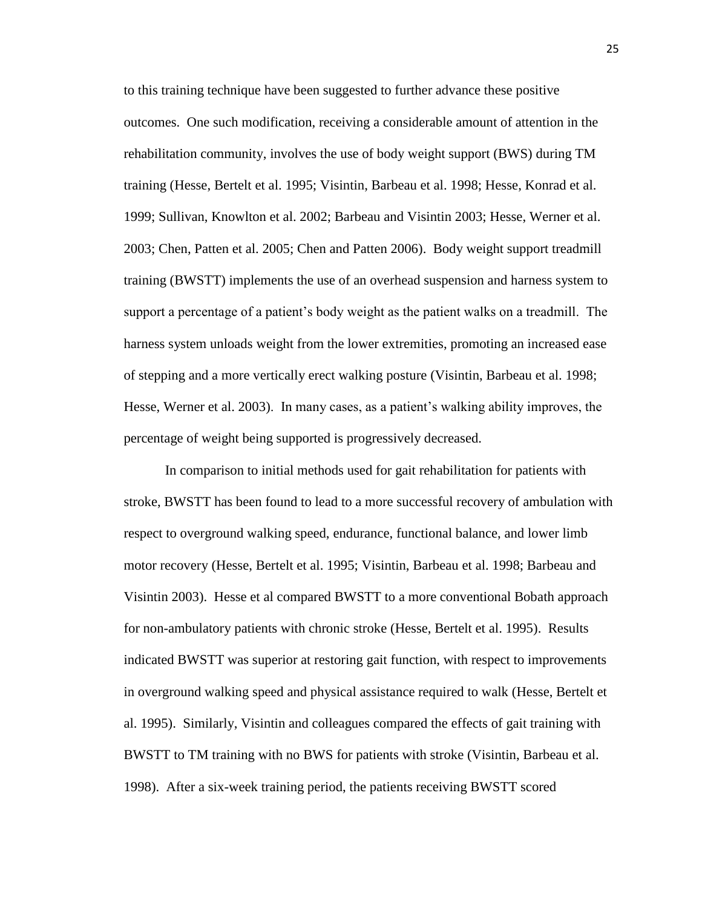to this training technique have been suggested to further advance these positive outcomes. One such modification, receiving a considerable amount of attention in the rehabilitation community, involves the use of body weight support (BWS) during TM training (Hesse, Bertelt et al. 1995; Visintin, Barbeau et al. 1998; Hesse, Konrad et al. 1999; Sullivan, Knowlton et al. 2002; Barbeau and Visintin 2003; Hesse, Werner et al. 2003; Chen, Patten et al. 2005; Chen and Patten 2006). Body weight support treadmill training (BWSTT) implements the use of an overhead suspension and harness system to support a percentage of a patient"s body weight as the patient walks on a treadmill. The harness system unloads weight from the lower extremities, promoting an increased ease of stepping and a more vertically erect walking posture (Visintin, Barbeau et al. 1998; Hesse, Werner et al. 2003). In many cases, as a patient"s walking ability improves, the percentage of weight being supported is progressively decreased.

In comparison to initial methods used for gait rehabilitation for patients with stroke, BWSTT has been found to lead to a more successful recovery of ambulation with respect to overground walking speed, endurance, functional balance, and lower limb motor recovery (Hesse, Bertelt et al. 1995; Visintin, Barbeau et al. 1998; Barbeau and Visintin 2003). Hesse et al compared BWSTT to a more conventional Bobath approach for non-ambulatory patients with chronic stroke (Hesse, Bertelt et al. 1995). Results indicated BWSTT was superior at restoring gait function, with respect to improvements in overground walking speed and physical assistance required to walk (Hesse, Bertelt et al. 1995). Similarly, Visintin and colleagues compared the effects of gait training with BWSTT to TM training with no BWS for patients with stroke (Visintin, Barbeau et al. 1998). After a six-week training period, the patients receiving BWSTT scored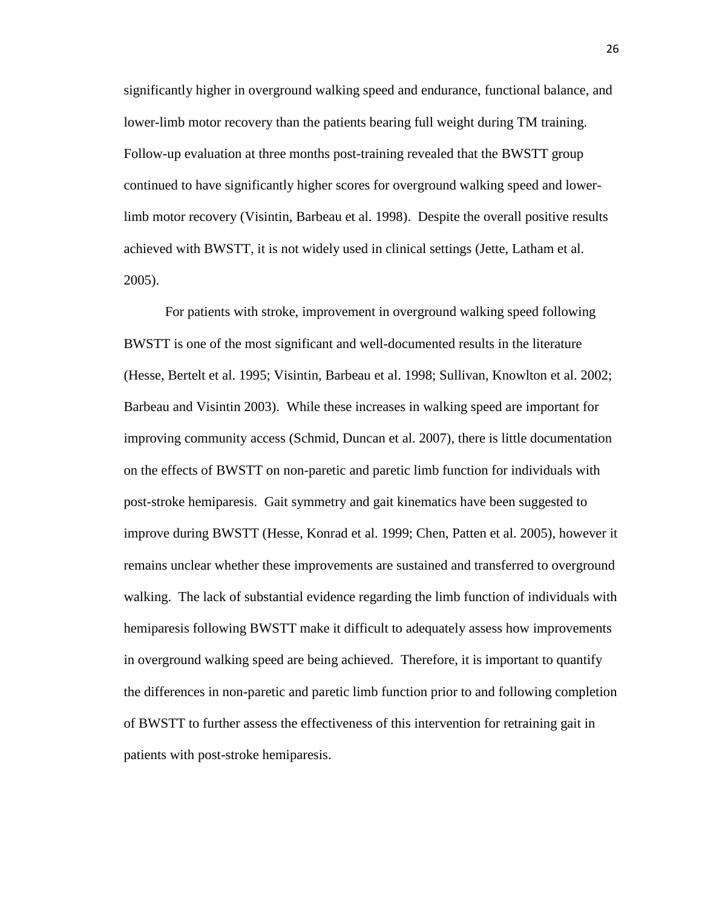significantly higher in overground walking speed and endurance, functional balance, and lower-limb motor recovery than the patients bearing full weight during TM training. Follow-up evaluation at three months post-training revealed that the BWSTT group continued to have significantly higher scores for overground walking speed and lowerlimb motor recovery (Visintin, Barbeau et al. 1998). Despite the overall positive results achieved with BWSTT, it is not widely used in clinical settings (Jette, Latham et al. 2005).

For patients with stroke, improvement in overground walking speed following BWSTT is one of the most significant and well-documented results in the literature (Hesse, Bertelt et al. 1995; Visintin, Barbeau et al. 1998; Sullivan, Knowlton et al. 2002; Barbeau and Visintin 2003). While these increases in walking speed are important for improving community access (Schmid, Duncan et al. 2007), there is little documentation on the effects of BWSTT on non-paretic and paretic limb function for individuals with post-stroke hemiparesis. Gait symmetry and gait kinematics have been suggested to improve during BWSTT (Hesse, Konrad et al. 1999; Chen, Patten et al. 2005), however it remains unclear whether these improvements are sustained and transferred to overground walking. The lack of substantial evidence regarding the limb function of individuals with hemiparesis following BWSTT make it difficult to adequately assess how improvements in overground walking speed are being achieved. Therefore, it is important to quantify the differences in non-paretic and paretic limb function prior to and following completion of BWSTT to further assess the effectiveness of this intervention for retraining gait in patients with post-stroke hemiparesis.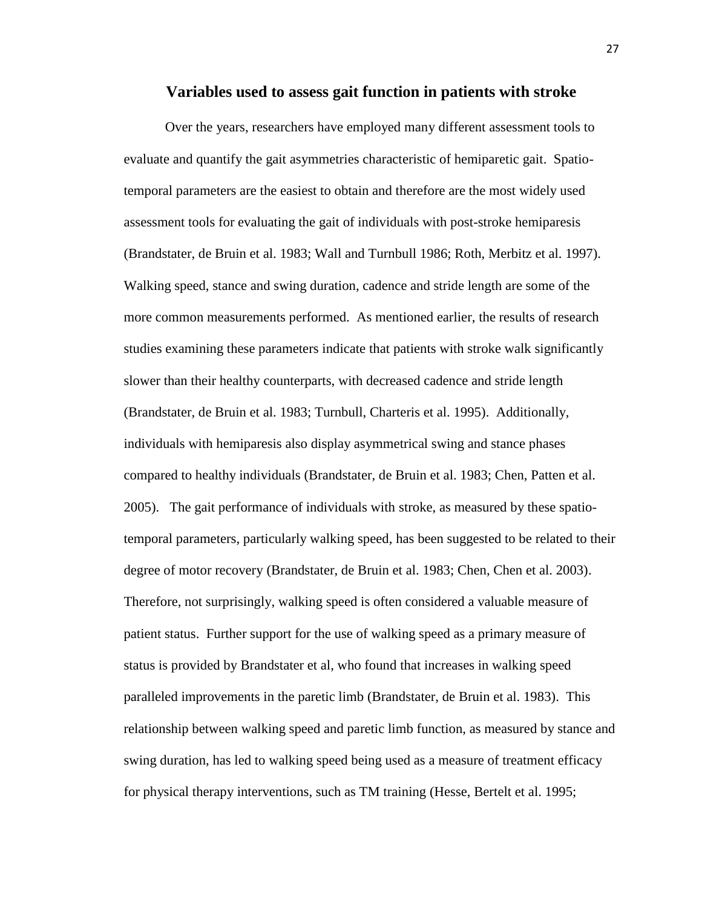#### **Variables used to assess gait function in patients with stroke**

Over the years, researchers have employed many different assessment tools to evaluate and quantify the gait asymmetries characteristic of hemiparetic gait. Spatiotemporal parameters are the easiest to obtain and therefore are the most widely used assessment tools for evaluating the gait of individuals with post-stroke hemiparesis (Brandstater, de Bruin et al. 1983; Wall and Turnbull 1986; Roth, Merbitz et al. 1997). Walking speed, stance and swing duration, cadence and stride length are some of the more common measurements performed. As mentioned earlier, the results of research studies examining these parameters indicate that patients with stroke walk significantly slower than their healthy counterparts, with decreased cadence and stride length (Brandstater, de Bruin et al. 1983; Turnbull, Charteris et al. 1995). Additionally, individuals with hemiparesis also display asymmetrical swing and stance phases compared to healthy individuals (Brandstater, de Bruin et al. 1983; Chen, Patten et al. 2005). The gait performance of individuals with stroke, as measured by these spatiotemporal parameters, particularly walking speed, has been suggested to be related to their degree of motor recovery (Brandstater, de Bruin et al. 1983; Chen, Chen et al. 2003). Therefore, not surprisingly, walking speed is often considered a valuable measure of patient status. Further support for the use of walking speed as a primary measure of status is provided by Brandstater et al, who found that increases in walking speed paralleled improvements in the paretic limb (Brandstater, de Bruin et al. 1983). This relationship between walking speed and paretic limb function, as measured by stance and swing duration, has led to walking speed being used as a measure of treatment efficacy for physical therapy interventions, such as TM training (Hesse, Bertelt et al. 1995;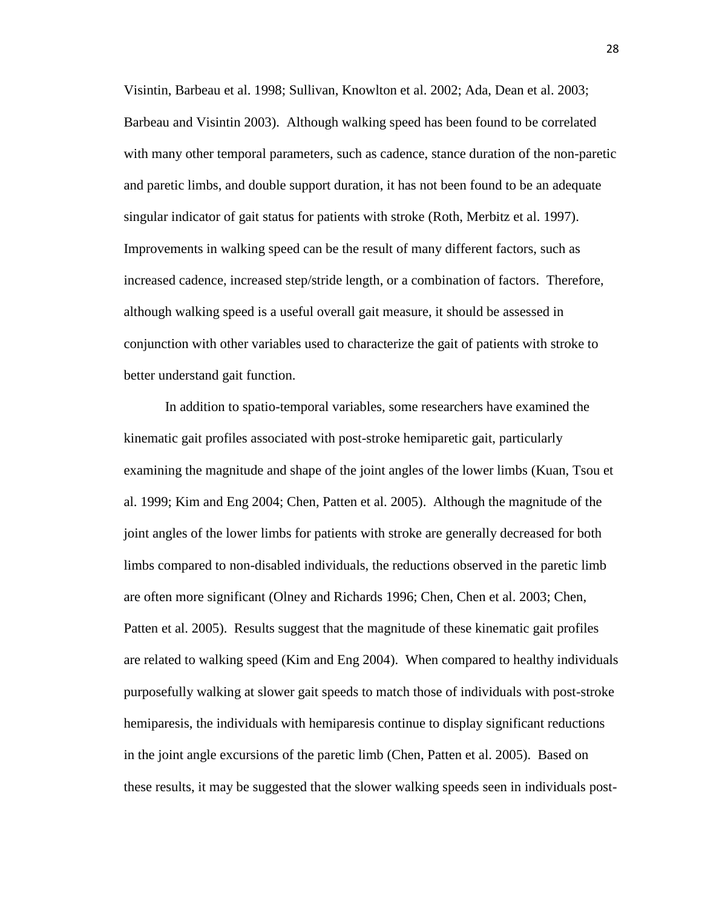Visintin, Barbeau et al. 1998; Sullivan, Knowlton et al. 2002; Ada, Dean et al. 2003; Barbeau and Visintin 2003). Although walking speed has been found to be correlated with many other temporal parameters, such as cadence, stance duration of the non-paretic and paretic limbs, and double support duration, it has not been found to be an adequate singular indicator of gait status for patients with stroke (Roth, Merbitz et al. 1997). Improvements in walking speed can be the result of many different factors, such as increased cadence, increased step/stride length, or a combination of factors. Therefore, although walking speed is a useful overall gait measure, it should be assessed in conjunction with other variables used to characterize the gait of patients with stroke to better understand gait function.

In addition to spatio-temporal variables, some researchers have examined the kinematic gait profiles associated with post-stroke hemiparetic gait, particularly examining the magnitude and shape of the joint angles of the lower limbs (Kuan, Tsou et al. 1999; Kim and Eng 2004; Chen, Patten et al. 2005). Although the magnitude of the joint angles of the lower limbs for patients with stroke are generally decreased for both limbs compared to non-disabled individuals, the reductions observed in the paretic limb are often more significant (Olney and Richards 1996; Chen, Chen et al. 2003; Chen, Patten et al. 2005). Results suggest that the magnitude of these kinematic gait profiles are related to walking speed (Kim and Eng 2004). When compared to healthy individuals purposefully walking at slower gait speeds to match those of individuals with post-stroke hemiparesis, the individuals with hemiparesis continue to display significant reductions in the joint angle excursions of the paretic limb (Chen, Patten et al. 2005). Based on these results, it may be suggested that the slower walking speeds seen in individuals post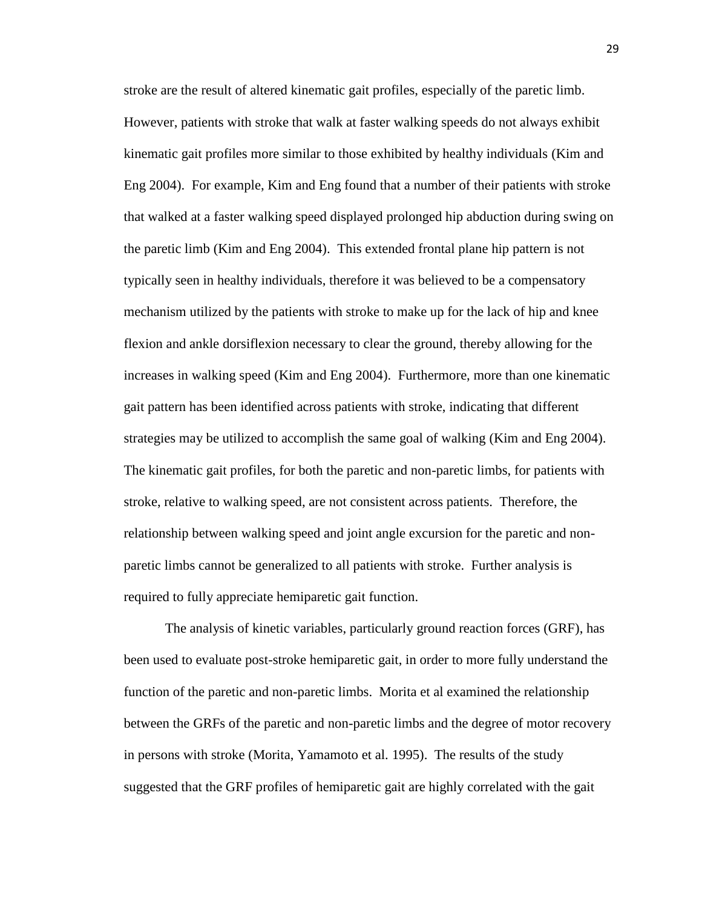stroke are the result of altered kinematic gait profiles, especially of the paretic limb. However, patients with stroke that walk at faster walking speeds do not always exhibit kinematic gait profiles more similar to those exhibited by healthy individuals (Kim and Eng 2004). For example, Kim and Eng found that a number of their patients with stroke that walked at a faster walking speed displayed prolonged hip abduction during swing on the paretic limb (Kim and Eng 2004). This extended frontal plane hip pattern is not typically seen in healthy individuals, therefore it was believed to be a compensatory mechanism utilized by the patients with stroke to make up for the lack of hip and knee flexion and ankle dorsiflexion necessary to clear the ground, thereby allowing for the increases in walking speed (Kim and Eng 2004). Furthermore, more than one kinematic gait pattern has been identified across patients with stroke, indicating that different strategies may be utilized to accomplish the same goal of walking (Kim and Eng 2004). The kinematic gait profiles, for both the paretic and non-paretic limbs, for patients with stroke, relative to walking speed, are not consistent across patients. Therefore, the relationship between walking speed and joint angle excursion for the paretic and nonparetic limbs cannot be generalized to all patients with stroke. Further analysis is required to fully appreciate hemiparetic gait function.

The analysis of kinetic variables, particularly ground reaction forces (GRF), has been used to evaluate post-stroke hemiparetic gait, in order to more fully understand the function of the paretic and non-paretic limbs. Morita et al examined the relationship between the GRFs of the paretic and non-paretic limbs and the degree of motor recovery in persons with stroke (Morita, Yamamoto et al. 1995). The results of the study suggested that the GRF profiles of hemiparetic gait are highly correlated with the gait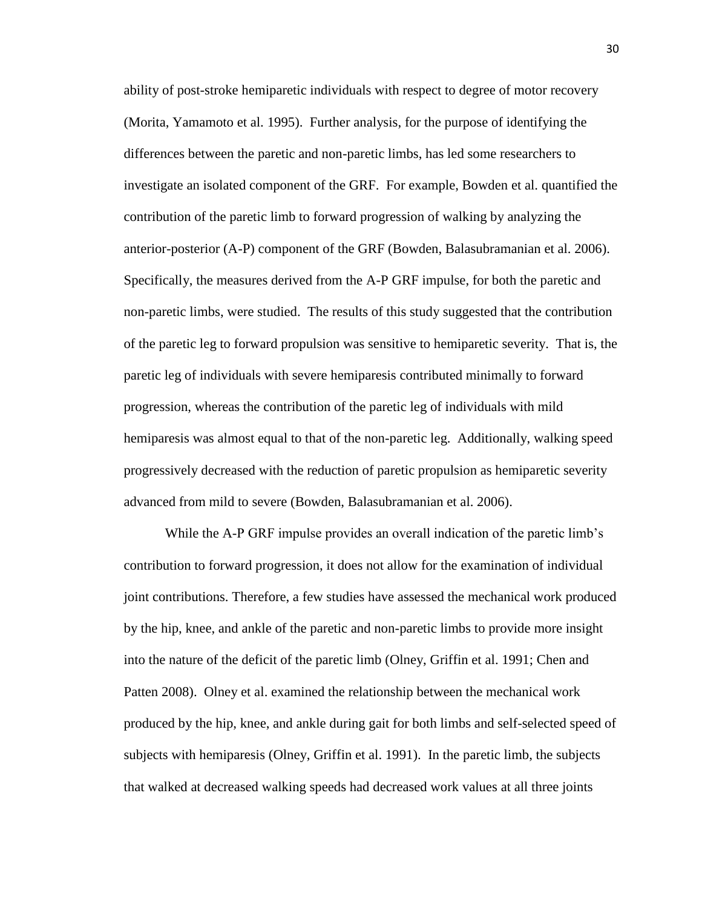ability of post-stroke hemiparetic individuals with respect to degree of motor recovery (Morita, Yamamoto et al. 1995). Further analysis, for the purpose of identifying the differences between the paretic and non-paretic limbs, has led some researchers to investigate an isolated component of the GRF. For example, Bowden et al. quantified the contribution of the paretic limb to forward progression of walking by analyzing the anterior-posterior (A-P) component of the GRF (Bowden, Balasubramanian et al. 2006). Specifically, the measures derived from the A-P GRF impulse, for both the paretic and non-paretic limbs, were studied. The results of this study suggested that the contribution of the paretic leg to forward propulsion was sensitive to hemiparetic severity. That is, the paretic leg of individuals with severe hemiparesis contributed minimally to forward progression, whereas the contribution of the paretic leg of individuals with mild hemiparesis was almost equal to that of the non-paretic leg. Additionally, walking speed progressively decreased with the reduction of paretic propulsion as hemiparetic severity advanced from mild to severe (Bowden, Balasubramanian et al. 2006).

While the A-P GRF impulse provides an overall indication of the paretic limb's contribution to forward progression, it does not allow for the examination of individual joint contributions. Therefore, a few studies have assessed the mechanical work produced by the hip, knee, and ankle of the paretic and non-paretic limbs to provide more insight into the nature of the deficit of the paretic limb (Olney, Griffin et al. 1991; Chen and Patten 2008). Olney et al. examined the relationship between the mechanical work produced by the hip, knee, and ankle during gait for both limbs and self-selected speed of subjects with hemiparesis (Olney, Griffin et al. 1991). In the paretic limb, the subjects that walked at decreased walking speeds had decreased work values at all three joints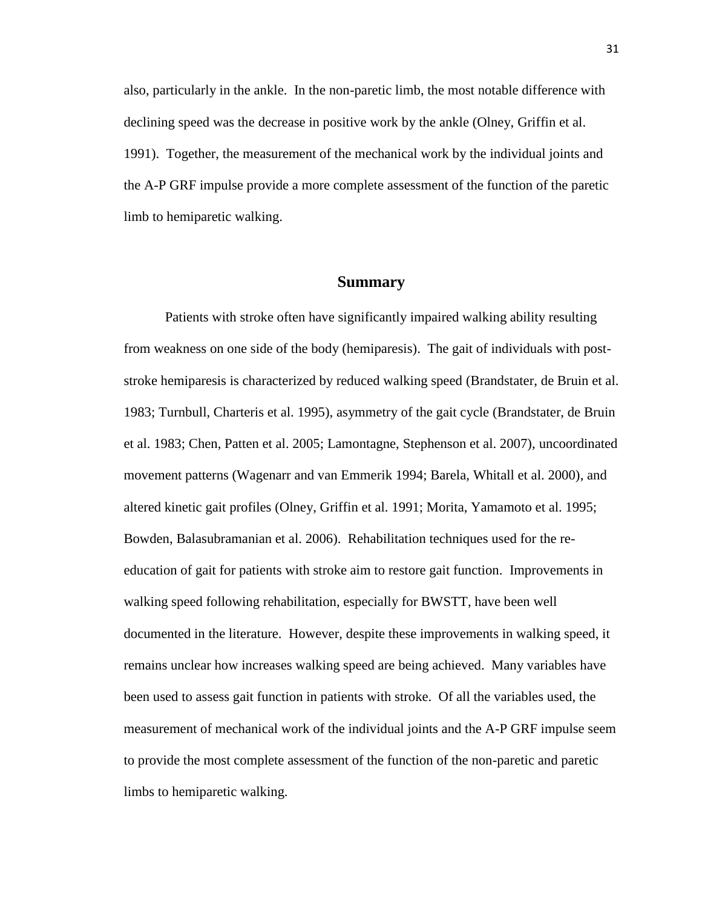also, particularly in the ankle. In the non-paretic limb, the most notable difference with declining speed was the decrease in positive work by the ankle (Olney, Griffin et al. 1991). Together, the measurement of the mechanical work by the individual joints and the A-P GRF impulse provide a more complete assessment of the function of the paretic limb to hemiparetic walking.

#### **Summary**

Patients with stroke often have significantly impaired walking ability resulting from weakness on one side of the body (hemiparesis). The gait of individuals with poststroke hemiparesis is characterized by reduced walking speed (Brandstater, de Bruin et al. 1983; Turnbull, Charteris et al. 1995), asymmetry of the gait cycle (Brandstater, de Bruin et al. 1983; Chen, Patten et al. 2005; Lamontagne, Stephenson et al. 2007), uncoordinated movement patterns (Wagenarr and van Emmerik 1994; Barela, Whitall et al. 2000), and altered kinetic gait profiles (Olney, Griffin et al. 1991; Morita, Yamamoto et al. 1995; Bowden, Balasubramanian et al. 2006). Rehabilitation techniques used for the reeducation of gait for patients with stroke aim to restore gait function. Improvements in walking speed following rehabilitation, especially for BWSTT, have been well documented in the literature. However, despite these improvements in walking speed, it remains unclear how increases walking speed are being achieved. Many variables have been used to assess gait function in patients with stroke. Of all the variables used, the measurement of mechanical work of the individual joints and the A-P GRF impulse seem to provide the most complete assessment of the function of the non-paretic and paretic limbs to hemiparetic walking.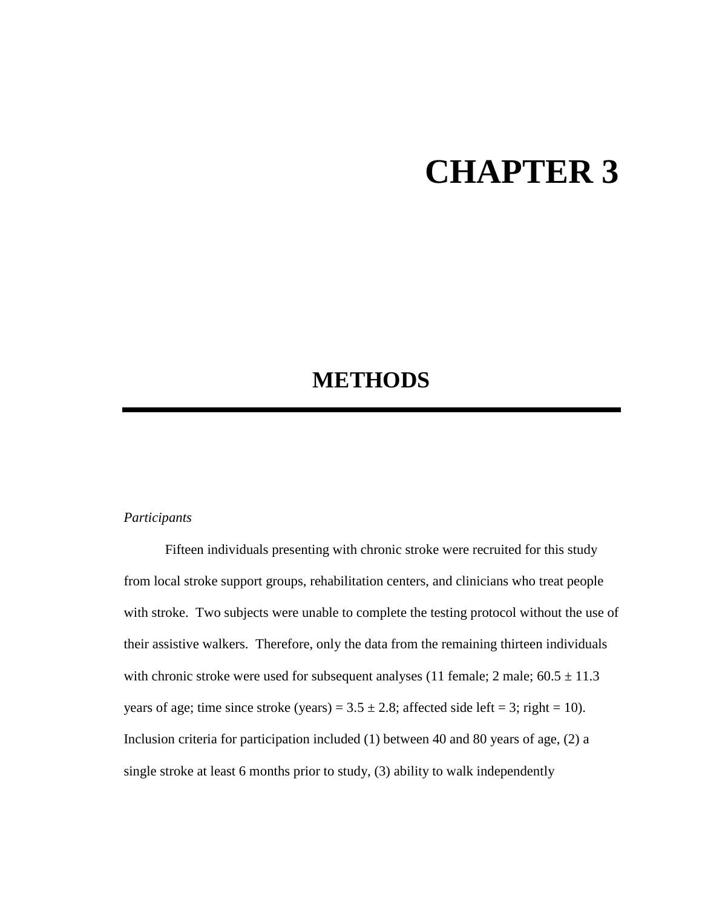# **CHAPTER 3**

### **METHODS**

#### *Participants*

Fifteen individuals presenting with chronic stroke were recruited for this study from local stroke support groups, rehabilitation centers, and clinicians who treat people with stroke. Two subjects were unable to complete the testing protocol without the use of their assistive walkers. Therefore, only the data from the remaining thirteen individuals with chronic stroke were used for subsequent analyses (11 female;  $2 \text{ male}$ ;  $60.5 \pm 11.3$ years of age; time since stroke (years) =  $3.5 \pm 2.8$ ; affected side left = 3; right = 10). Inclusion criteria for participation included (1) between 40 and 80 years of age, (2) a single stroke at least 6 months prior to study, (3) ability to walk independently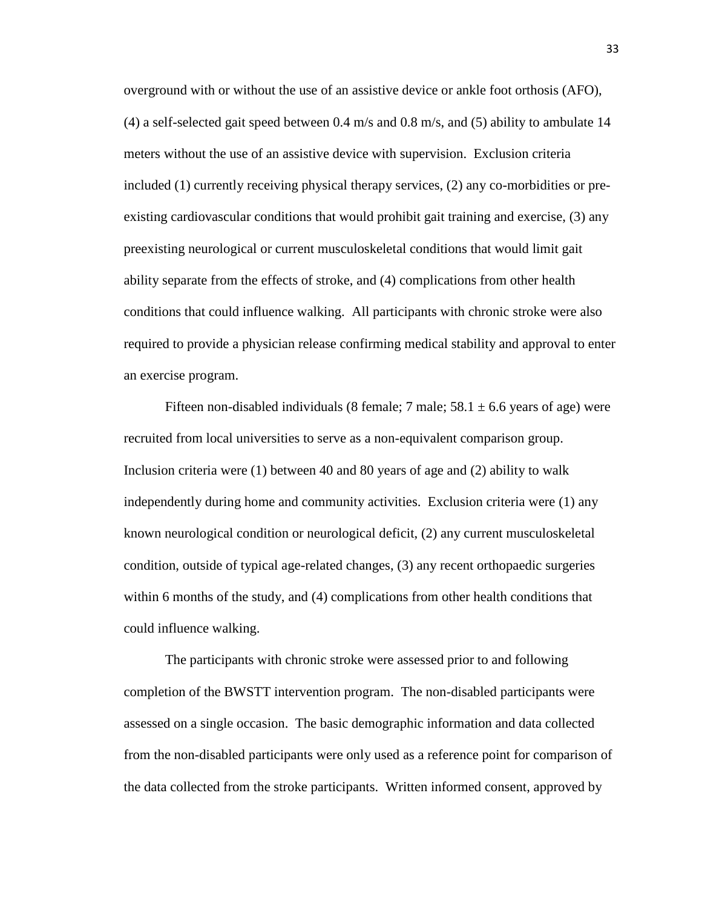overground with or without the use of an assistive device or ankle foot orthosis (AFO), (4) a self-selected gait speed between 0.4 m/s and 0.8 m/s, and (5) ability to ambulate 14 meters without the use of an assistive device with supervision. Exclusion criteria included (1) currently receiving physical therapy services, (2) any co-morbidities or preexisting cardiovascular conditions that would prohibit gait training and exercise, (3) any preexisting neurological or current musculoskeletal conditions that would limit gait ability separate from the effects of stroke, and (4) complications from other health conditions that could influence walking. All participants with chronic stroke were also required to provide a physician release confirming medical stability and approval to enter an exercise program.

Fifteen non-disabled individuals (8 female; 7 male;  $58.1 \pm 6.6$  years of age) were recruited from local universities to serve as a non-equivalent comparison group. Inclusion criteria were (1) between 40 and 80 years of age and (2) ability to walk independently during home and community activities. Exclusion criteria were (1) any known neurological condition or neurological deficit, (2) any current musculoskeletal condition, outside of typical age-related changes, (3) any recent orthopaedic surgeries within 6 months of the study, and (4) complications from other health conditions that could influence walking.

The participants with chronic stroke were assessed prior to and following completion of the BWSTT intervention program. The non-disabled participants were assessed on a single occasion. The basic demographic information and data collected from the non-disabled participants were only used as a reference point for comparison of the data collected from the stroke participants. Written informed consent, approved by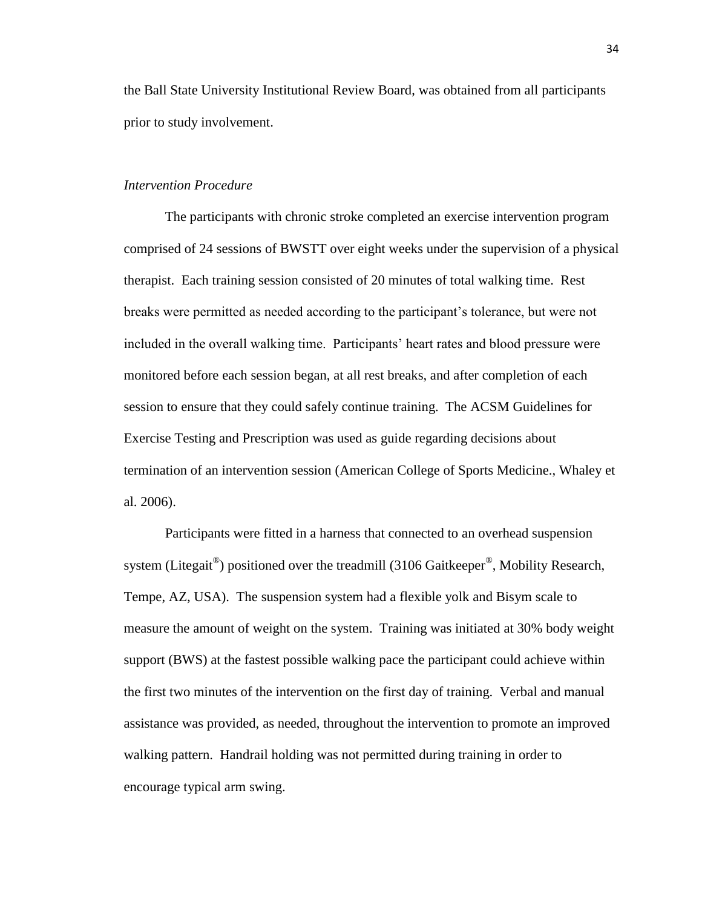the Ball State University Institutional Review Board, was obtained from all participants prior to study involvement.

#### *Intervention Procedure*

The participants with chronic stroke completed an exercise intervention program comprised of 24 sessions of BWSTT over eight weeks under the supervision of a physical therapist. Each training session consisted of 20 minutes of total walking time. Rest breaks were permitted as needed according to the participant"s tolerance, but were not included in the overall walking time. Participants" heart rates and blood pressure were monitored before each session began, at all rest breaks, and after completion of each session to ensure that they could safely continue training. The ACSM Guidelines for Exercise Testing and Prescription was used as guide regarding decisions about termination of an intervention session (American College of Sports Medicine., Whaley et al. 2006).

Participants were fitted in a harness that connected to an overhead suspension system (Litegait®) positioned over the treadmill (3106 Gaitkeeper®, Mobility Research, Tempe, AZ, USA). The suspension system had a flexible yolk and Bisym scale to measure the amount of weight on the system. Training was initiated at 30% body weight support (BWS) at the fastest possible walking pace the participant could achieve within the first two minutes of the intervention on the first day of training. Verbal and manual assistance was provided, as needed, throughout the intervention to promote an improved walking pattern. Handrail holding was not permitted during training in order to encourage typical arm swing.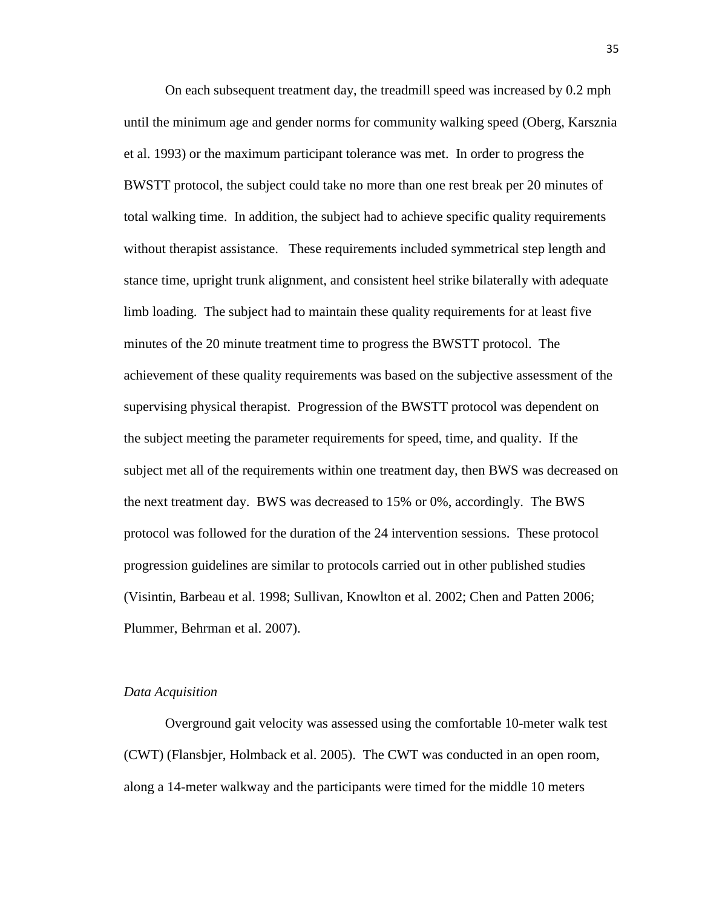On each subsequent treatment day, the treadmill speed was increased by 0.2 mph until the minimum age and gender norms for community walking speed (Oberg, Karsznia et al. 1993) or the maximum participant tolerance was met. In order to progress the BWSTT protocol, the subject could take no more than one rest break per 20 minutes of total walking time. In addition, the subject had to achieve specific quality requirements without therapist assistance. These requirements included symmetrical step length and stance time, upright trunk alignment, and consistent heel strike bilaterally with adequate limb loading. The subject had to maintain these quality requirements for at least five minutes of the 20 minute treatment time to progress the BWSTT protocol. The achievement of these quality requirements was based on the subjective assessment of the supervising physical therapist. Progression of the BWSTT protocol was dependent on the subject meeting the parameter requirements for speed, time, and quality. If the subject met all of the requirements within one treatment day, then BWS was decreased on the next treatment day. BWS was decreased to 15% or 0%, accordingly. The BWS protocol was followed for the duration of the 24 intervention sessions. These protocol progression guidelines are similar to protocols carried out in other published studies (Visintin, Barbeau et al. 1998; Sullivan, Knowlton et al. 2002; Chen and Patten 2006; Plummer, Behrman et al. 2007).

#### *Data Acquisition*

Overground gait velocity was assessed using the comfortable 10-meter walk test (CWT) (Flansbjer, Holmback et al. 2005). The CWT was conducted in an open room, along a 14-meter walkway and the participants were timed for the middle 10 meters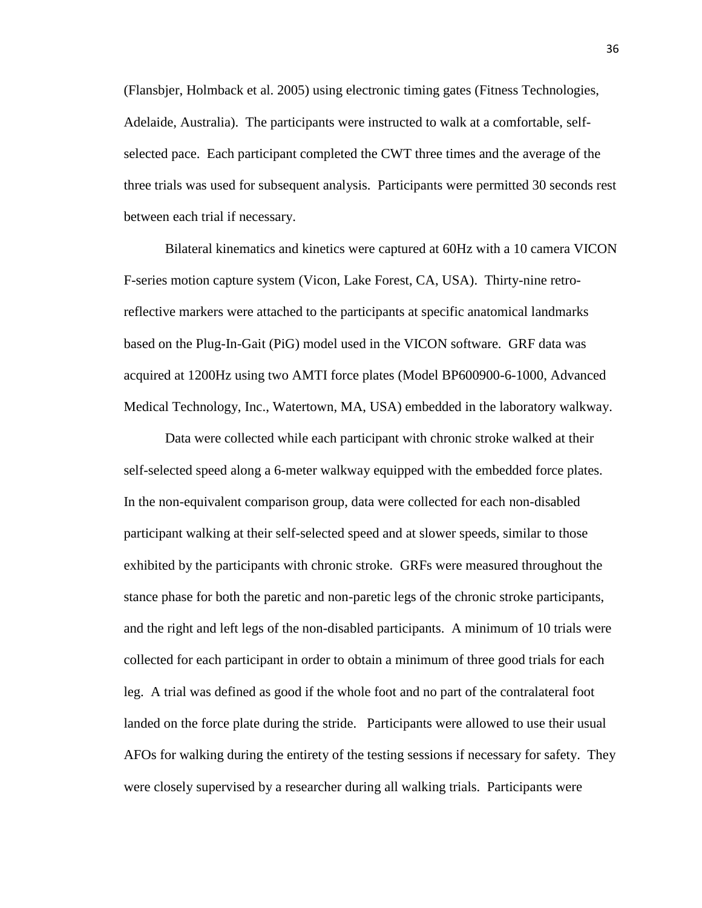(Flansbjer, Holmback et al. 2005) using electronic timing gates (Fitness Technologies, Adelaide, Australia). The participants were instructed to walk at a comfortable, selfselected pace. Each participant completed the CWT three times and the average of the three trials was used for subsequent analysis. Participants were permitted 30 seconds rest between each trial if necessary.

Bilateral kinematics and kinetics were captured at 60Hz with a 10 camera VICON F-series motion capture system (Vicon, Lake Forest, CA, USA). Thirty-nine retroreflective markers were attached to the participants at specific anatomical landmarks based on the Plug-In-Gait (PiG) model used in the VICON software. GRF data was acquired at 1200Hz using two AMTI force plates (Model BP600900-6-1000, Advanced Medical Technology, Inc., Watertown, MA, USA) embedded in the laboratory walkway.

Data were collected while each participant with chronic stroke walked at their self-selected speed along a 6-meter walkway equipped with the embedded force plates. In the non-equivalent comparison group, data were collected for each non-disabled participant walking at their self-selected speed and at slower speeds, similar to those exhibited by the participants with chronic stroke. GRFs were measured throughout the stance phase for both the paretic and non-paretic legs of the chronic stroke participants, and the right and left legs of the non-disabled participants. A minimum of 10 trials were collected for each participant in order to obtain a minimum of three good trials for each leg. A trial was defined as good if the whole foot and no part of the contralateral foot landed on the force plate during the stride. Participants were allowed to use their usual AFOs for walking during the entirety of the testing sessions if necessary for safety. They were closely supervised by a researcher during all walking trials. Participants were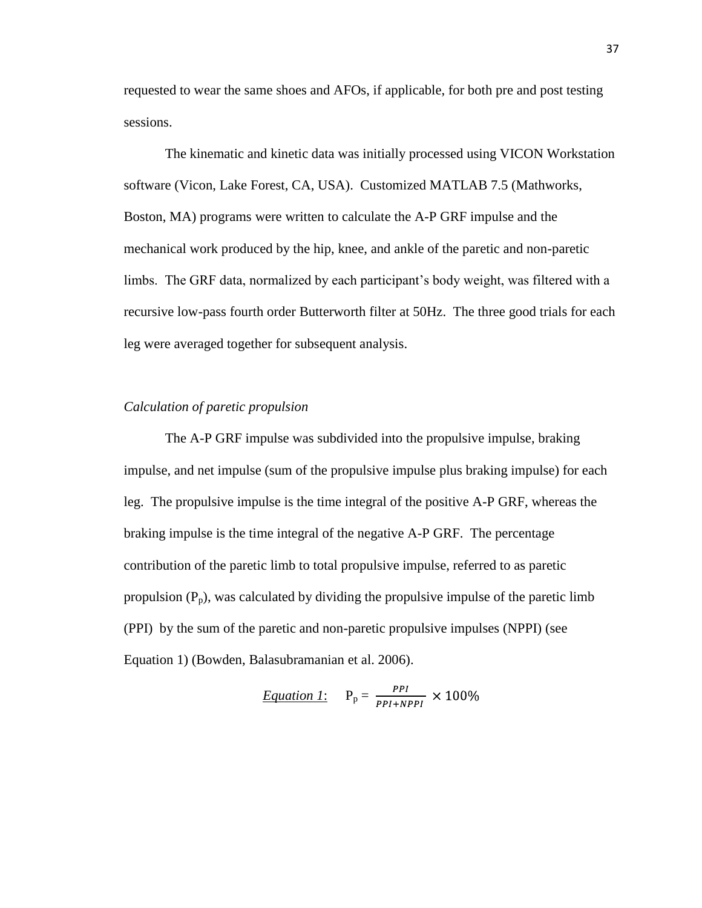requested to wear the same shoes and AFOs, if applicable, for both pre and post testing sessions.

The kinematic and kinetic data was initially processed using VICON Workstation software (Vicon, Lake Forest, CA, USA). Customized MATLAB 7.5 (Mathworks, Boston, MA) programs were written to calculate the A-P GRF impulse and the mechanical work produced by the hip, knee, and ankle of the paretic and non-paretic limbs. The GRF data, normalized by each participant's body weight, was filtered with a recursive low-pass fourth order Butterworth filter at 50Hz. The three good trials for each leg were averaged together for subsequent analysis.

#### *Calculation of paretic propulsion*

The A-P GRF impulse was subdivided into the propulsive impulse, braking impulse, and net impulse (sum of the propulsive impulse plus braking impulse) for each leg. The propulsive impulse is the time integral of the positive A-P GRF, whereas the braking impulse is the time integral of the negative A-P GRF. The percentage contribution of the paretic limb to total propulsive impulse, referred to as paretic propulsion  $(P_p)$ , was calculated by dividing the propulsive impulse of the paretic limb (PPI) by the sum of the paretic and non-paretic propulsive impulses (NPPI) (see Equation 1) (Bowden, Balasubramanian et al. 2006).

Equation 1: 
$$
P_p = \frac{PPI}{PPI + NPPI} \times 100\%
$$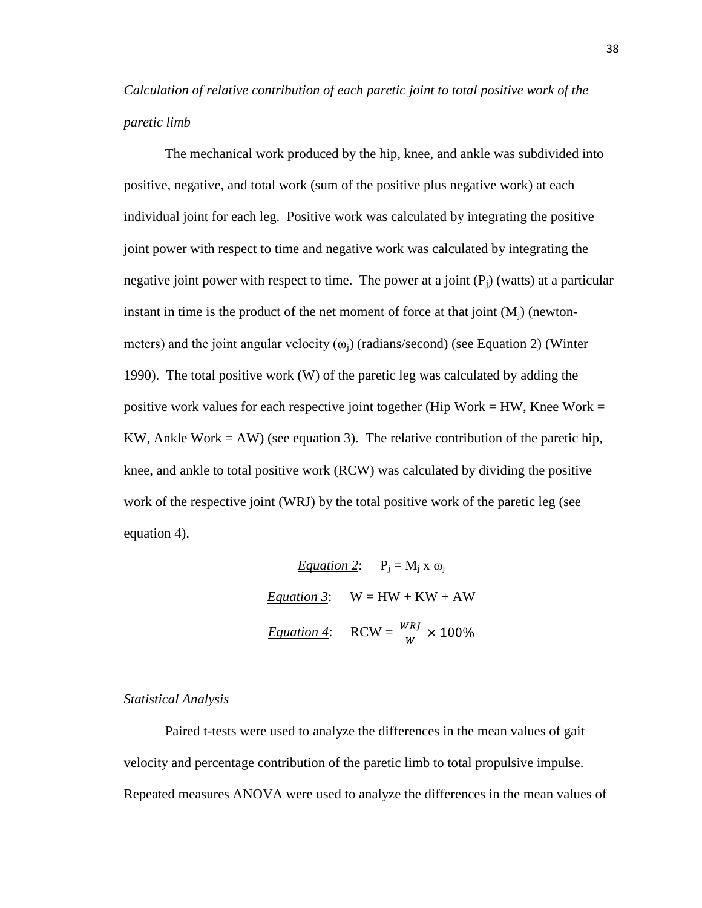*Calculation of relative contribution of each paretic joint to total positive work of the paretic limb*

The mechanical work produced by the hip, knee, and ankle was subdivided into positive, negative, and total work (sum of the positive plus negative work) at each individual joint for each leg. Positive work was calculated by integrating the positive joint power with respect to time and negative work was calculated by integrating the negative joint power with respect to time. The power at a joint  $(P_i)$  (watts) at a particular instant in time is the product of the net moment of force at that joint  $(M_i)$  (newtonmeters) and the joint angular velocity  $(\omega_i)$  (radians/second) (see Equation 2) (Winter 1990). The total positive work (W) of the paretic leg was calculated by adding the positive work values for each respective joint together (Hip Work = HW, Knee Work = KW, Ankle Work  $= A W$ ) (see equation 3). The relative contribution of the paretic hip, knee, and ankle to total positive work (RCW) was calculated by dividing the positive work of the respective joint (WRJ) by the total positive work of the paretic leg (see equation 4).

> *Equation 2*:  $P_i = M_i x \omega_i$ *Equation 3*:  $W = HW + KW + AW$ *Equation 4*: RCW =  $\frac{WRI}{W} \times 100\%$

#### *Statistical Analysis*

Paired t-tests were used to analyze the differences in the mean values of gait velocity and percentage contribution of the paretic limb to total propulsive impulse. Repeated measures ANOVA were used to analyze the differences in the mean values of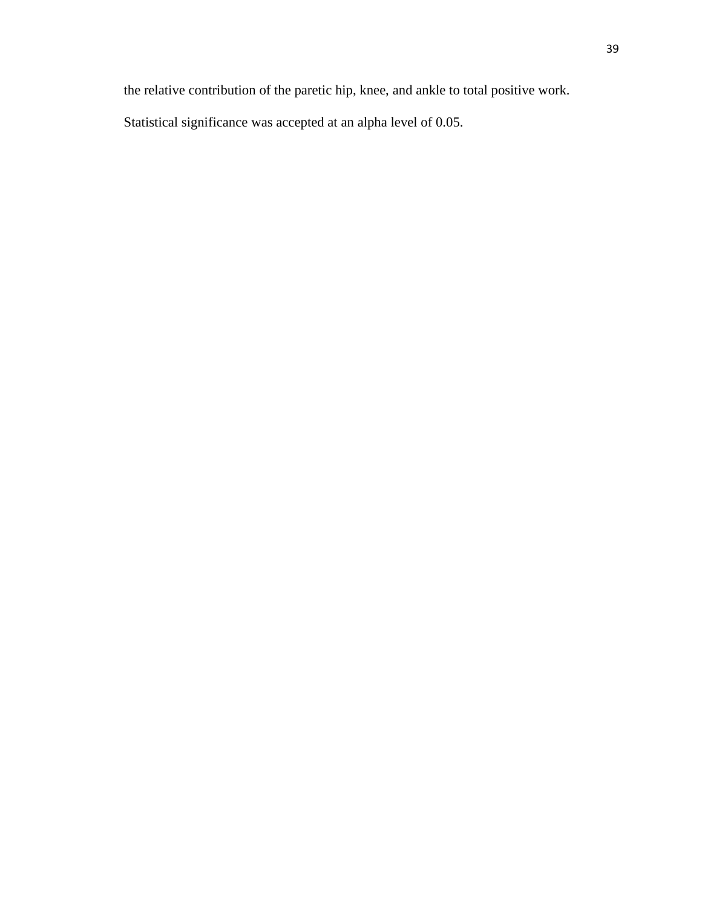the relative contribution of the paretic hip, knee, and ankle to total positive work.

Statistical significance was accepted at an alpha level of 0.05.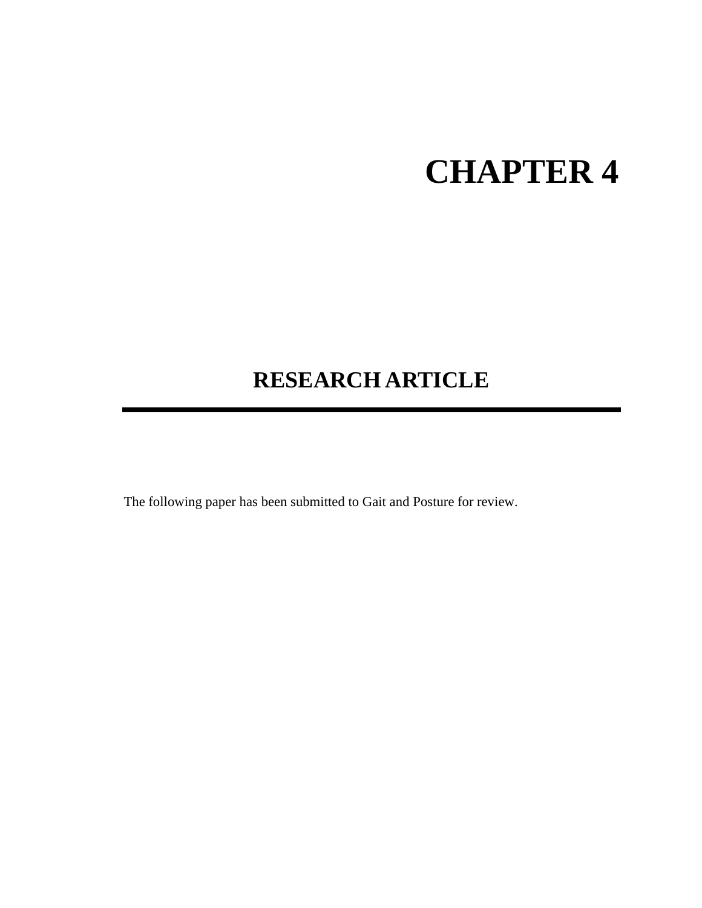# **CHAPTER 4**

## **RESEARCH ARTICLE**

The following paper has been submitted to Gait and Posture for review.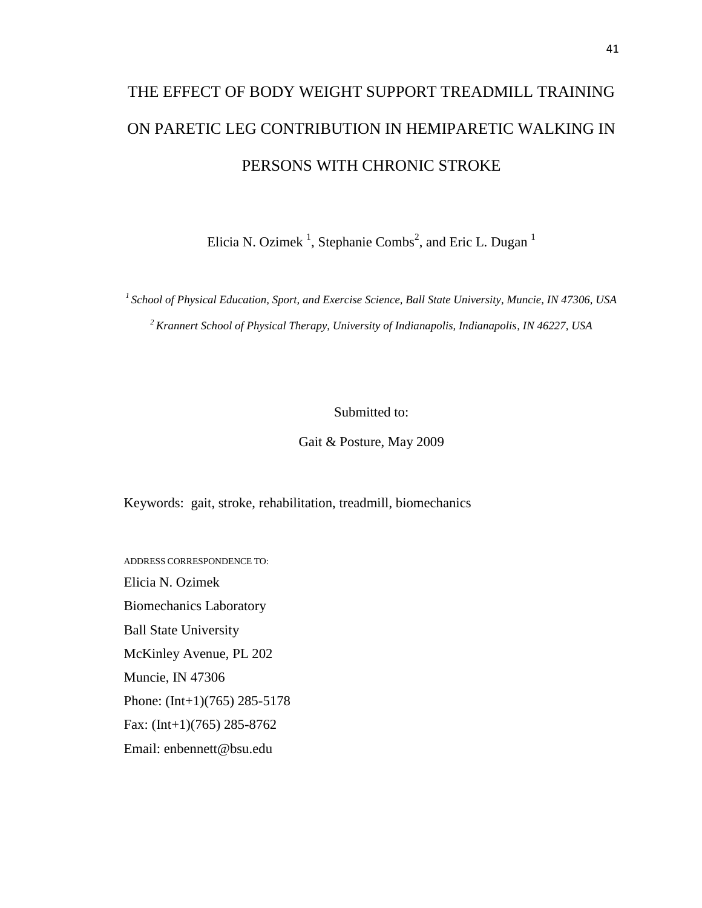## THE EFFECT OF BODY WEIGHT SUPPORT TREADMILL TRAINING ON PARETIC LEG CONTRIBUTION IN HEMIPARETIC WALKING IN PERSONS WITH CHRONIC STROKE

Elicia N. Ozimek<sup>1</sup>, Stephanie Combs<sup>2</sup>, and Eric L. Dugan<sup>1</sup>

*<sup>1</sup>School of Physical Education, Sport, and Exercise Science, Ball State University, Muncie, IN 47306, USA <sup>2</sup>Krannert School of Physical Therapy, University of Indianapolis, Indianapolis, IN 46227, USA*

Submitted to:

Gait & Posture, May 2009

Keywords: gait, stroke, rehabilitation, treadmill, biomechanics

ADDRESS CORRESPONDENCE TO: Elicia N. Ozimek Biomechanics Laboratory Ball State University McKinley Avenue, PL 202 Muncie, IN 47306 Phone: (Int+1)(765) 285-5178 Fax: (Int+1)(765) 285-8762 Email: enbennett@bsu.edu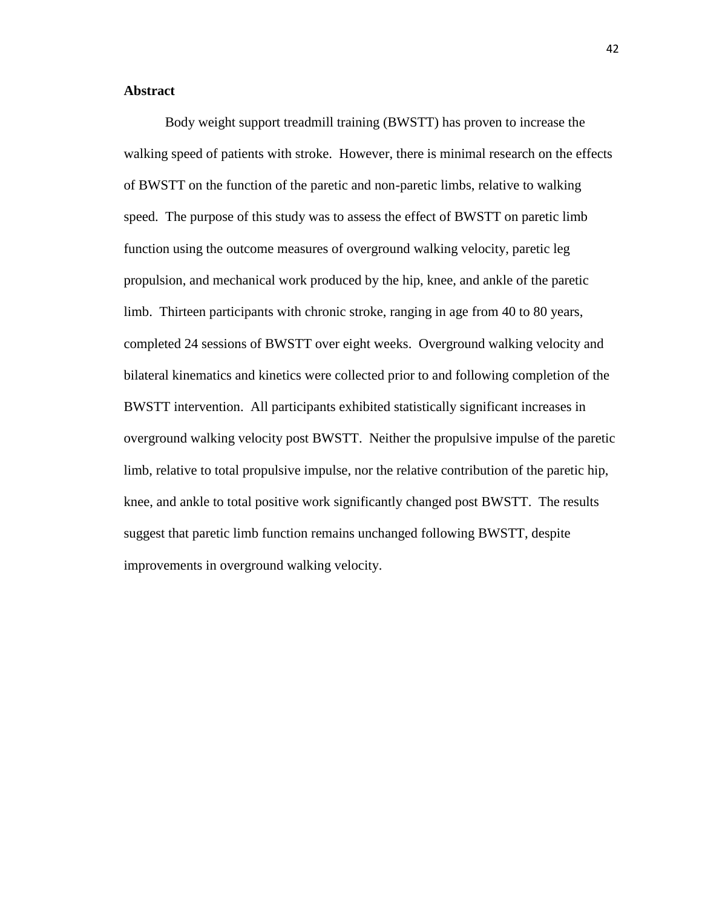#### **Abstract**

Body weight support treadmill training (BWSTT) has proven to increase the walking speed of patients with stroke. However, there is minimal research on the effects of BWSTT on the function of the paretic and non-paretic limbs, relative to walking speed. The purpose of this study was to assess the effect of BWSTT on paretic limb function using the outcome measures of overground walking velocity, paretic leg propulsion, and mechanical work produced by the hip, knee, and ankle of the paretic limb. Thirteen participants with chronic stroke, ranging in age from 40 to 80 years, completed 24 sessions of BWSTT over eight weeks. Overground walking velocity and bilateral kinematics and kinetics were collected prior to and following completion of the BWSTT intervention. All participants exhibited statistically significant increases in overground walking velocity post BWSTT. Neither the propulsive impulse of the paretic limb, relative to total propulsive impulse, nor the relative contribution of the paretic hip, knee, and ankle to total positive work significantly changed post BWSTT. The results suggest that paretic limb function remains unchanged following BWSTT, despite improvements in overground walking velocity.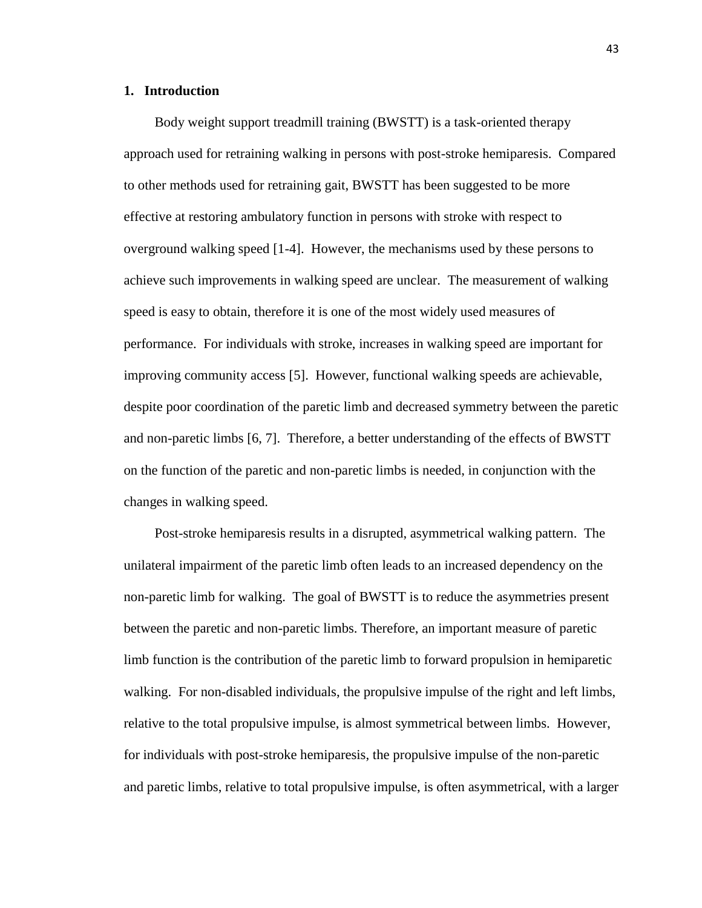#### **1. Introduction**

Body weight support treadmill training (BWSTT) is a task-oriented therapy approach used for retraining walking in persons with post-stroke hemiparesis. Compared to other methods used for retraining gait, BWSTT has been suggested to be more effective at restoring ambulatory function in persons with stroke with respect to overground walking speed [1-4]. However, the mechanisms used by these persons to achieve such improvements in walking speed are unclear. The measurement of walking speed is easy to obtain, therefore it is one of the most widely used measures of performance. For individuals with stroke, increases in walking speed are important for improving community access [5]. However, functional walking speeds are achievable, despite poor coordination of the paretic limb and decreased symmetry between the paretic and non-paretic limbs [6, 7]. Therefore, a better understanding of the effects of BWSTT on the function of the paretic and non-paretic limbs is needed, in conjunction with the changes in walking speed.

Post-stroke hemiparesis results in a disrupted, asymmetrical walking pattern. The unilateral impairment of the paretic limb often leads to an increased dependency on the non-paretic limb for walking. The goal of BWSTT is to reduce the asymmetries present between the paretic and non-paretic limbs. Therefore, an important measure of paretic limb function is the contribution of the paretic limb to forward propulsion in hemiparetic walking. For non-disabled individuals, the propulsive impulse of the right and left limbs, relative to the total propulsive impulse, is almost symmetrical between limbs. However, for individuals with post-stroke hemiparesis, the propulsive impulse of the non-paretic and paretic limbs, relative to total propulsive impulse, is often asymmetrical, with a larger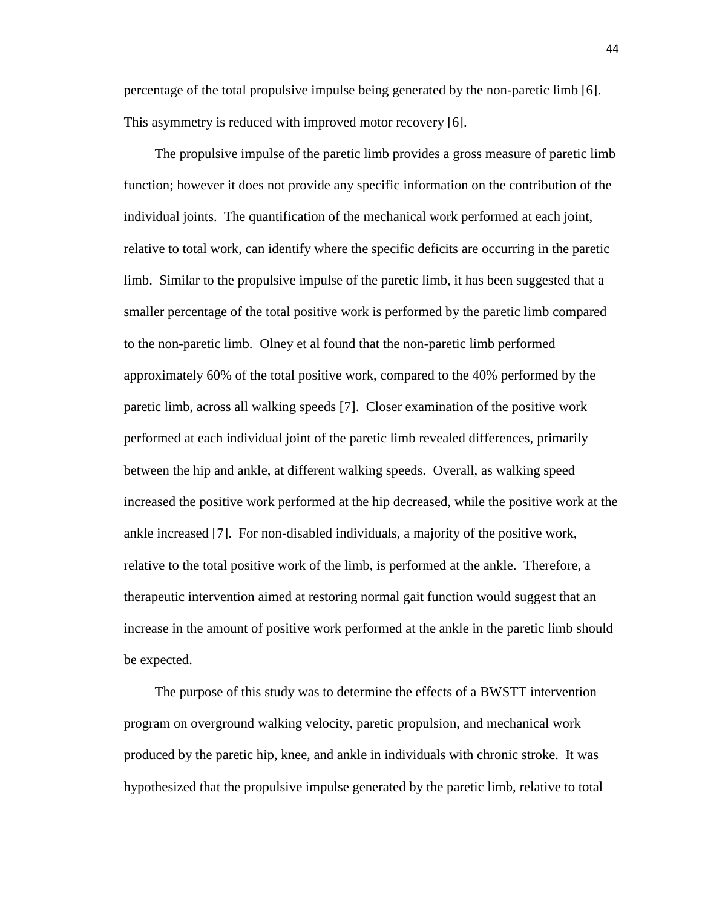percentage of the total propulsive impulse being generated by the non-paretic limb [6]. This asymmetry is reduced with improved motor recovery [6].

The propulsive impulse of the paretic limb provides a gross measure of paretic limb function; however it does not provide any specific information on the contribution of the individual joints. The quantification of the mechanical work performed at each joint, relative to total work, can identify where the specific deficits are occurring in the paretic limb. Similar to the propulsive impulse of the paretic limb, it has been suggested that a smaller percentage of the total positive work is performed by the paretic limb compared to the non-paretic limb. Olney et al found that the non-paretic limb performed approximately 60% of the total positive work, compared to the 40% performed by the paretic limb, across all walking speeds [7]. Closer examination of the positive work performed at each individual joint of the paretic limb revealed differences, primarily between the hip and ankle, at different walking speeds. Overall, as walking speed increased the positive work performed at the hip decreased, while the positive work at the ankle increased [7]. For non-disabled individuals, a majority of the positive work, relative to the total positive work of the limb, is performed at the ankle. Therefore, a therapeutic intervention aimed at restoring normal gait function would suggest that an increase in the amount of positive work performed at the ankle in the paretic limb should be expected.

The purpose of this study was to determine the effects of a BWSTT intervention program on overground walking velocity, paretic propulsion, and mechanical work produced by the paretic hip, knee, and ankle in individuals with chronic stroke. It was hypothesized that the propulsive impulse generated by the paretic limb, relative to total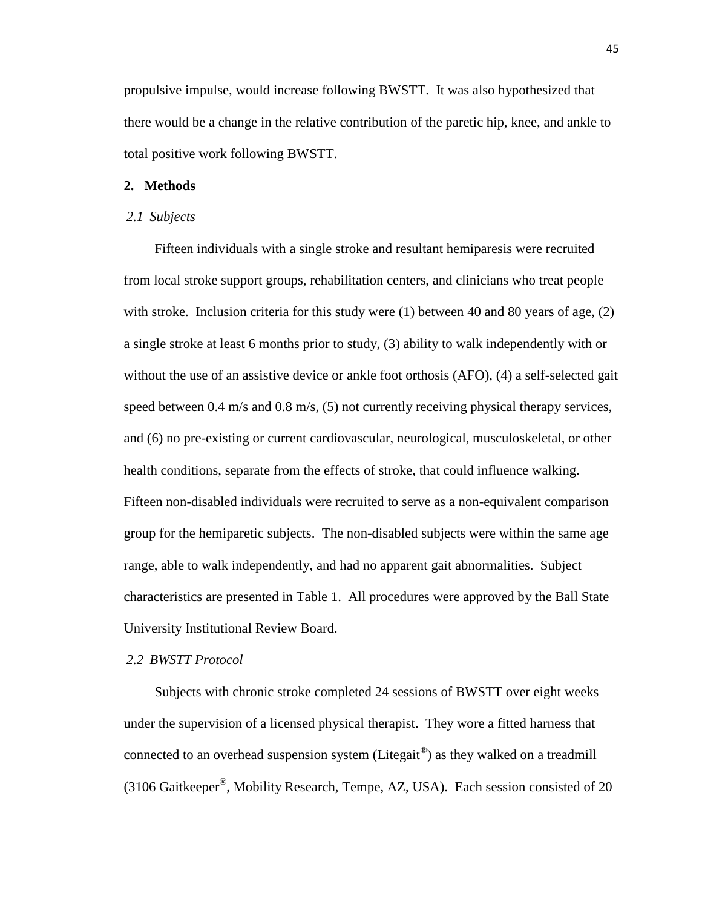propulsive impulse, would increase following BWSTT. It was also hypothesized that there would be a change in the relative contribution of the paretic hip, knee, and ankle to total positive work following BWSTT.

#### **2. Methods**

#### *2.1 Subjects*

Fifteen individuals with a single stroke and resultant hemiparesis were recruited from local stroke support groups, rehabilitation centers, and clinicians who treat people with stroke. Inclusion criteria for this study were  $(1)$  between 40 and 80 years of age,  $(2)$ a single stroke at least 6 months prior to study, (3) ability to walk independently with or without the use of an assistive device or ankle foot orthosis (AFO), (4) a self-selected gait speed between 0.4 m/s and 0.8 m/s, (5) not currently receiving physical therapy services, and (6) no pre-existing or current cardiovascular, neurological, musculoskeletal, or other health conditions, separate from the effects of stroke, that could influence walking. Fifteen non-disabled individuals were recruited to serve as a non-equivalent comparison group for the hemiparetic subjects. The non-disabled subjects were within the same age range, able to walk independently, and had no apparent gait abnormalities. Subject characteristics are presented in Table 1. All procedures were approved by the Ball State University Institutional Review Board.

#### *2.2 BWSTT Protocol*

Subjects with chronic stroke completed 24 sessions of BWSTT over eight weeks under the supervision of a licensed physical therapist. They wore a fitted harness that connected to an overhead suspension system (Litegait<sup>®</sup>) as they walked on a treadmill (3106 Gaitkeeper® , Mobility Research, Tempe, AZ, USA). Each session consisted of 20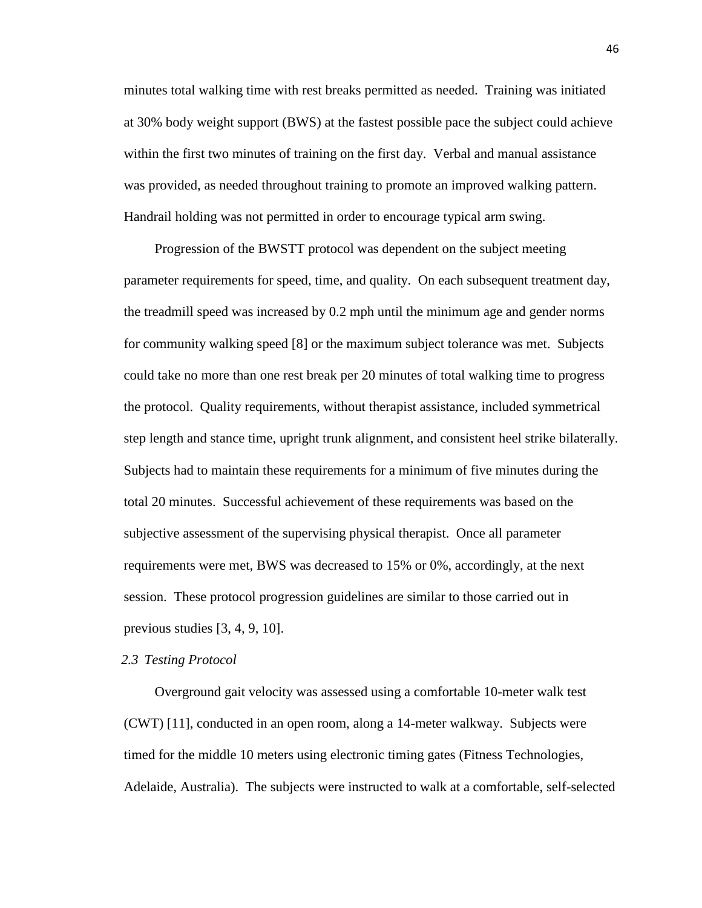minutes total walking time with rest breaks permitted as needed. Training was initiated at 30% body weight support (BWS) at the fastest possible pace the subject could achieve within the first two minutes of training on the first day. Verbal and manual assistance was provided, as needed throughout training to promote an improved walking pattern. Handrail holding was not permitted in order to encourage typical arm swing.

Progression of the BWSTT protocol was dependent on the subject meeting parameter requirements for speed, time, and quality. On each subsequent treatment day, the treadmill speed was increased by 0.2 mph until the minimum age and gender norms for community walking speed [8] or the maximum subject tolerance was met. Subjects could take no more than one rest break per 20 minutes of total walking time to progress the protocol. Quality requirements, without therapist assistance, included symmetrical step length and stance time, upright trunk alignment, and consistent heel strike bilaterally. Subjects had to maintain these requirements for a minimum of five minutes during the total 20 minutes. Successful achievement of these requirements was based on the subjective assessment of the supervising physical therapist. Once all parameter requirements were met, BWS was decreased to 15% or 0%, accordingly, at the next session. These protocol progression guidelines are similar to those carried out in previous studies [3, 4, 9, 10].

#### *2.3 Testing Protocol*

Overground gait velocity was assessed using a comfortable 10-meter walk test (CWT) [11], conducted in an open room, along a 14-meter walkway. Subjects were timed for the middle 10 meters using electronic timing gates (Fitness Technologies, Adelaide, Australia). The subjects were instructed to walk at a comfortable, self-selected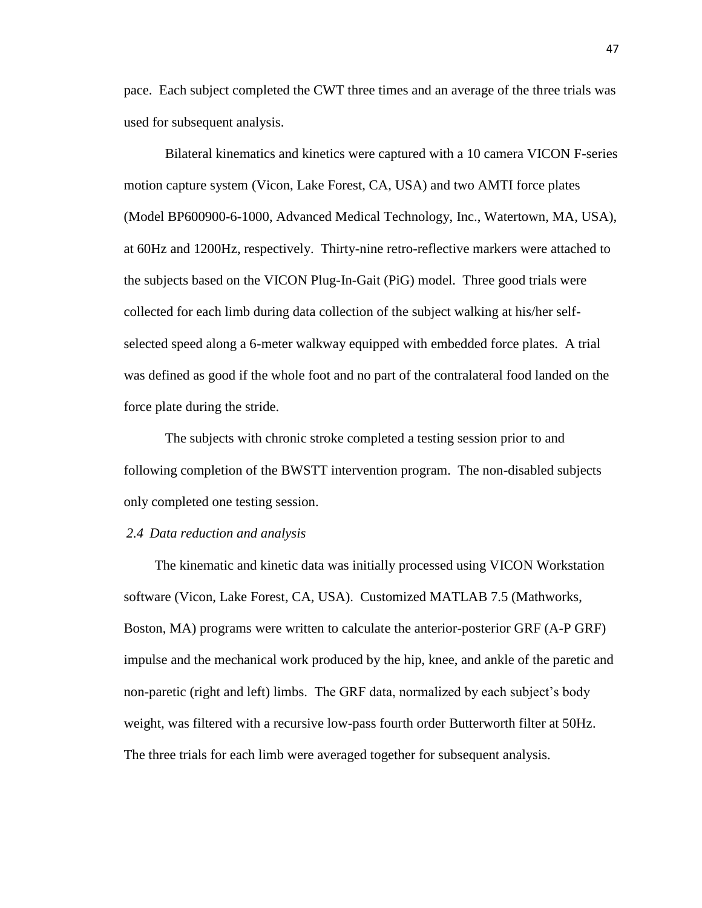pace. Each subject completed the CWT three times and an average of the three trials was used for subsequent analysis.

Bilateral kinematics and kinetics were captured with a 10 camera VICON F-series motion capture system (Vicon, Lake Forest, CA, USA) and two AMTI force plates (Model BP600900-6-1000, Advanced Medical Technology, Inc., Watertown, MA, USA), at 60Hz and 1200Hz, respectively. Thirty-nine retro-reflective markers were attached to the subjects based on the VICON Plug-In-Gait (PiG) model. Three good trials were collected for each limb during data collection of the subject walking at his/her selfselected speed along a 6-meter walkway equipped with embedded force plates. A trial was defined as good if the whole foot and no part of the contralateral food landed on the force plate during the stride.

The subjects with chronic stroke completed a testing session prior to and following completion of the BWSTT intervention program. The non-disabled subjects only completed one testing session.

#### *2.4 Data reduction and analysis*

The kinematic and kinetic data was initially processed using VICON Workstation software (Vicon, Lake Forest, CA, USA). Customized MATLAB 7.5 (Mathworks, Boston, MA) programs were written to calculate the anterior-posterior GRF (A-P GRF) impulse and the mechanical work produced by the hip, knee, and ankle of the paretic and non-paretic (right and left) limbs. The GRF data, normalized by each subject's body weight, was filtered with a recursive low-pass fourth order Butterworth filter at 50Hz. The three trials for each limb were averaged together for subsequent analysis.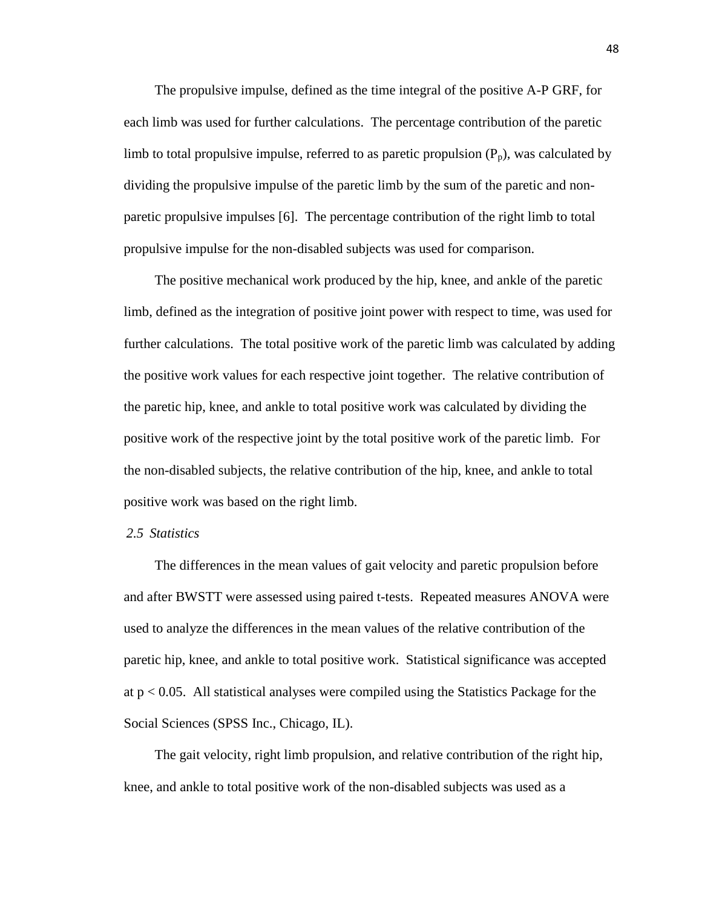The propulsive impulse, defined as the time integral of the positive A-P GRF, for each limb was used for further calculations. The percentage contribution of the paretic limb to total propulsive impulse, referred to as paretic propulsion  $(P_p)$ , was calculated by dividing the propulsive impulse of the paretic limb by the sum of the paretic and nonparetic propulsive impulses [6]. The percentage contribution of the right limb to total propulsive impulse for the non-disabled subjects was used for comparison.

The positive mechanical work produced by the hip, knee, and ankle of the paretic limb, defined as the integration of positive joint power with respect to time, was used for further calculations. The total positive work of the paretic limb was calculated by adding the positive work values for each respective joint together. The relative contribution of the paretic hip, knee, and ankle to total positive work was calculated by dividing the positive work of the respective joint by the total positive work of the paretic limb. For the non-disabled subjects, the relative contribution of the hip, knee, and ankle to total positive work was based on the right limb.

#### *2.5 Statistics*

The differences in the mean values of gait velocity and paretic propulsion before and after BWSTT were assessed using paired t-tests. Repeated measures ANOVA were used to analyze the differences in the mean values of the relative contribution of the paretic hip, knee, and ankle to total positive work. Statistical significance was accepted at p < 0.05. All statistical analyses were compiled using the Statistics Package for the Social Sciences (SPSS Inc., Chicago, IL).

The gait velocity, right limb propulsion, and relative contribution of the right hip, knee, and ankle to total positive work of the non-disabled subjects was used as a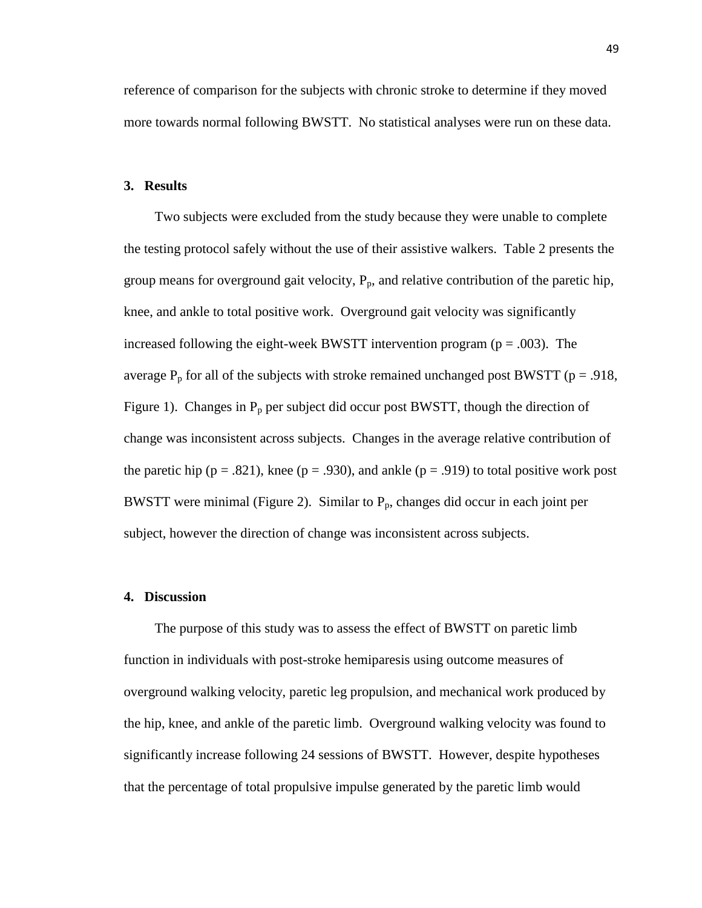reference of comparison for the subjects with chronic stroke to determine if they moved more towards normal following BWSTT. No statistical analyses were run on these data.

#### **3. Results**

Two subjects were excluded from the study because they were unable to complete the testing protocol safely without the use of their assistive walkers. Table 2 presents the group means for overground gait velocity,  $P_p$ , and relative contribution of the paretic hip, knee, and ankle to total positive work. Overground gait velocity was significantly increased following the eight-week BWSTT intervention program ( $p = .003$ ). The average  $P_p$  for all of the subjects with stroke remained unchanged post BWSTT ( $p = .918$ , Figure 1). Changes in  $P_p$  per subject did occur post BWSTT, though the direction of change was inconsistent across subjects. Changes in the average relative contribution of the paretic hip ( $p = .821$ ), knee ( $p = .930$ ), and ankle ( $p = .919$ ) to total positive work post BWSTT were minimal (Figure 2). Similar to  $P_p$ , changes did occur in each joint per subject, however the direction of change was inconsistent across subjects.

#### **4. Discussion**

The purpose of this study was to assess the effect of BWSTT on paretic limb function in individuals with post-stroke hemiparesis using outcome measures of overground walking velocity, paretic leg propulsion, and mechanical work produced by the hip, knee, and ankle of the paretic limb. Overground walking velocity was found to significantly increase following 24 sessions of BWSTT. However, despite hypotheses that the percentage of total propulsive impulse generated by the paretic limb would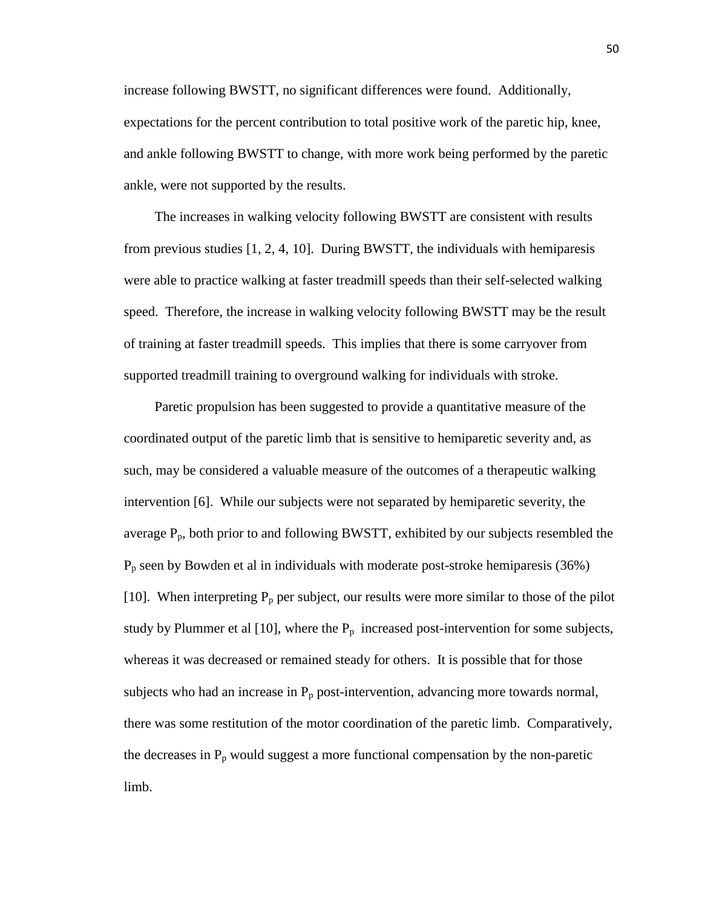increase following BWSTT, no significant differences were found. Additionally, expectations for the percent contribution to total positive work of the paretic hip, knee, and ankle following BWSTT to change, with more work being performed by the paretic ankle, were not supported by the results.

The increases in walking velocity following BWSTT are consistent with results from previous studies  $[1, 2, 4, 10]$ . During BWSTT, the individuals with hemiparesis were able to practice walking at faster treadmill speeds than their self-selected walking speed. Therefore, the increase in walking velocity following BWSTT may be the result of training at faster treadmill speeds. This implies that there is some carryover from supported treadmill training to overground walking for individuals with stroke.

Paretic propulsion has been suggested to provide a quantitative measure of the coordinated output of the paretic limb that is sensitive to hemiparetic severity and, as such, may be considered a valuable measure of the outcomes of a therapeutic walking intervention [6]. While our subjects were not separated by hemiparetic severity, the average  $P_p$ , both prior to and following BWSTT, exhibited by our subjects resembled the  $P_p$  seen by Bowden et al in individuals with moderate post-stroke hemiparesis (36%) [10]. When interpreting  $P_p$  per subject, our results were more similar to those of the pilot study by Plummer et al [10], where the  $P_p$  increased post-intervention for some subjects, whereas it was decreased or remained steady for others. It is possible that for those subjects who had an increase in  $P_p$  post-intervention, advancing more towards normal, there was some restitution of the motor coordination of the paretic limb. Comparatively, the decreases in  $P_p$  would suggest a more functional compensation by the non-paretic limb.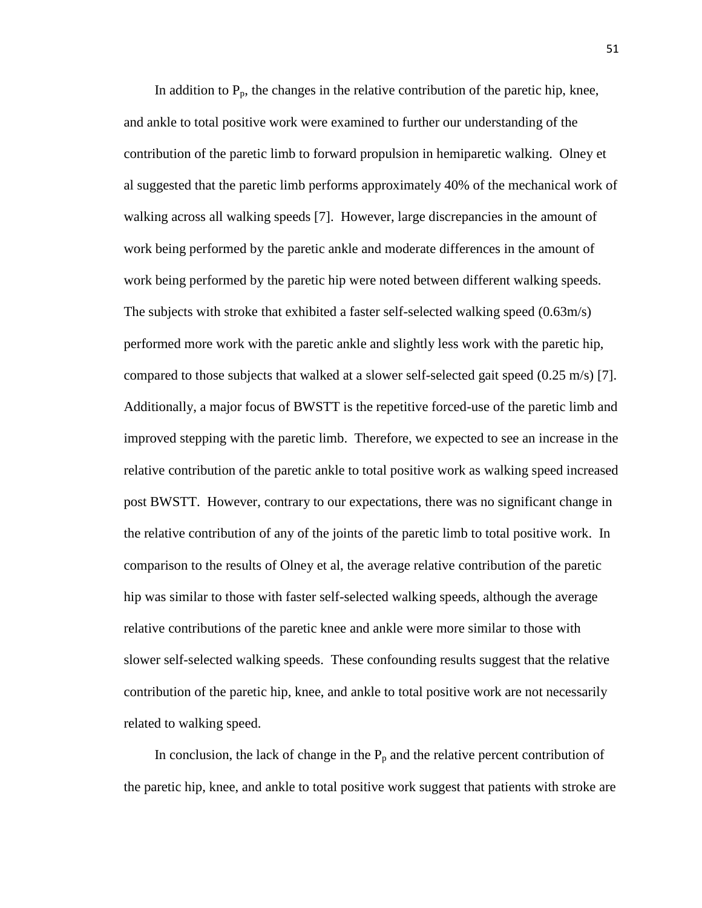In addition to  $P_p$ , the changes in the relative contribution of the paretic hip, knee, and ankle to total positive work were examined to further our understanding of the contribution of the paretic limb to forward propulsion in hemiparetic walking. Olney et al suggested that the paretic limb performs approximately 40% of the mechanical work of walking across all walking speeds [7]. However, large discrepancies in the amount of work being performed by the paretic ankle and moderate differences in the amount of work being performed by the paretic hip were noted between different walking speeds. The subjects with stroke that exhibited a faster self-selected walking speed (0.63m/s) performed more work with the paretic ankle and slightly less work with the paretic hip, compared to those subjects that walked at a slower self-selected gait speed (0.25 m/s) [7]. Additionally, a major focus of BWSTT is the repetitive forced-use of the paretic limb and improved stepping with the paretic limb. Therefore, we expected to see an increase in the relative contribution of the paretic ankle to total positive work as walking speed increased post BWSTT. However, contrary to our expectations, there was no significant change in the relative contribution of any of the joints of the paretic limb to total positive work. In comparison to the results of Olney et al, the average relative contribution of the paretic hip was similar to those with faster self-selected walking speeds, although the average relative contributions of the paretic knee and ankle were more similar to those with slower self-selected walking speeds. These confounding results suggest that the relative contribution of the paretic hip, knee, and ankle to total positive work are not necessarily related to walking speed.

In conclusion, the lack of change in the  $P_p$  and the relative percent contribution of the paretic hip, knee, and ankle to total positive work suggest that patients with stroke are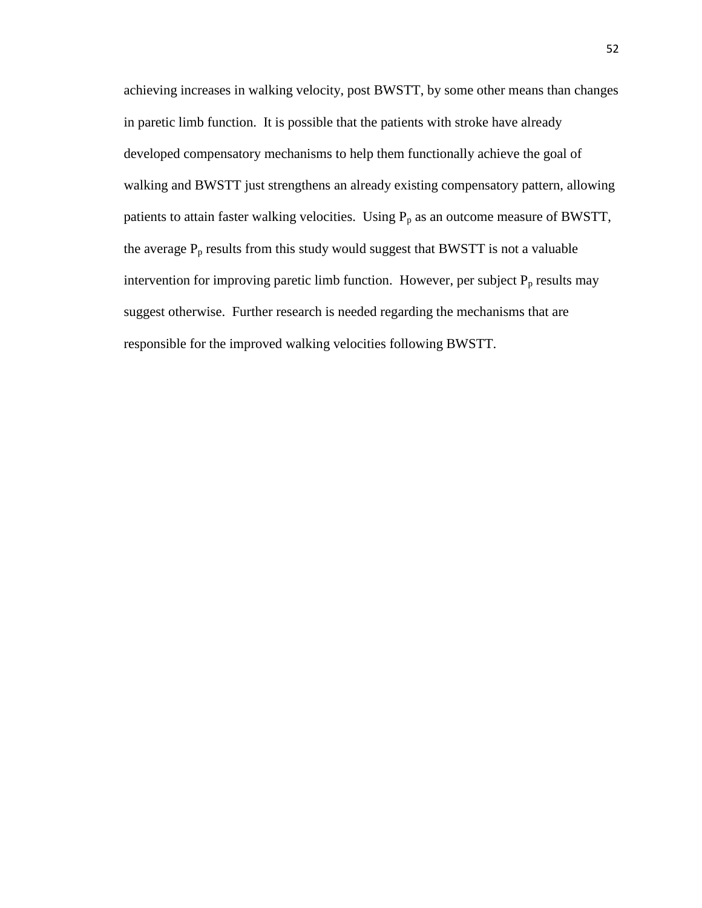achieving increases in walking velocity, post BWSTT, by some other means than changes in paretic limb function. It is possible that the patients with stroke have already developed compensatory mechanisms to help them functionally achieve the goal of walking and BWSTT just strengthens an already existing compensatory pattern, allowing patients to attain faster walking velocities. Using  $P_p$  as an outcome measure of BWSTT, the average  $P_p$  results from this study would suggest that BWSTT is not a valuable intervention for improving paretic limb function. However, per subject  $P_p$  results may suggest otherwise. Further research is needed regarding the mechanisms that are responsible for the improved walking velocities following BWSTT.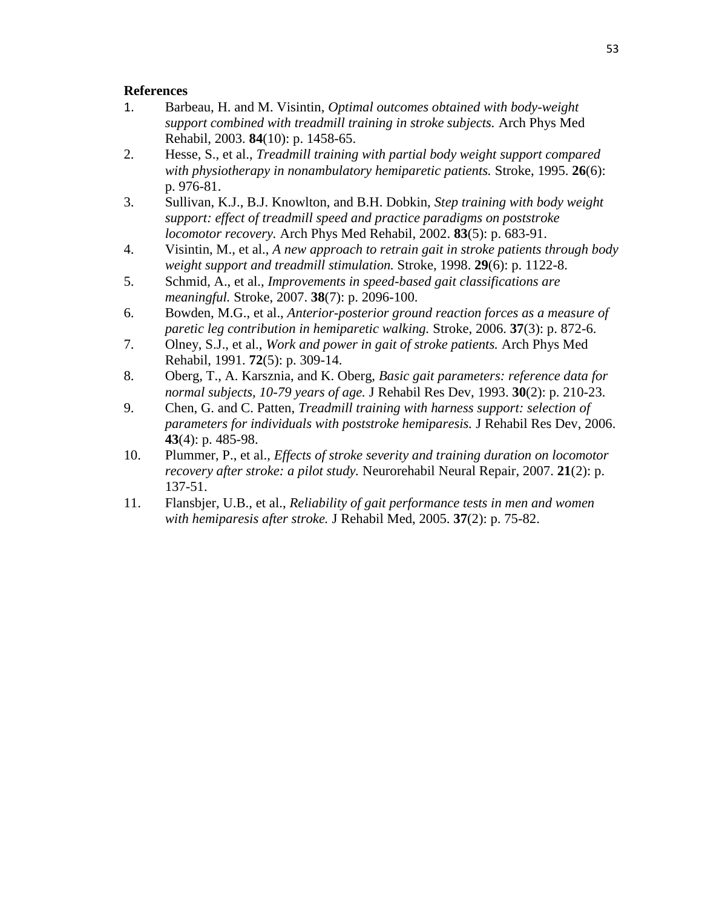#### **References**

- 1. Barbeau, H. and M. Visintin, *Optimal outcomes obtained with body-weight support combined with treadmill training in stroke subjects.* Arch Phys Med Rehabil, 2003. **84**(10): p. 1458-65.
- 2. Hesse, S., et al., *Treadmill training with partial body weight support compared with physiotherapy in nonambulatory hemiparetic patients.* Stroke, 1995. **26**(6): p. 976-81.
- 3. Sullivan, K.J., B.J. Knowlton, and B.H. Dobkin, *Step training with body weight support: effect of treadmill speed and practice paradigms on poststroke locomotor recovery.* Arch Phys Med Rehabil, 2002. **83**(5): p. 683-91.
- 4. Visintin, M., et al., *A new approach to retrain gait in stroke patients through body weight support and treadmill stimulation.* Stroke, 1998. **29**(6): p. 1122-8.
- 5. Schmid, A., et al., *Improvements in speed-based gait classifications are meaningful.* Stroke, 2007. **38**(7): p. 2096-100.
- 6. Bowden, M.G., et al., *Anterior-posterior ground reaction forces as a measure of paretic leg contribution in hemiparetic walking.* Stroke, 2006. **37**(3): p. 872-6.
- 7. Olney, S.J., et al., *Work and power in gait of stroke patients.* Arch Phys Med Rehabil, 1991. **72**(5): p. 309-14.
- 8. Oberg, T., A. Karsznia, and K. Oberg, *Basic gait parameters: reference data for normal subjects, 10-79 years of age.* J Rehabil Res Dev, 1993. **30**(2): p. 210-23.
- 9. Chen, G. and C. Patten, *Treadmill training with harness support: selection of parameters for individuals with poststroke hemiparesis.* J Rehabil Res Dev, 2006. **43**(4): p. 485-98.
- 10. Plummer, P., et al., *Effects of stroke severity and training duration on locomotor recovery after stroke: a pilot study.* Neurorehabil Neural Repair, 2007. **21**(2): p. 137-51.
- 11. Flansbjer, U.B., et al., *Reliability of gait performance tests in men and women with hemiparesis after stroke.* J Rehabil Med, 2005. **37**(2): p. 75-82.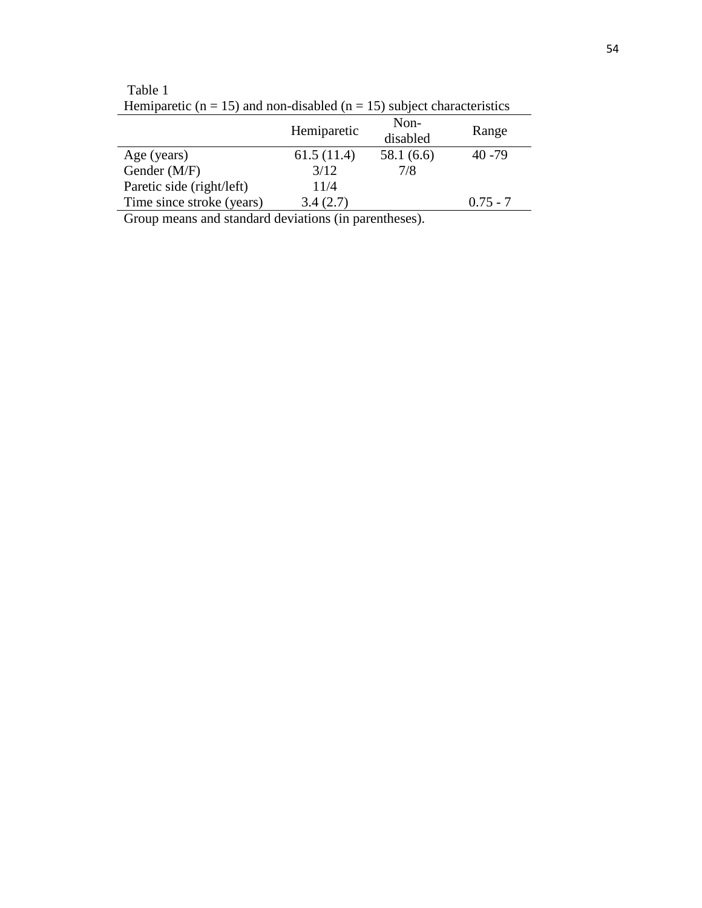| Tieniparenc ( $\mu = 13$ ) and non-disabled ( $\mu = 13$ ) subject characteristics |             |                  |            |  |  |
|------------------------------------------------------------------------------------|-------------|------------------|------------|--|--|
|                                                                                    | Hemiparetic | Non-<br>disabled | Range      |  |  |
| Age (years)                                                                        | 61.5(11.4)  | 58.1 (6.6)       | $40 - 79$  |  |  |
| Gender (M/F)                                                                       | 3/12        | 7/8              |            |  |  |
| Paretic side (right/left)                                                          | 11/4        |                  |            |  |  |
| Time since stroke (years)                                                          | 3.4(2.7)    |                  | $0.75 - 7$ |  |  |
|                                                                                    |             |                  |            |  |  |

Table 1 Hemiparetic ( $n = 15$ ) and non-disabled ( $n = 15$ ) subject characteristics

Group means and standard deviations (in parentheses).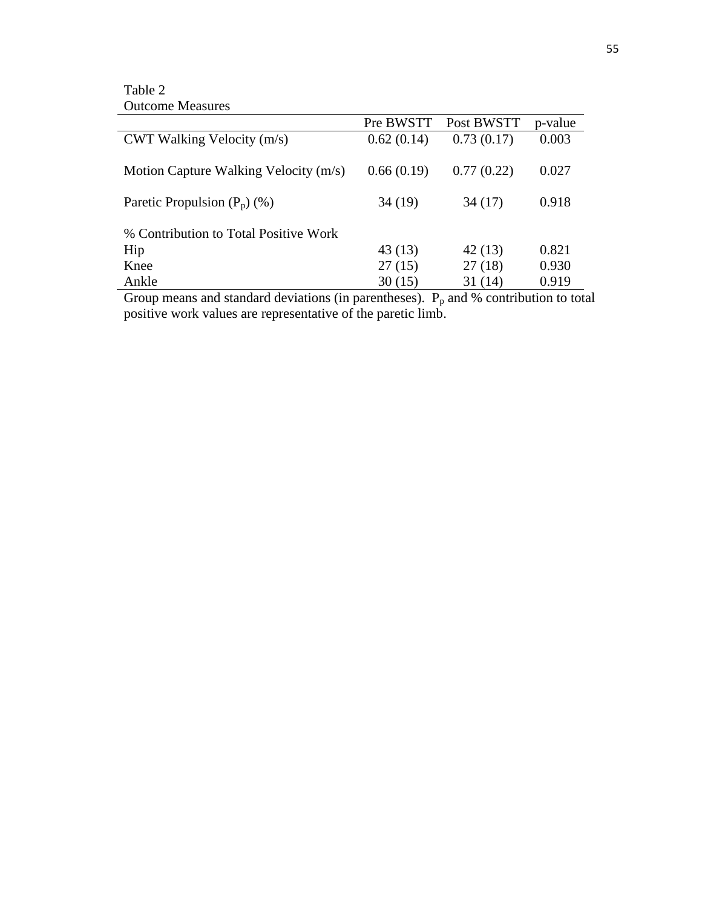Table 2 Outcome Measures

| o alcomo nicabarco                    |            |            |         |
|---------------------------------------|------------|------------|---------|
|                                       | Pre BWSTT  | Post BWSTT | p-value |
| $CWT$ Walking Velocity $(m/s)$        | 0.62(0.14) | 0.73(0.17) | 0.003   |
| Motion Capture Walking Velocity (m/s) | 0.66(0.19) | 0.77(0.22) | 0.027   |
| Paretic Propulsion $(P_p)$ (%)        | 34(19)     | 34(17)     | 0.918   |
| % Contribution to Total Positive Work |            |            |         |
| Hip                                   | 43(13)     | 42(13)     | 0.821   |
| Knee                                  | 27(15)     | 27(18)     | 0.930   |
| Ankle                                 | 30(15)     | 31 (14)    | 0.919   |

Group means and standard deviations (in parentheses).  $P_p$  and % contribution to total positive work values are representative of the paretic limb.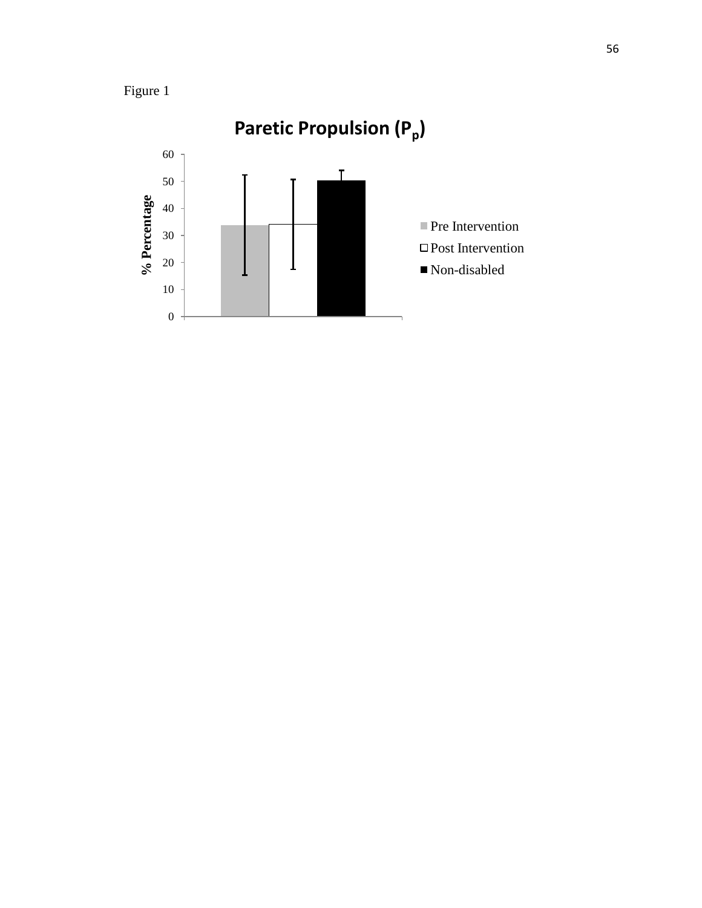

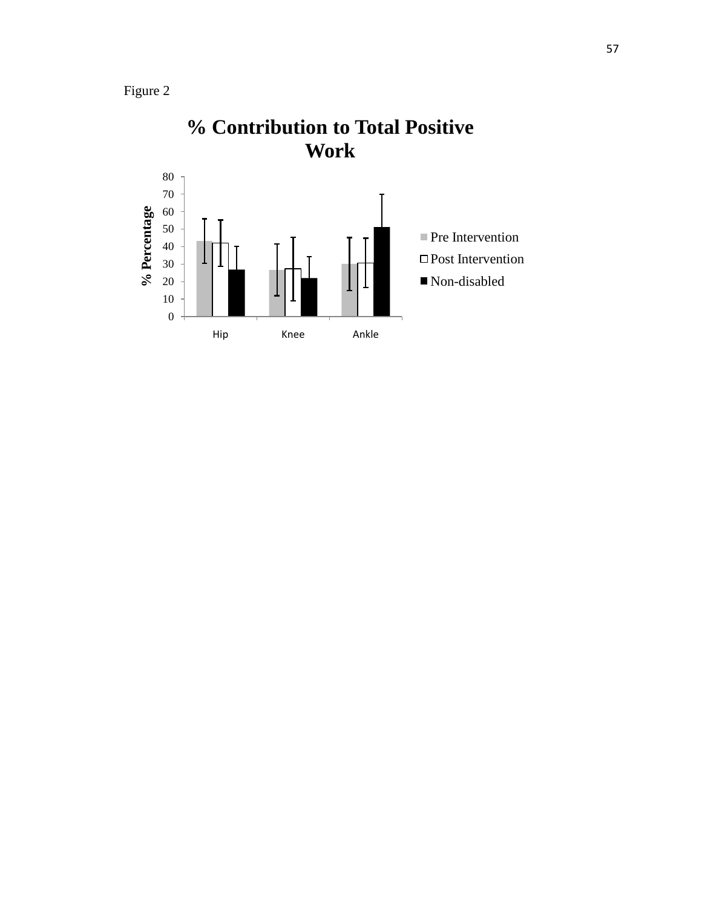



# **% Contribution to Total Positive**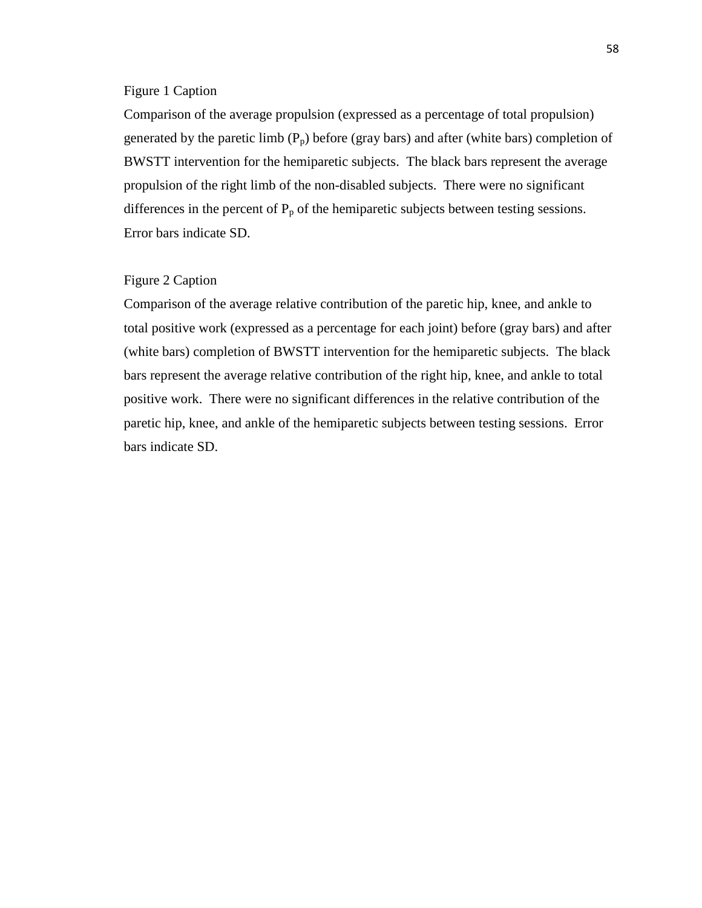#### Figure 1 Caption

Comparison of the average propulsion (expressed as a percentage of total propulsion) generated by the paretic limb  $(P_p)$  before (gray bars) and after (white bars) completion of BWSTT intervention for the hemiparetic subjects. The black bars represent the average propulsion of the right limb of the non-disabled subjects. There were no significant differences in the percent of  $P_p$  of the hemiparetic subjects between testing sessions. Error bars indicate SD.

#### Figure 2 Caption

Comparison of the average relative contribution of the paretic hip, knee, and ankle to total positive work (expressed as a percentage for each joint) before (gray bars) and after (white bars) completion of BWSTT intervention for the hemiparetic subjects. The black bars represent the average relative contribution of the right hip, knee, and ankle to total positive work. There were no significant differences in the relative contribution of the paretic hip, knee, and ankle of the hemiparetic subjects between testing sessions. Error bars indicate SD.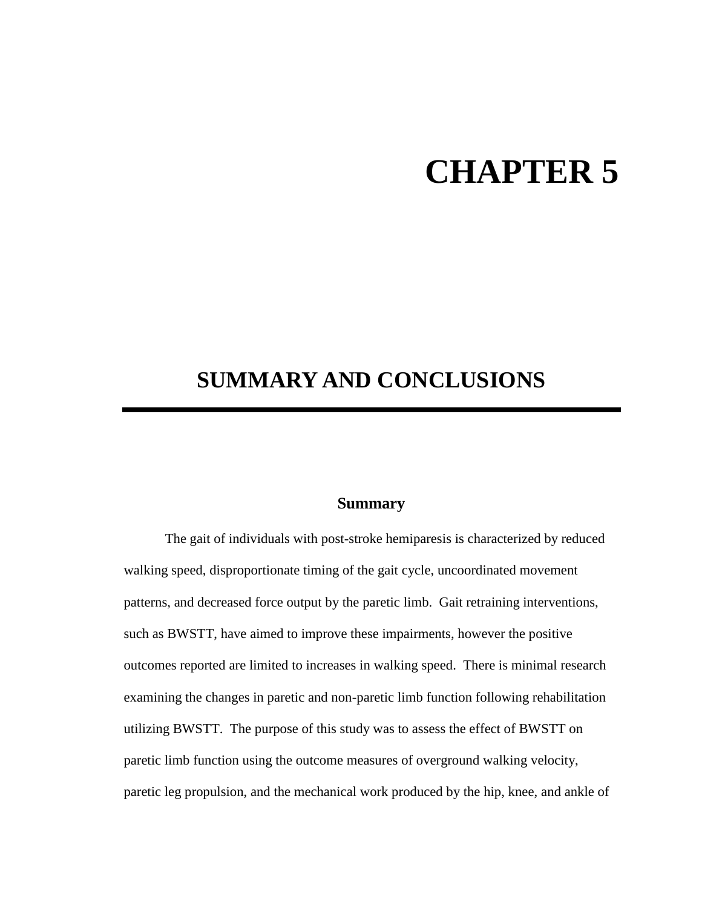# **CHAPTER 5**

## **SUMMARY AND CONCLUSIONS**

#### **Summary**

The gait of individuals with post-stroke hemiparesis is characterized by reduced walking speed, disproportionate timing of the gait cycle, uncoordinated movement patterns, and decreased force output by the paretic limb. Gait retraining interventions, such as BWSTT, have aimed to improve these impairments, however the positive outcomes reported are limited to increases in walking speed. There is minimal research examining the changes in paretic and non-paretic limb function following rehabilitation utilizing BWSTT. The purpose of this study was to assess the effect of BWSTT on paretic limb function using the outcome measures of overground walking velocity, paretic leg propulsion, and the mechanical work produced by the hip, knee, and ankle of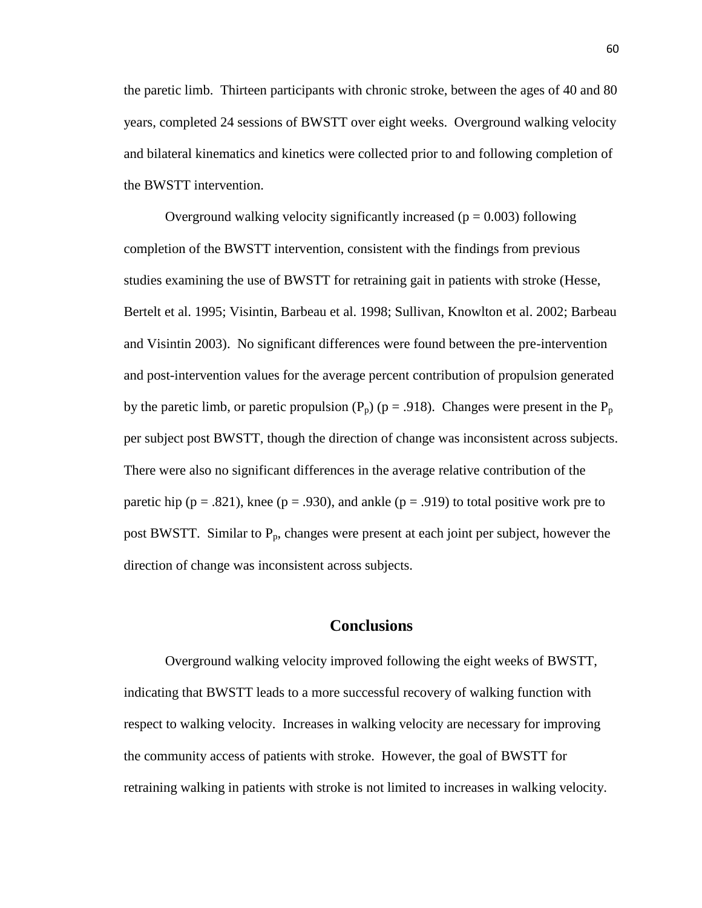the paretic limb. Thirteen participants with chronic stroke, between the ages of 40 and 80 years, completed 24 sessions of BWSTT over eight weeks. Overground walking velocity and bilateral kinematics and kinetics were collected prior to and following completion of the BWSTT intervention.

Overground walking velocity significantly increased ( $p = 0.003$ ) following completion of the BWSTT intervention, consistent with the findings from previous studies examining the use of BWSTT for retraining gait in patients with stroke (Hesse, Bertelt et al. 1995; Visintin, Barbeau et al. 1998; Sullivan, Knowlton et al. 2002; Barbeau and Visintin 2003). No significant differences were found between the pre-intervention and post-intervention values for the average percent contribution of propulsion generated by the paretic limb, or paretic propulsion ( $P_p$ ) ( $p = .918$ ). Changes were present in the  $P_p$ per subject post BWSTT, though the direction of change was inconsistent across subjects. There were also no significant differences in the average relative contribution of the paretic hip ( $p = .821$ ), knee ( $p = .930$ ), and ankle ( $p = .919$ ) to total positive work pre to post BWSTT. Similar to  $P_p$ , changes were present at each joint per subject, however the direction of change was inconsistent across subjects.

#### **Conclusions**

Overground walking velocity improved following the eight weeks of BWSTT, indicating that BWSTT leads to a more successful recovery of walking function with respect to walking velocity. Increases in walking velocity are necessary for improving the community access of patients with stroke. However, the goal of BWSTT for retraining walking in patients with stroke is not limited to increases in walking velocity.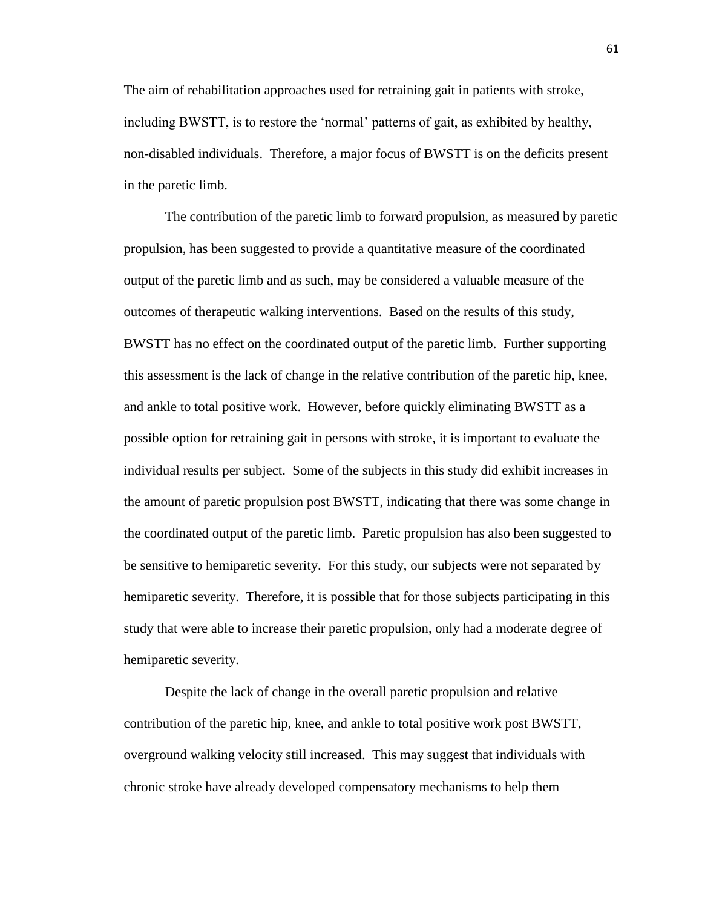The aim of rehabilitation approaches used for retraining gait in patients with stroke, including BWSTT, is to restore the "normal" patterns of gait, as exhibited by healthy, non-disabled individuals. Therefore, a major focus of BWSTT is on the deficits present in the paretic limb.

The contribution of the paretic limb to forward propulsion, as measured by paretic propulsion, has been suggested to provide a quantitative measure of the coordinated output of the paretic limb and as such, may be considered a valuable measure of the outcomes of therapeutic walking interventions. Based on the results of this study, BWSTT has no effect on the coordinated output of the paretic limb. Further supporting this assessment is the lack of change in the relative contribution of the paretic hip, knee, and ankle to total positive work. However, before quickly eliminating BWSTT as a possible option for retraining gait in persons with stroke, it is important to evaluate the individual results per subject. Some of the subjects in this study did exhibit increases in the amount of paretic propulsion post BWSTT, indicating that there was some change in the coordinated output of the paretic limb. Paretic propulsion has also been suggested to be sensitive to hemiparetic severity. For this study, our subjects were not separated by hemiparetic severity. Therefore, it is possible that for those subjects participating in this study that were able to increase their paretic propulsion, only had a moderate degree of hemiparetic severity.

Despite the lack of change in the overall paretic propulsion and relative contribution of the paretic hip, knee, and ankle to total positive work post BWSTT, overground walking velocity still increased. This may suggest that individuals with chronic stroke have already developed compensatory mechanisms to help them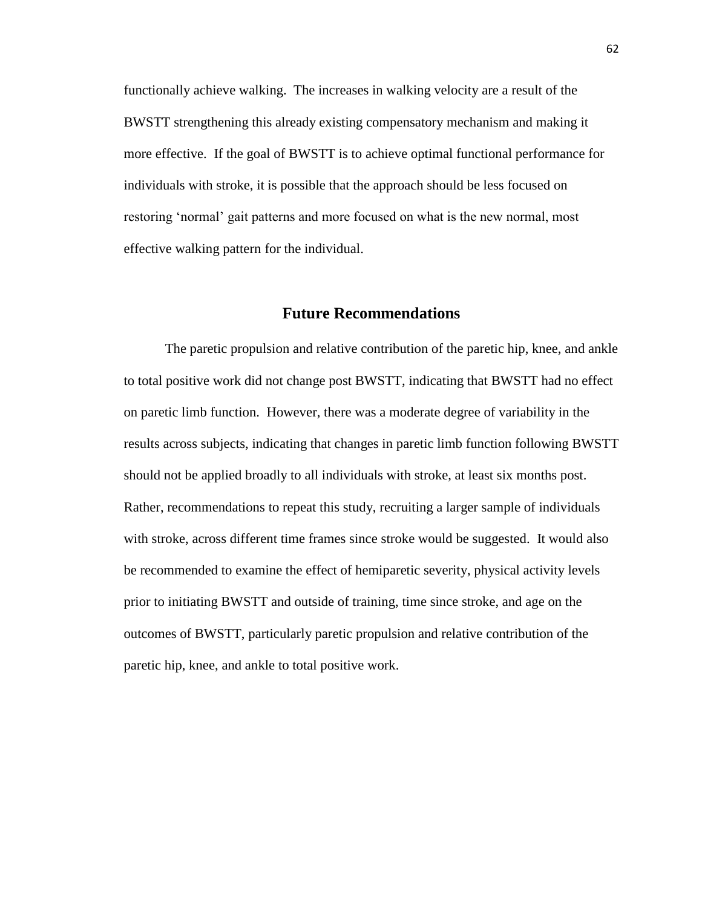functionally achieve walking. The increases in walking velocity are a result of the BWSTT strengthening this already existing compensatory mechanism and making it more effective. If the goal of BWSTT is to achieve optimal functional performance for individuals with stroke, it is possible that the approach should be less focused on restoring "normal" gait patterns and more focused on what is the new normal, most effective walking pattern for the individual.

#### **Future Recommendations**

The paretic propulsion and relative contribution of the paretic hip, knee, and ankle to total positive work did not change post BWSTT, indicating that BWSTT had no effect on paretic limb function. However, there was a moderate degree of variability in the results across subjects, indicating that changes in paretic limb function following BWSTT should not be applied broadly to all individuals with stroke, at least six months post. Rather, recommendations to repeat this study, recruiting a larger sample of individuals with stroke, across different time frames since stroke would be suggested. It would also be recommended to examine the effect of hemiparetic severity, physical activity levels prior to initiating BWSTT and outside of training, time since stroke, and age on the outcomes of BWSTT, particularly paretic propulsion and relative contribution of the paretic hip, knee, and ankle to total positive work.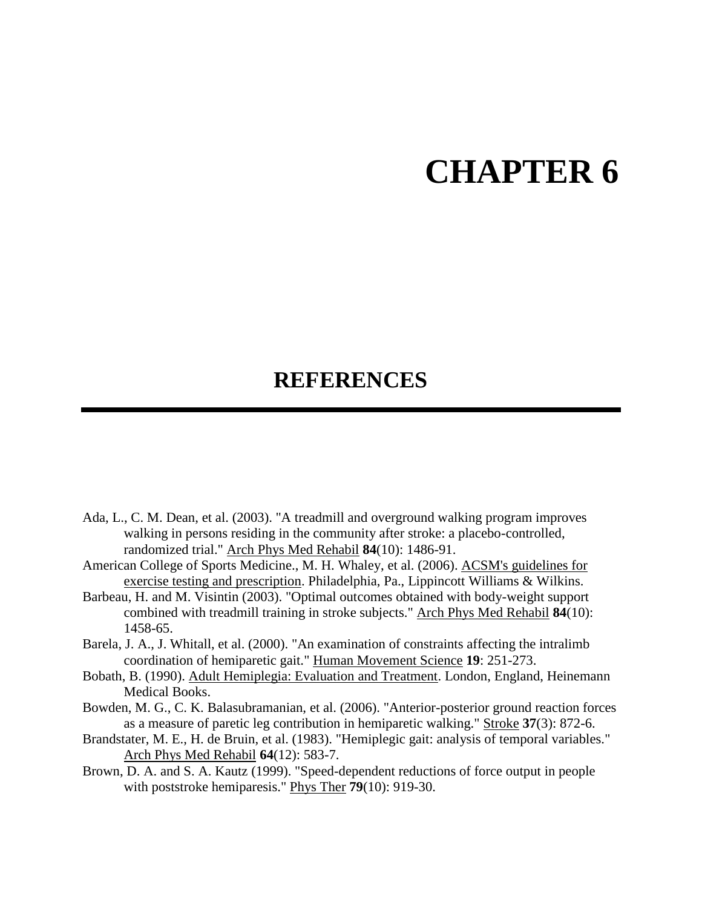## **CHAPTER 6**

## **REFERENCES**

- Ada, L., C. M. Dean, et al. (2003). "A treadmill and overground walking program improves walking in persons residing in the community after stroke: a placebo-controlled, randomized trial." Arch Phys Med Rehabil **84**(10): 1486-91.
- American College of Sports Medicine., M. H. Whaley, et al. (2006). ACSM's guidelines for exercise testing and prescription. Philadelphia, Pa., Lippincott Williams & Wilkins.
- Barbeau, H. and M. Visintin (2003). "Optimal outcomes obtained with body-weight support combined with treadmill training in stroke subjects." Arch Phys Med Rehabil **84**(10): 1458-65.
- Barela, J. A., J. Whitall, et al. (2000). "An examination of constraints affecting the intralimb coordination of hemiparetic gait." Human Movement Science **19**: 251-273.
- Bobath, B. (1990). Adult Hemiplegia: Evaluation and Treatment. London, England, Heinemann Medical Books.
- Bowden, M. G., C. K. Balasubramanian, et al. (2006). "Anterior-posterior ground reaction forces as a measure of paretic leg contribution in hemiparetic walking." Stroke **37**(3): 872-6.
- Brandstater, M. E., H. de Bruin, et al. (1983). "Hemiplegic gait: analysis of temporal variables." Arch Phys Med Rehabil **64**(12): 583-7.
- Brown, D. A. and S. A. Kautz (1999). "Speed-dependent reductions of force output in people with poststroke hemiparesis." Phys Ther **79**(10): 919-30.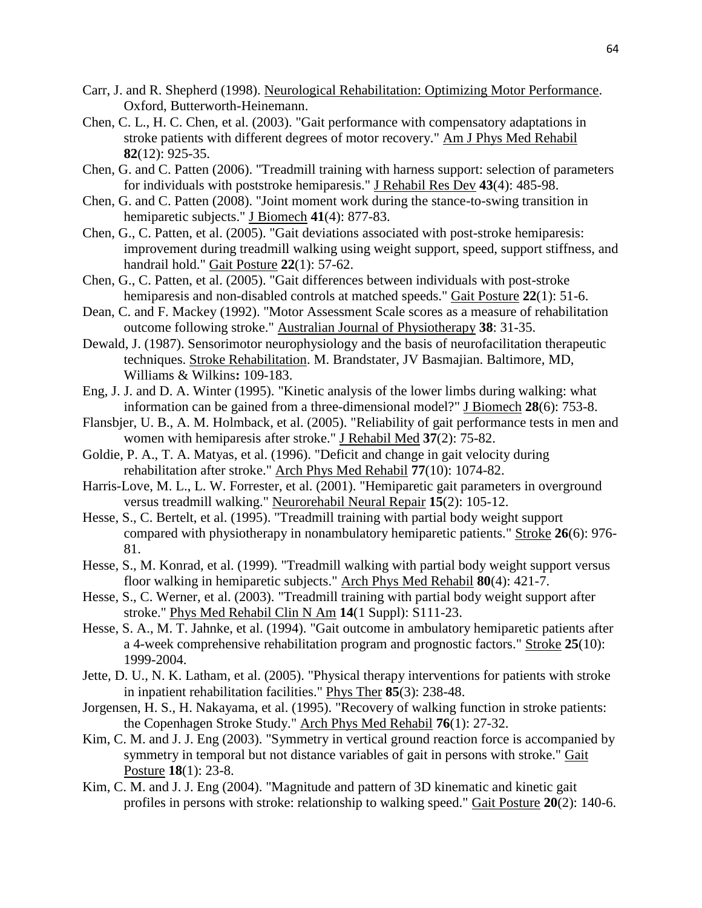- Carr, J. and R. Shepherd (1998). Neurological Rehabilitation: Optimizing Motor Performance. Oxford, Butterworth-Heinemann.
- Chen, C. L., H. C. Chen, et al. (2003). "Gait performance with compensatory adaptations in stroke patients with different degrees of motor recovery." Am J Phys Med Rehabil **82**(12): 925-35.
- Chen, G. and C. Patten (2006). "Treadmill training with harness support: selection of parameters for individuals with poststroke hemiparesis." J Rehabil Res Dev **43**(4): 485-98.
- Chen, G. and C. Patten (2008). "Joint moment work during the stance-to-swing transition in hemiparetic subjects." J Biomech **41**(4): 877-83.
- Chen, G., C. Patten, et al. (2005). "Gait deviations associated with post-stroke hemiparesis: improvement during treadmill walking using weight support, speed, support stiffness, and handrail hold." Gait Posture **22**(1): 57-62.
- Chen, G., C. Patten, et al. (2005). "Gait differences between individuals with post-stroke hemiparesis and non-disabled controls at matched speeds." Gait Posture **22**(1): 51-6.
- Dean, C. and F. Mackey (1992). "Motor Assessment Scale scores as a measure of rehabilitation outcome following stroke." Australian Journal of Physiotherapy **38**: 31-35.
- Dewald, J. (1987). Sensorimotor neurophysiology and the basis of neurofacilitation therapeutic techniques. Stroke Rehabilitation. M. Brandstater, JV Basmajian. Baltimore, MD, Williams & Wilkins**:** 109-183.
- Eng, J. J. and D. A. Winter (1995). "Kinetic analysis of the lower limbs during walking: what information can be gained from a three-dimensional model?" J Biomech **28**(6): 753-8.
- Flansbjer, U. B., A. M. Holmback, et al. (2005). "Reliability of gait performance tests in men and women with hemiparesis after stroke." J Rehabil Med **37**(2): 75-82.
- Goldie, P. A., T. A. Matyas, et al. (1996). "Deficit and change in gait velocity during rehabilitation after stroke." Arch Phys Med Rehabil **77**(10): 1074-82.
- Harris-Love, M. L., L. W. Forrester, et al. (2001). "Hemiparetic gait parameters in overground versus treadmill walking." Neurorehabil Neural Repair **15**(2): 105-12.
- Hesse, S., C. Bertelt, et al. (1995). "Treadmill training with partial body weight support compared with physiotherapy in nonambulatory hemiparetic patients." Stroke **26**(6): 976- 81.
- Hesse, S., M. Konrad, et al. (1999). "Treadmill walking with partial body weight support versus floor walking in hemiparetic subjects." Arch Phys Med Rehabil **80**(4): 421-7.
- Hesse, S., C. Werner, et al. (2003). "Treadmill training with partial body weight support after stroke." Phys Med Rehabil Clin N Am **14**(1 Suppl): S111-23.
- Hesse, S. A., M. T. Jahnke, et al. (1994). "Gait outcome in ambulatory hemiparetic patients after a 4-week comprehensive rehabilitation program and prognostic factors." Stroke **25**(10): 1999-2004.
- Jette, D. U., N. K. Latham, et al. (2005). "Physical therapy interventions for patients with stroke in inpatient rehabilitation facilities." Phys Ther **85**(3): 238-48.
- Jorgensen, H. S., H. Nakayama, et al. (1995). "Recovery of walking function in stroke patients: the Copenhagen Stroke Study." Arch Phys Med Rehabil **76**(1): 27-32.
- Kim, C. M. and J. J. Eng (2003). "Symmetry in vertical ground reaction force is accompanied by symmetry in temporal but not distance variables of gait in persons with stroke." Gait Posture **18**(1): 23-8.
- Kim, C. M. and J. J. Eng (2004). "Magnitude and pattern of 3D kinematic and kinetic gait profiles in persons with stroke: relationship to walking speed." Gait Posture **20**(2): 140-6.